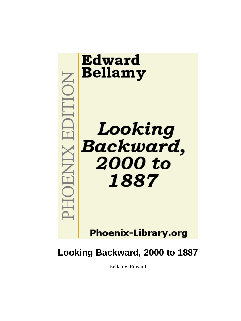

# **Looking Backward, 2000 to 1887**

Bellamy, Edward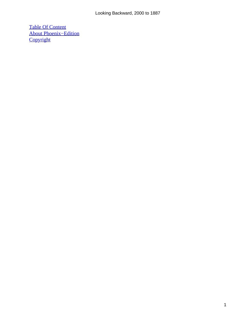[Table Of Content](#page-163-0) [About Phoenix−Edition](#page-165-0) **[Copyright](#page-168-0)**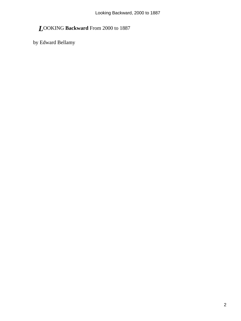## *L*OOKING **Backward** From 2000 to 1887

by Edward Bellamy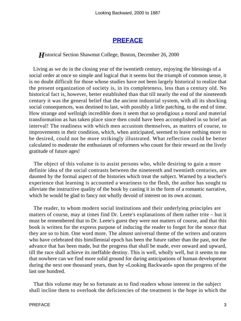#### **[PREFACE](#page-163-0)**

**H**istorical Section Shawmut College, Boston, December 26, 2000

 Living as we do in the closing year of the twentieth century, enjoying the blessings of a social order at once so simple and logical that it seems but the triumph of common sense, it is no doubt difficult for those whose studies have not been largely historical to realize that the present organization of society is, in its completeness, less than a century old. No historical fact is, however, better established than that till nearly the end of the nineteenth century it was the general belief that the ancient industrial system, with all its shocking social consequences, was destined to last, with possibly a little patching, to the end of time. How strange and wellnigh incredible does it seem that so prodigious a moral and material transformation as has taken place since then could have been accomplished in so brief an interval! The readiness with which men accustom themselves, as matters of course, to improvements in their condition, which, when anticipated, seemed to leave nothing more to be desired, could not be more strikingly illustrated. What reflection could be better calculated to moderate the enthusiasm of reformers who count for their reward on the lively gratitude of future ages!

 The object of this volume is to assist persons who, while desiring to gain a more definite idea of the social contrasts between the nineteenth and twentieth centuries, are daunted by the formal aspect of the histories which treat the subject. Warned by a teacher's experience that learning is accounted a weariness to the flesh, the author has sought to alleviate the instructive quality of the book by casting it in the form of a romantic narrative, which he would be glad to fancy not wholly devoid of interest on its own account.

 The reader, to whom modern social institutions and their underlying principles are matters of course, may at times find Dr. Leete's explanations of them rather trite – but it must be remembered that to Dr. Leete's guest they were not matters of course, and that this book is written for the express purpose of inducing the reader to forget for the nonce that they are so to him. One word more. The almost universal theme of the writers and orators who have celebrated this bimillennial epoch has been the future rather than the past, not the advance that has been made, but the progress that shall be made, ever onward and upward, till the race shall achieve its ineffable destiny. This is well, wholly well, but it seems to me that nowhere can we find more solid ground for daring anticipations of human development during the next one thousand years, than by «Looking Backward» upon the progress of the last one hundred.

 That this volume may be so fortunate as to find readers whose interest in the subject shall incline them to overlook the deficiencies of the treatment is the hope in which the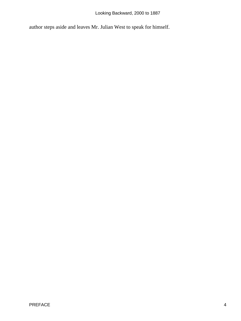Looking Backward, 2000 to 1887

author steps aside and leaves Mr. Julian West to speak for himself.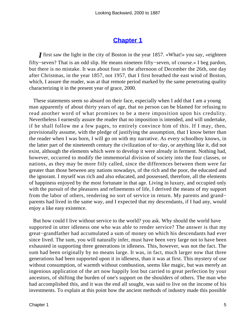## **[Chapter 1](#page-163-0)**

*I* first saw the light in the city of Boston in the year 1857. «What!» you say, «eighteen fifty−seven? That is an odd slip. He means nineteen fifty−seven, of course.» I beg pardon, but there is no mistake. It was about four in the afternoon of December the 26th, one day after Christmas, in the year 1857, not 1957, that I first breathed the east wind of Boston, which, I assure the reader, was at that remote period marked by the same penetrating quality characterizing it in the present year of grace, 2000.

 These statements seem so absurd on their face, especially when I add that I am a young man apparently of about thirty years of age, that no person can be blamed for refusing to read another word of what promises to be a mere imposition upon his credulity. Nevertheless I earnestly assure the reader that no imposition is intended, and will undertake, if he shall follow me a few pages, to entirely convince him of this. If I may, then, provisionally assume, with the pledge of justifying the assumption, that I know better than the reader when I was born, I will go on with my narrative. As every schoolboy knows, in the latter part of the nineteenth century the civilization of to−day, or anything like it, did not exist, although the elements which were to develop it were already in ferment. Nothing had, however, occurred to modify the immemorial division of society into the four classes, or nations, as they may be more fitly called, since the differences between them were far greater than those between any nations nowadays, of the rich and the poor, the educated and the ignorant. I myself was rich and also educated, and possessed, therefore, all the elements of happiness enjoyed by the most fortunate in that age. Living in luxury, and occupied only with the pursuit of the pleasures and refinements of life, I derived the means of my support from the labor of others, rendering no sort of service in return. My parents and grand– parents had lived in the same way, and I expected that my descendants, if I had any, would enjoy a like easy existence.

 But how could I live without service to the world? you ask. Why should the world have supported in utter idleness one who was able to render service? The answer is that my great−grandfather had accumulated a sum of money on which his descendants had ever since lived. The sum, you will naturally infer, must have been very large not to have been exhausted in supporting three generations in idleness. This, however, was not the fact. The sum had been originally by no means large. It was, in fact, much larger now that three generations had been supported upon it in idleness, than it was at first. This mystery of use without consumption, of warmth without combustion, seems like magic, but was merely an ingenious application of the art now happily lost but carried to great perfection by your ancestors, of shifting the burden of one's support on the shoulders of others. The man who had accomplished this, and it was the end all sought, was said to live on the income of his investments. To explain at this point how the ancient methods of industry made this possible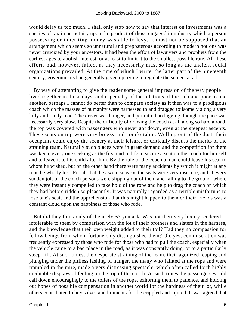would delay us too much. I shall only stop now to say that interest on investments was a species of tax in perpetuity upon the product of those engaged in industry which a person possessing or inheriting money was able to levy. It must not be supposed that an arrangement which seems so unnatural and preposterous according to modern notions was never criticized by your ancestors. It had been the effort of lawgivers and prophets from the earliest ages to abolish interest, or at least to limit it to the smallest possible rate. All these efforts had, however, failed, as they necessarily must so long as the ancient social organizations prevailed. At the time of which I write, the latter part of the nineteenth century, governments had generally given up trying to regulate the subject at all.

 By way of attempting to give the reader some general impression of the way people lived together in those days, and especially of the relations of the rich and poor to one another, perhaps I cannot do better than to compare society as it then was to a prodigious coach which the masses of humanity were harnessed to and dragged toilsomely along a very hilly and sandy road. The driver was hunger, and permitted no lagging, though the pace was necessarily very slow. Despite the difficulty of drawing the coach at all along so hard a road, the top was covered with passengers who never got down, even at the steepest ascents. These seats on top were very breezy and comfortable. Well up out of the dust, their occupants could enjoy the scenery at their leisure, or critically discuss the merits of the straining team. Naturally such places were in great demand and the competition for them was keen, every one seeking as the first end in life to secure a seat on the coach for himself and to leave it to his child after him. By the rule of the coach a man could leave his seat to whom he wished, but on the other hand there were many accidents by which it might at any time be wholly lost. For all that they were so easy, the seats were very insecure, and at every sudden jolt of the coach persons were slipping out of them and falling to the ground, where they were instantly compelled to take hold of the rope and help to drag the coach on which they had before ridden so pleasantly. It was naturally regarded as a terrible misfortune to lose one's seat, and the apprehension that this might happen to them or their friends was a constant cloud upon the happiness of those who rode.

 But did they think only of themselves? you ask. Was not their very luxury rendered intolerable to them by comparison with the lot of their brothers and sisters in the harness, and the knowledge that their own weight added to their toil? Had they no compassion for fellow beings from whom fortune only distinguished them? Oh, yes; commiseration was frequently expressed by those who rode for those who had to pull the coach, especially when the vehicle came to a bad place in the road, as it was constantly doing, or to a particularly steep hill. At such times, the desperate straining of the team, their agonized leaping and plunging under the pitiless lashing of hunger, the many who fainted at the rope and were trampled in the mire, made a very distressing spectacle, which often called forth highly creditable displays of feeling on the top of the coach. At such times the passengers would call down encouragingly to the toilers of the rope, exhorting them to patience, and holding out hopes of possible compensation in another world for the hardness of their lot, while others contributed to buy salves and liniments for the crippled and injured. It was agreed that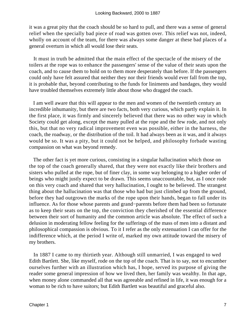it was a great pity that the coach should be so hard to pull, and there was a sense of general relief when the specially bad piece of road was gotten over. This relief was not, indeed, wholly on account of the team, for there was always some danger at these bad places of a general overturn in which all would lose their seats.

 It must in truth be admitted that the main effect of the spectacle of the misery of the toilers at the rope was to enhance the passengers' sense of the value of their seats upon the coach, and to cause them to hold on to them more desperately than before. If the passengers could only have felt assured that neither they nor their friends would ever fall from the top, it is probable that, beyond contributing to the funds for liniments and bandages, they would have troubled themselves extremely little about those who dragged the coach.

 I am well aware that this will appear to the men and women of the twentieth century an incredible inhumanity, but there are two facts, both very curious, which partly explain it. In the first place, it was firmly and sincerely believed that there was no other way in which Society could get along, except the many pulled at the rope and the few rode, and not only this, but that no very radical improvement even was possible, either in the harness, the coach, the roadway, or the distribution of the toil. It had always been as it was, and it always would be so. It was a pity, but it could not be helped, and philosophy forbade wasting compassion on what was beyond remedy.

 The other fact is yet more curious, consisting in a singular hallucination which those on the top of the coach generally shared, that they were not exactly like their brothers and sisters who pulled at the rope, but of finer clay, in some way belonging to a higher order of beings who might justly expect to be drawn. This seems unaccountable, but, as I once rode on this very coach and shared that very hallucination, I ought to be believed. The strangest thing about the hallucination was that those who had but just climbed up from the ground, before they had outgrown the marks of the rope upon their hands, began to fall under its influence. As for those whose parents and grand−parents before them had been so fortunate as to keep their seats on the top, the conviction they cherished of the essential difference between their sort of humanity and the common article was absolute. The effect of such a delusion in moderating fellow feeling for the sufferings of the mass of men into a distant and philosophical compassion is obvious. To it I refer as the only extenuation I can offer for the indifference which, at the period I write of, marked my own attitude toward the misery of my brothers.

 In 1887 I came to my thirtieth year. Although still unmarried, I was engaged to wed Edith Bartlett. She, like myself, rode on the top of the coach. That is to say, not to encumber ourselves further with an illustration which has, I hope, served its purpose of giving the reader some general impression of how we lived then, her family was wealthy. In that age, when money alone commanded all that was agreeable and refined in life, it was enough for a woman to be rich to have suitors; but Edith Bartlett was beautiful and graceful also.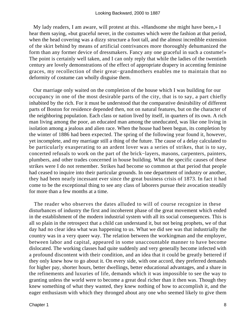My lady readers, I am aware, will protest at this. «Handsome she might have been,» I hear them saying, «but graceful never, in the costumes which were the fashion at that period, when the head covering was a dizzy structure a foot tall, and the almost incredible extension of the skirt behind by means of artificial contrivances more thoroughly dehumanized the form than any former device of dressmakers. Fancy any one graceful in such a costume!» The point is certainly well taken, and I can only reply that while the ladies of the twentieth century are lovely demonstrations of the effect of appropriate drapery in accenting feminine graces, my recollection of their great−grandmothers enables me to maintain that no deformity of costume can wholly disguise them.

 Our marriage only waited on the completion of the house which I was building for our occupancy in one of the most desirable parts of the city, that is to say, a part chiefly inhabited by the rich. For it must be understood that the comparative desirability of different parts of Boston for residence depended then, not on natural features, but on the character of the neighboring population. Each class or nation lived by itself, in quarters of its own. A rich man living among the poor, an educated man among the uneducated, was like one living in isolation among a jealous and alien race. When the house had been begun, its completion by the winter of 1886 had been expected. The spring of the following year found it, however, yet incomplete, and my marriage still a thing of the future. The cause of a delay calculated to be particularly exasperating to an ardent lover was a series of strikes, that is to say, concerted refusals to work on the part of the brick−layers, masons, carpenters, painters, plumbers, and other trades concerned in house building. What the specific causes of these strikes were I do not remember. Strikes had become so common at that period that people had ceased to inquire into their particular grounds. In one department of industry or another, they had been nearly incessant ever since the great business crisis of 1873. In fact it had come to be the exceptional thing to see any class of laborers pursue their avocation steadily for more than a few months at a time.

 The reader who observes the dates alluded to will of course recognize in these disturbances of industry the first and incoherent phase of the great movement which ended in the establishment of the modern industrial system with all its social consequences. This is all so plain in the retrospect that a child can understand it, but not being prophets, we of that day had no clear idea what was happening to us. What we did see was that industrially the country was in a very queer way. The relation between the workingman and the employer, between labor and capital, appeared in some unaccountable manner to have become dislocated. The working classes had quite suddenly and very generally become infected with a profound discontent with their condition, and an idea that it could be greatly bettered if they only knew how to go about it. On every side, with one accord, they preferred demands for higher pay, shorter hours, better dwellings, better educational advantages, and a share in the refinements and luxuries of life, demands which it was impossible to see the way to granting unless the world were to become a great deal richer than it then was. Though they knew something of what they wanted, they knew nothing of how to accomplish it, and the eager enthusiasm with which they thronged about any one who seemed likely to give them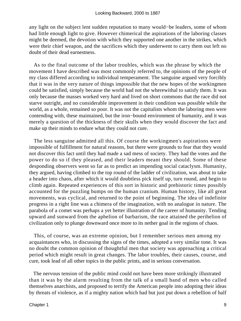any light on the subject lent sudden reputation to many would−be leaders, some of whom had little enough light to give. However chimerical the aspirations of the laboring classes might be deemed, the devotion with which they supported one another in the strikes, which were their chief weapon, and the sacrifices which they underwent to carry them out left no doubt of their dead earnestness.

 As to the final outcome of the labor troubles, which was the phrase by which the movement I have described was most commonly referred to, the opinions of the people of my class differed according to individual temperament. The sanguine argued very forcibly that it was in the very nature of things impossible that the new hopes of the workingmen could be satisfied, simply because the world had not the wherewithal to satisfy them. It was only because the masses worked very hard and lived on short commons that the race did not starve outright, and no considerable improvement in their condition was possible while the world, as a whole, remained so poor. It was not the capitalists whom the laboring men were contending with, these maintained, but the iron−bound environment of humanity, and it was merely a question of the thickness of their skulls when they would discover the fact and make up their minds to endure what they could not cure.

 The less sanguine admitted all this. Of course the workingmen's aspirations were impossible of fulfillment for natural reasons, but there were grounds to fear that they would not discover this fact until they had made a sad mess of society. They had the votes and the power to do so if they pleased, and their leaders meant they should. Some of these desponding observers went so far as to predict an impending social cataclysm. Humanity, they argued, having climbed to the top round of the ladder of civilization, was about to take a header into chaos, after which it would doubtless pick itself up, turn round, and begin to climb again. Repeated experiences of this sort in historic and prehistoric times possibly accounted for the puzzling bumps on the human cranium. Human history, like all great movements, was cyclical, and returned to the point of beginning. The idea of indefinite progress in a right line was a chimera of the imagination, with no analogue in nature. The parabola of a comet was perhaps a yet better illustration of the career of humanity. Tending upward and sunward from the aphelion of barbarism, the race attained the perihelion of civilization only to plunge downward once more to its nether goal in the regions of chaos.

 This, of course, was an extreme opinion, but I remember serious men among my acquaintances who, in discussing the signs of the times, adopted a very similar tone. It was no doubt the common opinion of thoughtful men that society was approaching a critical period which might result in great changes. The labor troubles, their causes, course, and cure, took lead of all other topics in the public prints, and in serious conversation.

 The nervous tension of the public mind could not have been more strikingly illustrated than it was by the alarm resulting from the talk of a small band of men who called themselves anarchists, and proposed to terrify the American people into adopting their ideas by threats of violence, as if a mighty nation which had but just put down a rebellion of half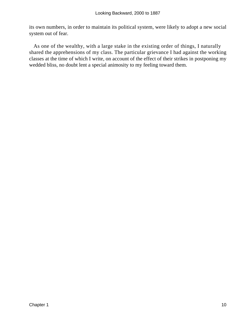its own numbers, in order to maintain its political system, were likely to adopt a new social system out of fear.

 As one of the wealthy, with a large stake in the existing order of things, I naturally shared the apprehensions of my class. The particular grievance I had against the working classes at the time of which I write, on account of the effect of their strikes in postponing my wedded bliss, no doubt lent a special animosity to my feeling toward them.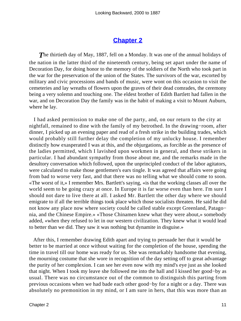## **[Chapter 2](#page-163-0)**

**The thirtieth day of May, 1887, fell on a Monday. It was one of the annual holidays of** the nation in the latter third of the nineteenth century, being set apart under the name of Decoration Day, for doing honor to the memory of the soldiers of the North who took part in the war for the preservation of the union of the States. The survivors of the war, escorted by military and civic processions and bands of music, were wont on this occasion to visit the cemeteries and lay wreaths of flowers upon the graves of their dead comrades, the ceremony being a very solemn and touching one. The eldest brother of Edith Bartlett had fallen in the war, and on Decoration Day the family was in the habit of making a visit to Mount Auburn, where he lay.

 I had asked permission to make one of the party, and, on our return to the city at nightfall, remained to dine with the family of my betrothed. In the drawing−room, after dinner, I picked up an evening paper and read of a fresh strike in the building trades, which would probably still further delay the completion of my unlucky house. I remember distinctly how exasperated I was at this, and the objurgations, as forcible as the presence of the ladies permitted, which I lavished upon workmen in general, and these strikers in particular. I had abundant sympathy from those about me, and the remarks made in the desultory conversation which followed, upon the unprincipled conduct of the labor agitators, were calculated to make those gentlemen's ears tingle. It was agreed that affairs were going from bad to worse very fast, and that there was no telling what we should come to soon. «The worst of it,» I remember Mrs. Bartlett's saying, «is that the working classes all over the world seem to be going crazy at once. In Europe it is far worse even than here. I'm sure I should not dare to live there at all. I asked Mr. Bartlett the other day where we should emigrate to if all the terrible things took place which those socialists threaten. He said he did not know any place now where society could be called stable except Greenland, Patago− nia, and the Chinese Empire.» «Those Chinamen knew what they were about,» somebody added, «when they refused to let in our western civilization. They knew what it would lead to better than we did. They saw it was nothing but dynamite in disguise.»

 After this, I remember drawing Edith apart and trying to persuade her that it would be better to be married at once without waiting for the completion of the house, spending the time in travel till our home was ready for us. She was remarkably handsome that evening, the mourning costume that she wore in recognition of the day setting off to great advantage the purity of her complexion. I can see her even now with my mind's eye just as she looked that night. When I took my leave she followed me into the hall and I kissed her good−by as usual. There was no circumstance out of the common to distinguish this parting from previous occasions when we had bade each other good−by for a night or a day. There was absolutely no premonition in my mind, or I am sure in hers, that this was more than an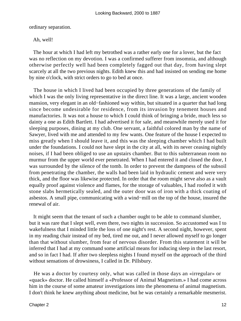ordinary separation.

Ah, well!

 The hour at which I had left my betrothed was a rather early one for a lover, but the fact was no reflection on my devotion. I was a confirmed sufferer from insomnia, and although otherwise perfectly well had been completely fagged out that day, from having slept scarcely at all the two previous nights. Edith knew this and had insisted on sending me home by nine o'clock, with strict orders to go to bed at once.

 The house in which I lived had been occupied by three generations of the family of which I was the only living representative in the direct line. It was a large, ancient wooden mansion, very elegant in an old−fashioned way within, but situated in a quarter that had long since become undesirable for residence, from its invasion by tenement houses and manufactories. It was not a house to which I could think of bringing a bride, much less so dainty a one as Edith Bartlett. I had advertised it for sale, and meanwhile merely used it for sleeping purposes, dining at my club. One servant, a faithful colored man by the name of Sawyer, lived with me and attended to my few wants. One feature of the house I expected to miss greatly when I should leave it, and this was the sleeping chamber which I had built under the foundations. I could not have slept in the city at all, with its never ceasing nightly noises, if I had been obliged to use an upstairs chamber. But to this subterranean room no murmur from the upper world ever penetrated. When I had entered it and closed the door, I was surrounded by the silence of the tomb. In order to prevent the dampness of the subsoil from penetrating the chamber, the walls had been laid in hydraulic cement and were very thick, and the floor was likewise protected. In order that the room might serve also as a vault equally proof against violence and flames, for the storage of valuables, I had roofed it with stone slabs hermetically sealed, and the outer door was of iron with a thick coating of asbestos. A small pipe, communicating with a wind−mill on the top of the house, insured the renewal of air.

 It might seem that the tenant of such a chamber ought to be able to command slumber, but it was rare that I slept well, even there, two nights in succession. So accustomed was I to wakefulness that I minded little the loss of one night's rest. A second night, however, spent in my reading chair instead of my bed, tired me out, and I never allowed myself to go longer than that without slumber, from fear of nervous disorder. From this statement it will be inferred that I had at my command some artificial means for inducing sleep in the last resort, and so in fact I had. If after two sleepless nights I found myself on the approach of the third without sensations of drowsiness, I called in Dr. Pillsbury.

 He was a doctor by courtesy only, what was called in those days an «irregular» or «quack» doctor. He called himself a «Professor of Animal Magnetism.» I had come across him in the course of some amateur investigations into the phenomena of animal magnetism. I don't think he knew anything about medicine, but he was certainly a remarkable mesmerist.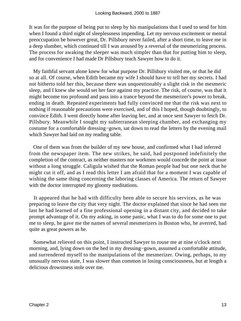It was for the purpose of being put to sleep by his manipulations that I used to send for him when I found a third night of sleeplessness impending. Let my nervous excitement or mental preoccupation be however great, Dr. Pillsbury never failed, after a short time, to leave me in a deep slumber, which continued till I was aroused by a reversal of the mesmerizing process. The process for awaking the sleeper was much simpler than that for putting him to sleep, and for convenience I had made Dr Pillsbury teach Sawyer how to do it.

 My faithful servant alone knew for what purpose Dr. Pillsbury visited me, or that he did so at all. Of course, when Edith became my wife I should have to tell her my secrets. I had not hitherto told her this, because there was unquestionably a slight risk in the mesmeric sleep, and I knew she would set her face against my practice. The risk, of course, was that it might become too profound and pass into a trance beyond the mesmerizer's power to break, ending in death. Repeated experiments had fully convinced me that the risk was next to nothing if reasonable precautions were exercised, and of this I hoped, though doubtingly, to convince Edith. I went directly home after leaving her, and at once sent Sawyer to fetch Dr. Pillsbury. Meanwhile I sought my subterranean sleeping chamber, and exchanging my costume for a comfortable dressing−gown, sat down to read the letters by the evening mail which Sawyer had laid on my reading table.

 One of them was from the builder of my new house, and confirmed what I had inferred from the newspaper item. The new strikes, he said, had postponed indefinitely the completion of the contract, as neither masters nor workmen would concede the point at issue without a long struggle. Caligula wished that the Roman people had but one neck that he might cut it off, and as I read this letter I am afraid that for a moment I was capable of wishing the same thing concerning the laboring classes of America. The return of Sawyer with the doctor interrupted my gloomy meditations.

 It appeared that he had with difficulty been able to secure his services, as he was preparing to leave the city that very night. The doctor explained that since he had seen me last he had learned of a fine professional opening in a distant city, and decided to take prompt advantage of it. On my asking, in some panic, what I was to do for some one to put me to sleep, he gave me the names of several mesmerizers in Boston who, he averred, had quite as great powers as he.

 Somewhat relieved on this point, I instructed Sawyer to rouse me at nine o'clock next morning, and, lying down on the bed in my dressing−gown, assumed a comfortable attitude, and surrendered myself to the manipulations of the mesmerizer. Owing, perhaps, to my unusually nervous state, I was slower than common in losing consciousness, but at length a delicious drowsiness stole over me.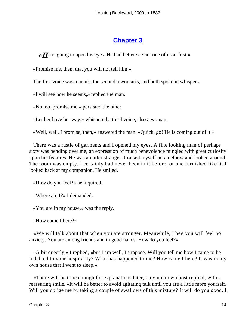#### **[Chapter 3](#page-163-0)**

*«H*e is going to open his eyes. He had better see but one of us at first.»

«Promise me, then, that you will not tell him.»

The first voice was a man's, the second a woman's, and both spoke in whispers.

«I will see how he seems,» replied the man.

«No, no, promise me,» persisted the other.

«Let her have her way,» whispered a third voice, also a woman.

«Well, well, I promise, then,» answered the man. «Quick, go! He is coming out of it.»

 There was a rustle of garments and I opened my eyes. A fine looking man of perhaps sixty was bending over me, an expression of much benevolence mingled with great curiosity upon his features. He was an utter stranger. I raised myself on an elbow and looked around. The room was empty. I certainly had never been in it before, or one furnished like it. I looked back at my companion. He smiled.

«How do you feel?» he inquired.

«Where am I?» I demanded.

«You are in my house,» was the reply.

«How came I here?»

 «We will talk about that when you are stronger. Meanwhile, I beg you will feel no anxiety. You are among friends and in good hands. How do you feel?»

 «A bit queerly,» I replied, «but I am well, I suppose. Will you tell me how I came to be indebted to your hospitality? What has happened to me? How came I here? It was in my own house that I went to sleep.»

 «There will be time enough for explanations later,» my unknown host replied, with a reassuring smile. «It will be better to avoid agitating talk until you are a little more yourself. Will you oblige me by taking a couple of swallows of this mixture? It will do you good. I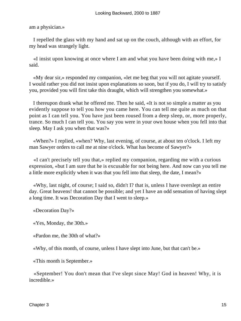am a physician.»

 I repelled the glass with my hand and sat up on the couch, although with an effort, for my head was strangely light.

 «I insist upon knowing at once where I am and what you have been doing with me,» I said.

 «My dear sir,» responded my companion, «let me beg that you will not agitate yourself. I would rather you did not insist upon explanations so soon, but if you do, I will try to satisfy you, provided you will first take this draught, which will strengthen you somewhat.»

 I thereupon drank what he offered me. Then he said, «It is not so simple a matter as you evidently suppose to tell you how you came here. You can tell me quite as much on that point as I can tell you. You have just been roused from a deep sleep, or, more properly, trance. So much I can tell you. You say you were in your own house when you fell into that sleep. May I ask you when that was?»

 «When?» I replied, «when? Why, last evening, of course, at about ten o'clock. I left my man Sawyer orders to call me at nine o'clock. What has become of Sawyer?»

 «I can't precisely tell you that,» replied my companion, regarding me with a curious expression, «but I am sure that he is excusable for not being here. And now can you tell me a little more explicitly when it was that you fell into that sleep, the date, I mean?»

 «Why, last night, of course; I said so, didn't I? that is, unless I have overslept an entire day. Great heavens! that cannot be possible; and yet I have an odd sensation of having slept a long time. It was Decoration Day that I went to sleep.»

«Decoration Day?»

«Yes, Monday, the 30th.»

«Pardon me, the 30th of what?»

«Why, of this month, of course, unless I have slept into June, but that can't be.»

«This month is September.»

 «September! You don't mean that I've slept since May! God in heaven! Why, it is incredible.»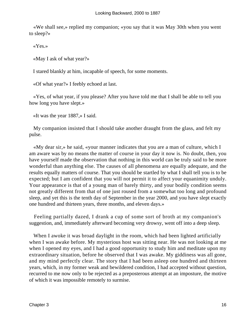«We shall see,» replied my companion; «you say that it was May 30th when you went to sleep?»

«Yes.»

«May I ask of what year?»

I stared blankly at him, incapable of speech, for some moments.

«Of what year?» I feebly echoed at last.

 «Yes, of what year, if you please? After you have told me that I shall be able to tell you how long you have slept.»

«It was the year 1887,» I said.

 My companion insisted that I should take another draught from the glass, and felt my pulse.

 «My dear sir,» he said, «your manner indicates that you are a man of culture, which I am aware was by no means the matter of course in your day it now is. No doubt, then, you have yourself made the observation that nothing in this world can be truly said to be more wonderful than anything else. The causes of all phenomena are equally adequate, and the results equally matters of course. That you should be startled by what I shall tell you is to be expected; but I am confident that you will not permit it to affect your equanimity unduly. Your appearance is that of a young man of barely thirty, and your bodily condition seems not greatly different from that of one just roused from a somewhat too long and profound sleep, and yet this is the tenth day of September in the year 2000, and you have slept exactly one hundred and thirteen years, three months, and eleven days.»

 Feeling partially dazed, I drank a cup of some sort of broth at my companion's suggestion, and, immediately afterward becoming very drowsy, went off into a deep sleep.

When I awoke it was broad daylight in the room, which had been lighted artificially when I was awake before. My mysterious host was sitting near. He was not looking at me when I opened my eyes, and I had a good opportunity to study him and meditate upon my extraordinary situation, before he observed that I was awake. My giddiness was all gone, and my mind perfectly clear. The story that I had been asleep one hundred and thirteen years, which, in my former weak and bewildered condition, I had accepted without question, recurred to me now only to be rejected as a preposterous attempt at an imposture, the motive of which it was impossible remotely to surmise.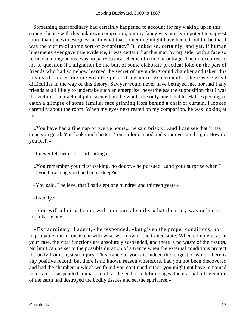Something extraordinary had certainly happened to account for my waking up in this strange house with this unknown companion, but my fancy was utterly impotent to suggest more than the wildest guess as to what that something might have been. Could it be that I was the victim of some sort of conspiracy? It looked so, certainly; and yet, if human lineaments ever gave true evidence, it was certain that this man by my side, with a face so refined and ingenuous, was no party to any scheme of crime or outrage. Then it occurred to me to question if I might not be the butt of some elaborate practical joke on the part of friends who had somehow learned the secret of my underground chamber and taken this means of impressing me with the peril of mesmeric experiments. There were great difficulties in the way of this theory; Sawyer would never have betrayed me, nor had I any friends at all likely to undertake such an enterprise; nevertheless the supposition that I was the victim of a practical joke seemed on the whole the only one tenable. Half expecting to catch a glimpse of some familiar face grinning from behind a chair or curtain, I looked carefully about the room. When my eyes next rested on my companion, he was looking at me.

 «You have had a fine nap of twelve hours,» he said briskly, «and I can see that it has done you good. You look much better. Your color is good and your eyes are bright. How do you feel?»

«I never felt better,» I said, sitting up.

 «You remember your first waking, no doubt,» he pursued, «and your surprise when I told you how long you had been asleep?»

«You said, I believe, that I had slept one hundred and thirteen years.»

«Exactly.»

 «You will admit,» I said, with an ironical smile, «that the story was rather an improbable one.»

 «Extraordinary, I admit,» he responded, «but given the proper conditions, not improbable nor inconsistent with what we know of the trance state. When complete, as in your case, the vital functions are absolutely suspended, and there is no waste of the tissues. No limit can be set to the possible duration of a trance when the external conditions protect the body from physical injury. This trance of yours is indeed the longest of which there is any positive record, but there is no known reason wherefore, had you not been discovered and had the chamber in which we found you continued intact, you might not have remained in a state of suspended animation till, at the end of indefinite ages, the gradual refrigeration of the earth had destroyed the bodily tissues and set the spirit free.»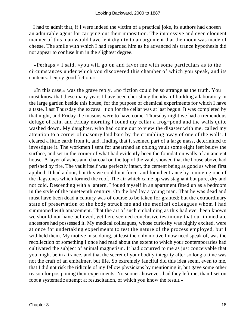I had to admit that, if I were indeed the victim of a practical joke, its authors had chosen an admirable agent for carrying out their imposition. The impressive and even eloquent manner of this man would have lent dignity to an argument that the moon was made of cheese. The smile with which I had regarded him as he advanced his trance hypothesis did not appear to confuse him in the slightest degree.

 «Perhaps,» I said, «you will go on and favor me with some particulars as to the circumstances under which you discovered this chamber of which you speak, and its contents. I enjoy good fiction.»

 «In this case,» was the grave reply, «no fiction could be so strange as the truth. You must know that these many years I have been cherishing the idea of building a laboratory in the large garden beside this house, for the purpose of chemical experiments for which I have a taste. Last Thursday the excava− tion for the cellar was at last begun. It was completed by that night, and Friday the masons were to have come. Thursday night we had a tremendous deluge of rain, and Friday morning I found my cellar a frog−pond and the walls quite washed down. My daughter, who had come out to view the disaster with me, called my attention to a corner of masonry laid bare by the crumbling away of one of the walls. I cleared a little earth from it, and, finding that it seemed part of a large mass, determined to investigate it. The workmen I sent for unearthed an oblong vault some eight feet below the surface, and set in the corner of what had evidently been the foundation walls of an ancient house. A layer of ashes and charcoal on the top of the vault showed that the house above had perished by fire. The vault itself was perfectly intact, the cement being as good as when first applied. It had a door, but this we could not force, and found entrance by removing one of the flagstones which formed the roof. The air which came up was stagnant but pure, dry and not cold. Descending with a lantern, I found myself in an apartment fitted up as a bedroom in the style of the nineteenth century. On the bed lay a young man. That he was dead and must have been dead a century was of course to be taken for granted; but the extraordinary state of preservation of the body struck me and the medical colleagues whom I had summoned with amazement. That the art of such embalming as this had ever been known we should not have believed, yet here seemed conclusive testimony that our immediate ancestors had possessed it. My medical colleagues, whose curiosity was highly excited, were at once for undertaking experiments to test the nature of the process employed, but I withheld them. My motive in so doing, at least the only motive I now need speak of, was the recollection of something I once had read about the extent to which your contemporaries had cultivated the subject of animal magnetism. It had occurred to me as just conceivable that you might be in a trance, and that the secret of your bodily integrity after so long a time was not the craft of an embalmer, but life. So extremely fanciful did this idea seem, even to me, that I did not risk the ridicule of my fellow physicians by mentioning it, but gave some other reason for postponing their experiments. No sooner, however, had they left me, than I set on foot a systematic attempt at resuscitation, of which you know the result.»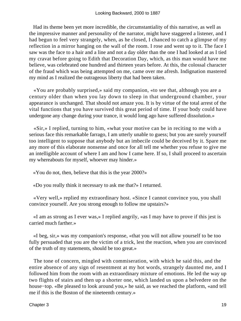Had its theme been yet more incredible, the circumstantiality of this narrative, as well as the impressive manner and personality of the narrator, might have staggered a listener, and I had begun to feel very strangely, when, as he closed, I chanced to catch a glimpse of my reflection in a mirror hanging on the wall of the room. I rose and went up to it. The face I saw was the face to a hair and a line and not a day older than the one I had looked at as I tied my cravat before going to Edith that Decoration Day, which, as this man would have me believe, was celebrated one hundred and thirteen years before. At this, the colossal character of the fraud which was being attempted on me, came over me afresh. Indignation mastered my mind as I realized the outrageous liberty that had been taken.

 «You are probably surprised,» said my companion, «to see that, although you are a century older than when you lay down to sleep in that underground chamber, your appearance is unchanged. That should not amaze you. It is by virtue of the total arrest of the vital functions that you have survived this great period of time. If your body could have undergone any change during your trance, it would long ago have suffered dissolution.»

 «Sir,» I replied, turning to him, «what your motive can be in reciting to me with a serious face this remarkable farrago, I am utterly unable to guess; but you are surely yourself too intelligent to suppose that anybody but an imbecile could be deceived by it. Spare me any more of this elaborate nonsense and once for all tell me whether you refuse to give me an intelligible account of where I am and how I came here. If so, I shall proceed to ascertain my whereabouts for myself, whoever may hinder.»

«You do not, then, believe that this is the year 2000?»

«Do you really think it necessary to ask me that?» I returned.

 «Very well,» replied my extraordinary host. «Since I cannot convince you, you shall convince yourself. Are you strong enough to follow me upstairs?»

 «I am as strong as I ever was,» I replied angrily, «as I may have to prove if this jest is carried much farther.»

 «I beg, sir,» was my companion's response, «that you will not allow yourself to be too fully persuaded that you are the victim of a trick, lest the reaction, when you are convinced of the truth of my statements, should be too great.»

 The tone of concern, mingled with commiseration, with which he said this, and the entire absence of any sign of resentment at my hot words, strangely daunted me, and I followed him from the room with an extraordinary mixture of emotions. He led the way up two flights of stairs and then up a shorter one, which landed us upon a belvedere on the house−top. «Be pleased to look around you,» he said, as we reached the platform, «and tell me if this is the Boston of the nineteenth century.»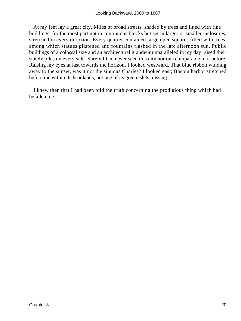At my feet lay a great city. Miles of broad streets, shaded by trees and lined with fine buildings, for the most part not in continuous blocks but set in larger or smaller inclosures, stretched in every direction. Every quarter contained large open squares filled with trees, among which statues glistened and fountains flashed in the late afternoon sun. Public buildings of a colossal size and an architectural grandeur unparalleled in my day raised their stately piles on every side. Surely I had never seen this city nor one comparable to it before. Raising my eyes at last towards the horizon, I looked westward. That blue ribbon winding away to the sunset, was it not the sinuous Charles? I looked east; Boston harbor stretched before me within its headlands, not one of its green islets missing.

 I knew then that I had been told the truth concerning the prodigious thing which had befallen me.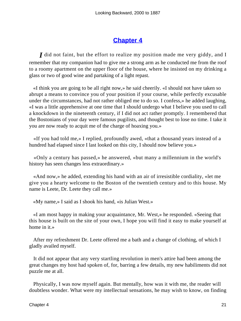#### **[Chapter 4](#page-163-0)**

*I* did not faint, but the effort to realize my position made me very giddy, and I remember that my companion had to give me a strong arm as he conducted me from the roof to a roomy apartment on the upper floor of the house, where he insisted on my drinking a glass or two of good wine and partaking of a light repast.

 «I think you are going to be all right now,» he said cheerily. «I should not have taken so abrupt a means to convince you of your position if your course, while perfectly excusable under the circumstances, had not rather obliged me to do so. I confess,» he added laughing, «I was a little apprehensive at one time that I should undergo what I believe you used to call a knockdown in the nineteenth century, if I did not act rather promptly. I remembered that the Bostonians of your day were famous pugilists, and thought best to lose no time. I take it you are now ready to acquit me of the charge of hoaxing you.»

 «If you had told me,» I replied, profoundly awed, «that a thousand years instead of a hundred had elapsed since I last looked on this city, I should now believe you.»

 «Only a century has passed,» he answered, «but many a millennium in the world's history has seen changes less extraordinary.»

 «And now,» he added, extending his hand with an air of irresistible cordiality, «let me give you a hearty welcome to the Boston of the twentieth century and to this house. My name is Leete, Dr. Leete they call me.»

«My name,» I said as I shook his hand, «is Julian West.»

 «I am most happy in making your acquaintance, Mr. West,» he responded. «Seeing that this house is built on the site of your own, I hope you will find it easy to make yourself at home in it.»

 After my refreshment Dr. Leete offered me a bath and a change of clothing, of which I gladly availed myself.

 It did not appear that any very startling revolution in men's attire had been among the great changes my host had spoken of, for, barring a few details, my new habiliments did not puzzle me at all.

 Physically, I was now myself again. But mentally, how was it with me, the reader will doubtless wonder. What were my intellectual sensations, he may wish to know, on finding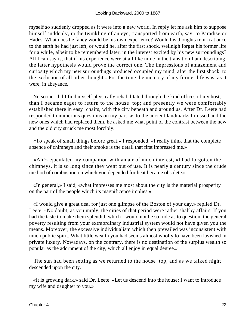myself so suddenly dropped as it were into a new world. In reply let me ask him to suppose himself suddenly, in the twinkling of an eye, transported from earth, say, to Paradise or Hades. What does he fancy would be his own experience? Would his thoughts return at once to the earth he had just left, or would he, after the first shock, wellnigh forget his former life for a while, albeit to be remembered later, in the interest excited by his new surroundings? All I can say is, that if his experience were at all like mine in the transition I am describing, the latter hypothesis would prove the correct one. The impressions of amazement and curiosity which my new surroundings produced occupied my mind, after the first shock, to the exclusion of all other thoughts. For the time the memory of my former life was, as it were, in abeyance.

 No sooner did I find myself physically rehabilitated through the kind offices of my host, than I became eager to return to the house−top; and presently we were comfortably established there in easy−chairs, with the city beneath and around us. After Dr. Leete had responded to numerous questions on my part, as to the ancient landmarks I missed and the new ones which had replaced them, he asked me what point of the contrast between the new and the old city struck me most forcibly.

 «To speak of small things before great,» I responded, «I really think that the complete absence of chimneys and their smoke is the detail that first impressed me.»

 «Ah!» ejaculated my companion with an air of much interest, «I had forgotten the chimneys, it is so long since they went out of use. It is nearly a century since the crude method of combustion on which you depended for heat became obsolete.»

 «In general,» I said, «what impresses me most about the city is the material prosperity on the part of the people which its magnificence implies.»

 «I would give a great deal for just one glimpse of the Boston of your day,» replied Dr. Leete. «No doubt, as you imply, the cities of that period were rather shabby affairs. If you had the taste to make them splendid, which I would not be so rude as to question, the general poverty resulting from your extraordinary industrial system would not have given you the means. Moreover, the excessive individualism which then prevailed was inconsistent with much public spirit. What little wealth you had seems almost wholly to have been lavished in private luxury. Nowadays, on the contrary, there is no destination of the surplus wealth so popular as the adornment of the city, which all enjoy in equal degree.»

 The sun had been setting as we returned to the house−top, and as we talked night descended upon the city.

 «It is growing dark,» said Dr. Leete. «Let us descend into the house; I want to introduce my wife and daughter to you.»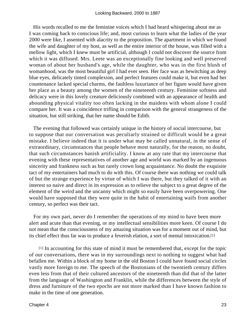His words recalled to me the feminine voices which I had heard whispering about me as I was coming back to conscious life; and, most curious to learn what the ladies of the year 2000 were like, I assented with alacrity to the proposition. The apartment in which we found the wife and daughter of my host, as well as the entire interior of the house, was filled with a mellow light, which I knew must be artificial, although I could not discover the source from which it was diffused. Mrs. Leete was an exceptionally fine looking and well preserved woman of about her husband's age, while the daughter, who was in the first blush of womanhood, was the most beautiful girl I had ever seen. Her face was as bewitching as deep blue eyes, delicately tinted complexion, and perfect features could make it, but even had her countenance lacked special charms, the faultless luxuriance of her figure would have given her place as a beauty among the women of the nineteenth century. Feminine softness and delicacy were in this lovely creature deliciously combined with an appearance of health and abounding physical vitality too often lacking in the maidens with whom alone I could compare her. It was a coincidence trifling in comparison with the general strangeness of the situation, but still striking, that her name should be Edith.

 The evening that followed was certainly unique in the history of social intercourse, but to suppose that our conversation was peculiarly strained or difficult would be a great mistake. I believe indeed that it is under what may be called unnatural, in the sense of extraordinary, circumstances that people behave most naturally, for the reason, no doubt, that such circumstances banish artificiality. I know at any rate that my intercourse that evening with these representatives of another age and world was marked by an ingenuous sincerity and frankness such as but rarely crown long acquaintance. No doubt the exquisite tact of my entertainers had much to do with this. Of course there was nothing we could talk of but the strange experience by virtue of which I was there, but they talked of it with an interest so naive and direct in its expression as to relieve the subject to a great degree of the element of the weird and the uncanny which might so easily have been overpowering. One would have supposed that they were quite in the habit of entertaining waifs from another century, so perfect was their tact.

 For my own part, never do I remember the operations of my mind to have been more alert and acute than that evening, or my intellectual sensibilities more keen. Of course I do not mean that the consciousness of my amazing situation was for a moment out of mind, but its chief effect thus far was to produce a feverish elation, a sort of mental intoxication.[1]

[1] In accounting for this state of mind it must be remembered that, except for the topic of our conversations, there was in my surroundings next to nothing to suggest what had befallen me. Within a block of my home in the old Boston I could have found social circles vastly more foreign to me. The speech of the Bostonians of the twentieth century differs even less from that of their cultured ancestors of the nineteenth than did that of the latter from the language of Washington and Franklin, while the differences between the style of dress and furniture of the two epochs are not more marked than I have known fashion to make in the time of one generation.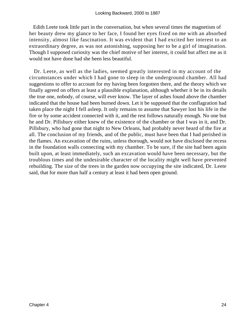Edith Leete took little part in the conversation, but when several times the magnetism of her beauty drew my glance to her face, I found her eyes fixed on me with an absorbed intensity, almost like fascination. It was evident that I had excited her interest to an extraordinary degree, as was not astonishing, supposing her to be a girl of imagination. Though I supposed curiosity was the chief motive of her interest, it could but affect me as it would not have done had she been less beautiful.

 Dr. Leete, as well as the ladies, seemed greatly interested in my account of the circumstances under which I had gone to sleep in the underground chamber. All had suggestions to offer to account for my having been forgotten there, and the theory which we finally agreed on offers at least a plausible explanation, although whether it be in its details the true one, nobody, of course, will ever know. The layer of ashes found above the chamber indicated that the house had been burned down. Let it be supposed that the conflagration had taken place the night I fell asleep. It only remains to assume that Sawyer lost his life in the fire or by some accident connected with it, and the rest follows naturally enough. No one but he and Dr. Pillsbury either knew of the existence of the chamber or that I was in it, and Dr. Pillsbury, who had gone that night to New Orleans, had probably never heard of the fire at all. The conclusion of my friends, and of the public, must have been that I had perished in the flames. An excavation of the ruins, unless thorough, would not have disclosed the recess in the foundation walls connecting with my chamber. To be sure, if the site had been again built upon, at least immediately, such an excavation would have been necessary, but the troublous times and the undesirable character of the locality might well have prevented rebuilding. The size of the trees in the garden now occupying the site indicated, Dr. Leete said, that for more than half a century at least it had been open ground.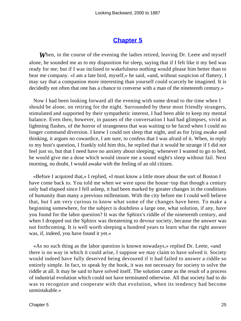## **[Chapter 5](#page-163-0)**

*W*hen, in the course of the evening the ladies retired, leaving Dr. Leete and myself alone, he sounded me as to my disposition for sleep, saying that if I felt like it my bed was ready for me; but if I was inclined to wakefulness nothing would please him better than to bear me company. «I am a late bird, myself,» he said, «and, without suspicion of flattery, I may say that a companion more interesting than yourself could scarcely be imagined. It is decidedly not often that one has a chance to converse with a man of the nineteenth century.»

 Now I had been looking forward all the evening with some dread to the time when I should be alone, on retiring for the night. Surrounded by these most friendly strangers, stimulated and supported by their sympathetic interest, I had been able to keep my mental balance. Even then, however, in pauses of the conversation I had had glimpses, vivid as lightning flashes, of the horror of strangeness that was waiting to be faced when I could no longer command diversion. I knew I could not sleep that night, and as for lying awake and thinking, it argues no cowardice, I am sure, to confess that I was afraid of it. When, in reply to my host's question, I frankly told him this, he replied that it would be strange if I did not feel just so, but that I need have no anxiety about sleeping; whenever I wanted to go to bed, he would give me a dose which would insure me a sound night's sleep without fail. Next morning, no doubt, I would awake with the feeling of an old citizen.

 «Before I acquired that,» I replied, «I must know a little more about the sort of Boston I have come back to. You told me when we were upon the house−top that though a century only had elapsed since I fell asleep, it had been marked by greater changes in the conditions of humanity than many a previous millennium. With the city before me I could well believe that, but I am very curious to know what some of the changes have been. To make a beginning somewhere, for the subject is doubtless a large one, what solution, if any, have you found for the labor question? It was the Sphinx's riddle of the nineteenth century, and when I dropped out the Sphinx was threatening to devour society, because the answer was not forthcoming. It is well worth sleeping a hundred years to learn what the right answer was, if, indeed, you have found it yet.»

 «As no such thing as the labor question is known nowadays,» replied Dr. Leete, «and there is no way in which it could arise, I suppose we may claim to have solved it. Society would indeed have fully deserved being devoured if it had failed to answer a riddle so entirely simple. In fact, to speak by the book, it was not necessary for society to solve the riddle at all. It may be said to have solved itself. The solution came as the result of a process of industrial evolution which could not have terminated otherwise. All that society had to do was to recognize and cooperate with that evolution, when its tendency had become unmistakable.»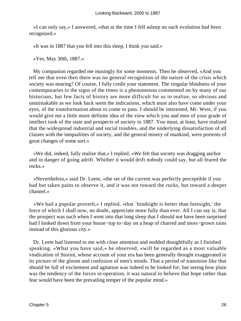«I can only say,» I answered, «that at the time I fell asleep no such evolution had been recognized.»

«It was in 1887 that you fell into this sleep, I think you said.»

«Yes, May 30th, 1887.»

 My companion regarded me musingly for some moments. Then he observed, «And you tell me that even then there was no general recognition of the nature of the crisis which society was nearing? Of course, I fully credit your statement. The singular blindness of your contemporaries to the signs of the times is a phenomenon commented on by many of our historians, but few facts of history are more difficult for us to realize, so obvious and unmistakable as we look back seem the indications, which must also have come under your eyes, of the transformation about to come to pass. I should be interested, Mr. West, if you would give me a little more definite idea of the view which you and men of your grade of intellect took of the state and prospects of society in 1887. You must, at least, have realized that the widespread industrial and social troubles, and the underlying dissatisfaction of all classes with the inequalities of society, and the general misery of mankind, were portents of great changes of some sort.»

 «We did, indeed, fully realize that,» I replied. «We felt that society was dragging anchor and in danger of going adrift. Whither it would drift nobody could say, but all feared the rocks.»

 «Nevertheless,» said Dr. Leete, «the set of the current was perfectly perceptible if you had but taken pains to observe it, and it was not toward the rocks, but toward a deeper channel.»

 «We had a popular proverb,» I replied, «that `hindsight is better than foresight,' the force of which I shall now, no doubt, appreciate more fully than ever. All I can say is, that the prospect was such when I went into that long sleep that I should not have been surprised had I looked down from your house−top to−day on a heap of charred and moss−grown ruins instead of this glorious city.»

 Dr. Leete had listened to me with close attention and nodded thoughtfully as I finished speaking. «What you have said,» he observed, «will be regarded as a most valuable vindication of Storiot, whose account of your era has been generally thought exaggerated in its picture of the gloom and confusion of men's minds. That a period of transition like that should be full of excitement and agitation was indeed to be looked for; but seeing how plain was the tendency of the forces in operation, it was natural to believe that hope rather than fear would have been the prevailing temper of the popular mind.»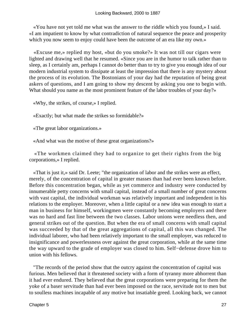«You have not yet told me what was the answer to the riddle which you found,» I said. «I am impatient to know by what contradiction of natural sequence the peace and prosperity which you now seem to enjoy could have been the outcome of an era like my own.»

 «Excuse me,» replied my host, «but do you smoke?» It was not till our cigars were lighted and drawing well that he resumed. «Since you are in the humor to talk rather than to sleep, as I certainly am, perhaps I cannot do better than to try to give you enough idea of our modern industrial system to dissipate at least the impression that there is any mystery about the process of its evolution. The Bostonians of your day had the reputation of being great askers of questions, and I am going to show my descent by asking you one to begin with. What should you name as the most prominent feature of the labor troubles of your day?»

«Why, the strikes, of course,» I replied.

«Exactly; but what made the strikes so formidable?»

«The great labor organizations.»

«And what was the motive of these great organizations?»

 «The workmen claimed they had to organize to get their rights from the big corporations,» I replied.

 «That is just it,» said Dr. Leete; "the organization of labor and the strikes were an effect, merely, of the concentration of capital in greater masses than had ever been known before. Before this concentration began, while as yet commerce and industry were conducted by innumerable petty concerns with small capital, instead of a small number of great concerns with vast capital, the individual workman was relatively important and independent in his relations to the employer. Moreover, when a little capital or a new idea was enough to start a man in business for himself, workingmen were constantly becoming employers and there was no hard and fast line between the two classes. Labor unions were needless then, and general strikes out of the question. But when the era of small concerns with small capital was succeeded by that of the great aggregations of capital, all this was changed. The individual laborer, who had been relatively important to the small employer, was reduced to insignificance and powerlessness over against the great corporation, while at the same time the way upward to the grade of employer was closed to him. Self−defense drove him to union with his fellows.

 "The records of the period show that the outcry against the concentration of capital was furious. Men believed that it threatened society with a form of tyranny more abhorrent than it had ever endured. They believed that the great corporations were preparing for them the yoke of a baser servitude than had ever been imposed on the race, servitude not to men but to soulless machines incapable of any motive but insatiable greed. Looking back, we cannot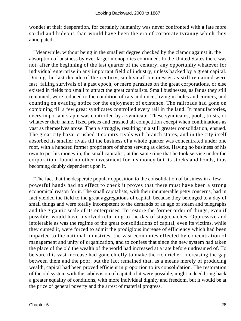wonder at their desperation, for certainly humanity was never confronted with a fate more sordid and hideous than would have been the era of corporate tyranny which they anticipated.

 "Meanwhile, without being in the smallest degree checked by the clamor against it, the absorption of business by ever larger monopolies continued. In the United States there was not, after the beginning of the last quarter of the century, any opportunity whatever for individual enterprise in any important field of industry, unless backed by a great capital. During the last decade of the century, such small businesses as still remained were fast−failing survivals of a past epoch, or mere parasites on the great corporations, or else existed in fields too small to attract the great capitalists. Small businesses, as far as they still remained, were reduced to the condition of rats and mice, living in holes and corners, and counting on evading notice for the enjoyment of existence. The railroads had gone on combining till a few great syndicates controlled every rail in the land. In manufactories, every important staple was controlled by a syndicate. These syndicates, pools, trusts, or whatever their name, fixed prices and crushed all competition except when combinations as vast as themselves arose. Then a struggle, resulting in a still greater consolidation, ensued. The great city bazar crushed it country rivals with branch stores, and in the city itself absorbed its smaller rivals till the business of a whole quarter was concentrated under one roof, with a hundred former proprietors of shops serving as clerks. Having no business of his own to put his money in, the small capitalist, at the same time that he took service under the corporation, found no other investment for his money but its stocks and bonds, thus becoming doubly dependent upon it.

 "The fact that the desperate popular opposition to the consolidation of business in a few powerful hands had no effect to check it proves that there must have been a strong economical reason for it. The small capitalists, with their innumerable petty concerns, had in fact yielded the field to the great aggregations of capital, because they belonged to a day of small things and were totally incompetent to the demands of an age of steam and telegraphs and the gigantic scale of its enterprises. To restore the former order of things, even if possible, would have involved returning to the day of stagecoaches. Oppressive and intolerable as was the regime of the great consolidations of capital, even its victims, while they cursed it, were forced to admit the prodigious increase of efficiency which had been imparted to the national industries, the vast economies effected by concentration of management and unity of organization, and to confess that since the new system had taken the place of the old the wealth of the world had increased at a rate before undreamed of. To be sure this vast increase had gone chiefly to make the rich richer, increasing the gap between them and the poor; but the fact remained that, as a means merely of producing wealth, capital had been proved efficient in proportion to its consolidation. The restoration of the old system with the subdivision of capital, if it were possible, might indeed bring back a greater equality of conditions, with more individual dignity and freedom, but it would be at the price of general poverty and the arrest of material progress.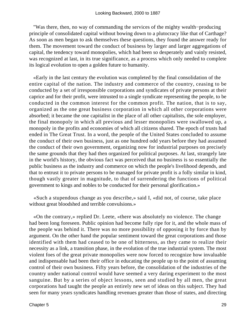"Was there, then, no way of commanding the services of the mighty wealth−producing principle of consolidated capital without bowing down to a plutocracy like that of Carthage? As soon as men began to ask themselves these questions, they found the answer ready for them. The movement toward the conduct of business by larger and larger aggregations of capital, the tendency toward monopolies, which had been so desperately and vainly resisted, was recognized at last, in its true significance, as a process which only needed to complete its logical evolution to open a golden future to humanity.

 «Early in the last century the evolution was completed by the final consolidation of the entire capital of the nation. The industry and commerce of the country, ceasing to be conducted by a set of irresponsible corporations and syndicates of private persons at their caprice and for their profit, were intrusted to a single syndicate representing the people, to be conducted in the common interest for the common profit. The nation, that is to say, organized as the one great business corporation in which all other corporations were absorbed; it became the one capitalist in the place of all other capitalists, the sole employer, the final monopoly in which all previous and lesser monopolies were swallowed up, a monopoly in the profits and economies of which all citizens shared. The epoch of trusts had ended in The Great Trust. In a word, the people of the United States concluded to assume the conduct of their own business, just as one hundred odd years before they had assumed the conduct of their own government, organizing now for industrial purposes on precisely the same grounds that they had then organized for political purposes. At last, strangely late in the world's history, the obvious fact was perceived that no business is so essentially the public business as the industry and commerce on which the people's livelihood depends, and that to entrust it to private persons to be managed for private profit is a folly similar in kind, though vastly greater in magnitude, to that of surrendering the functions of political government to kings and nobles to be conducted for their personal glorification.»

 «Such a stupendous change as you describe,» said I, «did not, of course, take place without great bloodshed and terrible convulsions.»

 «On the contrary,» replied Dr. Leete, «there was absolutely no violence. The change had been long foreseen. Public opinion had become fully ripe for it, and the whole mass of the people was behind it. There was no more possibility of opposing it by force than by argument. On the other hand the popular sentiment toward the great corporations and those identified with them had ceased to be one of bitterness, as they came to realize their necessity as a link, a transition phase, in the evolution of the true industrial system. The most violent foes of the great private monopolies were now forced to recognize how invaluable and indispensable had been their office in educating the people up to the point of assuming control of their own business. Fifty years before, the consolidation of the industries of the country under national control would have seemed a very daring experiment to the most sanguine. But by a series of object lessons, seen and studied by all men, the great corporations had taught the people an entirely new set of ideas on this subject. They had seen for many years syndicates handling revenues greater than those of states, and directing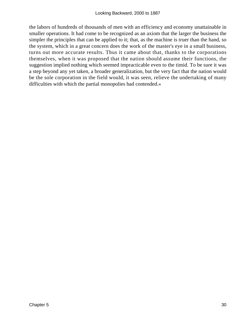the labors of hundreds of thousands of men with an efficiency and economy unattainable in smaller operations. It had come to be recognized as an axiom that the larger the business the simpler the principles that can be applied to it; that, as the machine is truer than the hand, so the system, which in a great concern does the work of the master's eye in a small business, turns out more accurate results. Thus it came about that, thanks to the corporations themselves, when it was proposed that the nation should assume their functions, the suggestion implied nothing which seemed impracticable even to the timid. To be sure it was a step beyond any yet taken, a broader generalization, but the very fact that the nation would be the sole corporation in the field would, it was seen, relieve the undertaking of many difficulties with which the partial monopolies had contended.»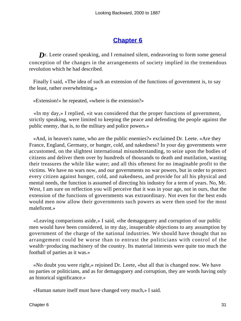## **[Chapter 6](#page-163-0)**

**D**r. Leete ceased speaking, and I remained silent, endeavoring to form some general conception of the changes in the arrangements of society implied in the tremendous revolution which he had described.

 Finally I said, «The idea of such an extension of the functions of government is, to say the least, rather overwhelming.»

«Extension!» he repeated, «where is the extension?»

 «In my day,» I replied, «it was considered that the proper functions of government, strictly speaking, were limited to keeping the peace and defending the people against the public enemy, that is, to the military and police powers.»

 «And, in heaven's name, who are the public enemies?» exclaimed Dr. Leete. «Are they France, England, Germany, or hunger, cold, and nakedness? In your day governments were accustomed, on the slightest international misunderstanding, to seize upon the bodies of citizens and deliver them over by hundreds of thousands to death and mutilation, wasting their treasures the while like water; and all this oftenest for no imaginable profit to the victims. We have no wars now, and our governments no war powers, but in order to protect every citizen against hunger, cold, and nakedness, and provide for all his physical and mental needs, the function is assumed of directing his industry for a term of years. No, Mr. West, I am sure on reflection you will perceive that it was in your age, not in ours, that the extension of the functions of governments was extraordinary. Not even for the best ends would men now allow their governments such powers as were then used for the most maleficent.»

 «Leaving comparisons aside,» I said, «the demagoguery and corruption of our public men would have been considered, in my day, insuperable objections to any assumption by government of the charge of the national industries. We should have thought that no arrangement could be worse than to entrust the politicians with control of the wealth−producing machinery of the country. Its material interests were quite too much the football of parties as it was.»

 «No doubt you were right,» rejoined Dr. Leete, «but all that is changed now. We have no parties or politicians, and as for demagoguery and corruption, they are words having only an historical significance.»

«Human nature itself must have changed very much,» I said.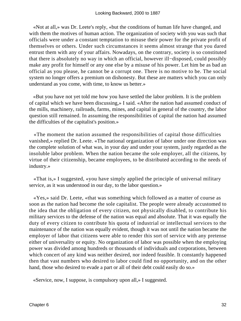«Not at all,» was Dr. Leete's reply, «but the conditions of human life have changed, and with them the motives of human action. The organization of society with you was such that officials were under a constant temptation to misuse their power for the private profit of themselves or others. Under such circumstances it seems almost strange that you dared entrust them with any of your affairs. Nowadays, on the contrary, society is so constituted that there is absolutely no way in which an official, however ill−disposed, could possibly make any profit for himself or any one else by a misuse of his power. Let him be as bad an official as you please, he cannot be a corrupt one. There is no motive to be. The social system no longer offers a premium on dishonesty. But these are matters which you can only understand as you come, with time, to know us better.»

 «But you have not yet told me how you have settled the labor problem. It is the problem of capital which we have been discussing,» I said. «After the nation had assumed conduct of the mills, machinery, railroads, farms, mines, and capital in general of the country, the labor question still remained. In assuming the responsibilities of capital the nation had assumed the difficulties of the capitalist's position.»

 «The moment the nation assumed the responsibilities of capital those difficulties vanished,» replied Dr. Leete. «The national organization of labor under one direction was the complete solution of what was, in your day and under your system, justly regarded as the insoluble labor problem. When the nation became the sole employer, all the citizens, by virtue of their citizenship, became employees, to be distributed according to the needs of industry.»

 «That is,» I suggested, «you have simply applied the principle of universal military service, as it was understood in our day, to the labor question.»

 «Yes,» said Dr. Leete, «that was something which followed as a matter of course as soon as the nation had become the sole capitalist. The people were already accustomed to the idea that the obligation of every citizen, not physically disabled, to contribute his military services to the defense of the nation was equal and absolute. That it was equally the duty of every citizen to contribute his quota of industrial or intellectual services to the maintenance of the nation was equally evident, though it was not until the nation became the employer of labor that citizens were able to render this sort of service with any pretense either of universality or equity. No organization of labor was possible when the employing power was divided among hundreds or thousands of individuals and corporations, between which concert of any kind was neither desired, nor indeed feasible. It constantly happened then that vast numbers who desired to labor could find no opportunity, and on the other hand, those who desired to evade a part or all of their debt could easily do so.»

«Service, now, I suppose, is compulsory upon all,» I suggested.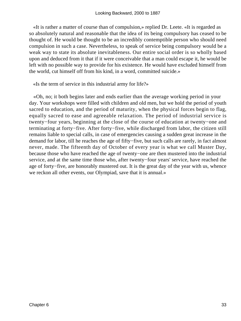«It is rather a matter of course than of compulsion,» replied Dr. Leete. «It is regarded as so absolutely natural and reasonable that the idea of its being compulsory has ceased to be thought of. He would be thought to be an incredibly contemptible person who should need compulsion in such a case. Nevertheless, to speak of service being compulsory would be a weak way to state its absolute inevitableness. Our entire social order is so wholly based upon and deduced from it that if it were conceivable that a man could escape it, he would be left with no possible way to provide for his existence. He would have excluded himself from the world, cut himself off from his kind, in a word, committed suicide.»

«Is the term of service in this industrial army for life?»

 «Oh, no; it both begins later and ends earlier than the average working period in your day. Your workshops were filled with children and old men, but we hold the period of youth sacred to education, and the period of maturity, when the physical forces begin to flag, equally sacred to ease and agreeable relaxation. The period of industrial service is twenty−four years, beginning at the close of the course of education at twenty−one and terminating at forty−five. After forty−five, while discharged from labor, the citizen still remains liable to special calls, in case of emergencies causing a sudden great increase in the demand for labor, till he reaches the age of fifty−five, but such calls are rarely, in fact almost never, made. The fifteenth day of October of every year is what we call Muster Day, because those who have reached the age of twenty−one are then mustered into the industrial service, and at the same time those who, after twenty−four years' service, have reached the age of forty−five, are honorably mustered out. It is the great day of the year with us, whence we reckon all other events, our Olympiad, save that it is annual.»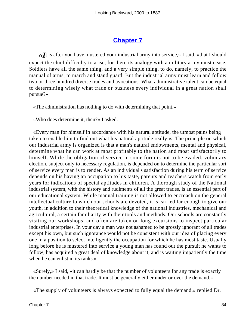## **[Chapter 7](#page-163-0)**

**«I**t is after you have mustered your industrial army into service,» I said, «that I should expect the chief difficulty to arise, for there its analogy with a military army must cease. Soldiers have all the same thing, and a very simple thing, to do, namely, to practice the manual of arms, to march and stand guard. But the industrial army must learn and follow two or three hundred diverse trades and avocations. What administrative talent can be equal to determining wisely what trade or business every individual in a great nation shall pursue?»

«The administration has nothing to do with determining that point.»

«Who does determine it, then?» I asked.

 «Every man for himself in accordance with his natural aptitude, the utmost pains being taken to enable him to find out what his natural aptitude really is. The principle on which our industrial army is organized is that a man's natural endowments, mental and physical, determine what he can work at most profitably to the nation and most satisfactorily to himself. While the obligation of service in some form is not to be evaded, voluntary election, subject only to necessary regulation, is depended on to determine the particular sort of service every man is to render. As an individual's satisfaction during his term of service depends on his having an occupation to his taste, parents and teachers watch from early years for indications of special aptitudes in children. A thorough study of the National industrial system, with the history and rudiments of all the great trades, is an essential part of our educational system. While manual training is not allowed to encroach on the general intellectual culture to which our schools are devoted, it is carried far enough to give our youth, in addition to their theoretical knowledge of the national industries, mechanical and agricultural, a certain familiarity with their tools and methods. Our schools are constantly visiting our workshops, and often are taken on long excursions to inspect particular industrial enterprises. In your day a man was not ashamed to be grossly ignorant of all trades except his own, but such ignorance would not be consistent with our idea of placing every one in a position to select intelligently the occupation for which he has most taste. Usually long before he is mustered into service a young man has found out the pursuit he wants to follow, has acquired a great deal of knowledge about it, and is waiting impatiently the time when he can enlist in its ranks.»

 «Surely,» I said, «it can hardly be that the number of volunteers for any trade is exactly the number needed in that trade. It must be generally either under or over the demand.»

«The supply of volunteers is always expected to fully equal the demand,» replied Dr.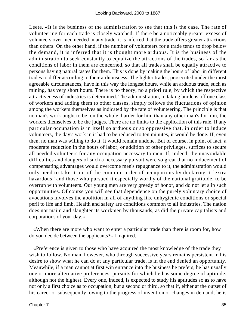Leete. «It is the business of the administration to see that this is the case. The rate of volunteering for each trade is closely watched. If there be a noticeably greater excess of volunteers over men needed in any trade, it is inferred that the trade offers greater attractions than others. On the other hand, if the number of volunteers for a trade tends to drop below the demand, it is inferred that it is thought more arduous. It is the business of the administration to seek constantly to equalize the attractions of the trades, so far as the conditions of labor in them are concerned, so that all trades shall be equally attractive to persons having natural tastes for them. This is done by making the hours of labor in different trades to differ according to their arduousness. The lighter trades, prosecuted under the most agreeable circumstances, have in this way the longest hours, while an arduous trade, such as mining, has very short hours. There is no theory, no a priori rule, by which the respective attractiveness of industries is determined. The administration, in taking burdens off one class of workers and adding them to other classes, simply follows the fluctuations of opinion among the workers themselves as indicated by the rate of volunteering. The principle is that no man's work ought to be, on the whole, harder for him than any other man's for him, the workers themselves to be the judges. There are no limits to the application of this rule. If any particular occupation is in itself so arduous or so oppressive that, in order to induce volunteers, the day's work in it had to be reduced to ten minutes, it would be done. If, even then, no man was willing to do it, it would remain undone. But of course, in point of fact, a moderate reduction in the hours of labor, or addition of other privileges, suffices to secure all needed volunteers for any occupation necessary to men. If, indeed, the unavoidable difficulties and dangers of such a necessary pursuit were so great that no inducement of compensating advantages would overcome men's repugnance to it, the administration would only need to take it out of the common order of occupations by declaring it `extra hazardous,' and those who pursued it especially worthy of the national gratitude, to be overrun with volunteers. Our young men are very greedy of honor, and do not let slip such opportunities. Of course you will see that dependence on the purely voluntary choice of avocations involves the abolition in all of anything like unhygienic conditions or special peril to life and limb. Health and safety are conditions common to all industries. The nation does not maim and slaughter its workmen by thousands, as did the private capitalists and corporations of your day.»

 «When there are more who want to enter a particular trade than there is room for, how do you decide between the applicants?» I inquired.

 «Preference is given to those who have acquired the most knowledge of the trade they wish to follow. No man, however, who through successive years remains persistent in his desire to show what he can do at any particular trade, is in the end denied an opportunity. Meanwhile, if a man cannot at first win entrance into the business he prefers, he has usually one or more alternative preferences, pursuits for which he has some degree of aptitude, although not the highest. Every one, indeed, is expected to study his aptitudes so as to have not only a first choice as to occupation, but a second or third, so that if, either at the outset of his career or subsequently, owing to the progress of invention or changes in demand, he is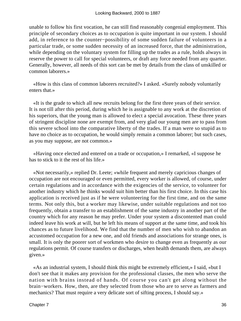unable to follow his first vocation, he can still find reasonably congenial employment. This principle of secondary choices as to occupation is quite important in our system. I should add, in reference to the counter−possibility of some sudden failure of volunteers in a particular trade, or some sudden necessity of an increased force, that the administration, while depending on the voluntary system for filling up the trades as a rule, holds always in reserve the power to call for special volunteers, or draft any force needed from any quarter. Generally, however, all needs of this sort can be met by details from the class of unskilled or common laborers.»

 «How is this class of common laborers recruited?» I asked. «Surely nobody voluntarily enters that.»

 «It is the grade to which all new recruits belong for the first three years of their service. It is not till after this period, during which he is assignable to any work at the discretion of his superiors, that the young man is allowed to elect a special avocation. These three years of stringent discipline none are exempt from, and very glad our young men are to pass from this severe school into the comparative liberty of the trades. If a man were so stupid as to have no choice as to occupation, he would simply remain a common laborer; but such cases, as you may suppose, are not common.»

 «Having once elected and entered on a trade or occupation,» I remarked, «I suppose he has to stick to it the rest of his life.»

 «Not necessarily,» replied Dr. Leete; «while frequent and merely capricious changes of occupation are not encouraged or even permitted, every worker is allowed, of course, under certain regulations and in accordance with the exigencies of the service, to volunteer for another industry which he thinks would suit him better than his first choice. In this case his application is received just as if he were volunteering for the first time, and on the same terms. Not only this, but a worker may likewise, under suitable regulations and not too frequently, obtain a transfer to an establishment of the same industry in another part of the country which for any reason he may prefer. Under your system a discontented man could indeed leave his work at will, but he left his means of support at the same time, and took his chances as to future livelihood. We find that the number of men who wish to abandon an accustomed occupation for a new one, and old friends and associations for strange ones, is small. It is only the poorer sort of workmen who desire to change even as frequently as our regulations permit. Of course transfers or discharges, when health demands them, are always given.»

 «As an industrial system, I should think this might be extremely efficient,» I said, «but I don't see that it makes any provision for the professional classes, the men who serve the nation with brains instead of hands. Of course you can't get along without the brain−workers. How, then, are they selected from those who are to serve as farmers and mechanics? That must require a very delicate sort of sifting process, I should say.»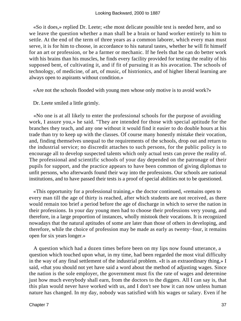«So it does,» replied Dr. Leete; «the most delicate possible test is needed here, and so we leave the question whether a man shall be a brain or hand worker entirely to him to settle. At the end of the term of three years as a common laborer, which every man must serve, it is for him to choose, in accordance to his natural tastes, whether he will fit himself for an art or profession, or be a farmer or mechanic. If he feels that he can do better work with his brains than his muscles, he finds every facility provided for testing the reality of his supposed bent, of cultivating it, and if fit of pursuing it as his avocation. The schools of technology, of medicine, of art, of music, of histrionics, and of higher liberal learning are always open to aspirants without condition.»

«Are not the schools flooded with young men whose only motive is to avoid work?»

Dr. Leete smiled a little grimly.

 «No one is at all likely to enter the professional schools for the purpose of avoiding work, I assure you,» he said. "They are intended for those with special aptitude for the branches they teach, and any one without it would find it easier to do double hours at his trade than try to keep up with the classes. Of course many honestly mistake their vocation, and, finding themselves unequal to the requirements of the schools, drop out and return to the industrial service; no discredit attaches to such persons, for the public policy is to encourage all to develop suspected talents which only actual tests can prove the reality of. The professional and scientific schools of your day depended on the patronage of their pupils for support, and the practice appears to have been common of giving diplomas to unfit persons, who afterwards found their way into the professions. Our schools are national institutions, and to have passed their tests is a proof of special abilities not to be questioned.

 «This opportunity for a professional training,» the doctor continued, «remains open to every man till the age of thirty is reached, after which students are not received, as there would remain too brief a period before the age of discharge in which to serve the nation in their professions. In your day young men had to choose their professions very young, and therefore, in a large proportion of instances, wholly mistook their vocations. It is recognized nowadays that the natural aptitudes of some are later than those of others in developing, and therefore, while the choice of profession may be made as early as twenty−four, it remains open for six years longer.»

 A question which had a dozen times before been on my lips now found utterance, a question which touched upon what, in my time, had been regarded the most vital difficulty in the way of any final settlement of the industrial problem. «It is an extraordinary thing,» I said, «that you should not yet have said a word about the method of adjusting wages. Since the nation is the sole employer, the government must fix the rate of wages and determine just how much everybody shall earn, from the doctors to the diggers. All I can say is, that this plan would never have worked with us, and I don't see how it can now unless human nature has changed. In my day, nobody was satisfied with his wages or salary. Even if he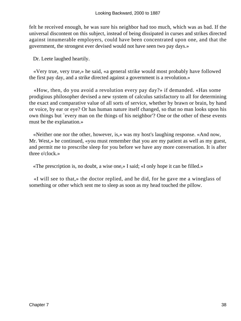felt he received enough, he was sure his neighbor had too much, which was as bad. If the universal discontent on this subject, instead of being dissipated in curses and strikes directed against innumerable employers, could have been concentrated upon one, and that the government, the strongest ever devised would not have seen two pay days.»

Dr. Leete laughed heartily.

 «Very true, very true,» he said, «a general strike would most probably have followed the first pay day, and a strike directed against a government is a revolution.»

 «How, then, do you avoid a revolution every pay day?» if demanded. «Has some prodigious philosopher devised a new system of calculus satisfactory to all for determining the exact and comparative value of all sorts of service, whether by brawn or brain, by hand or voice, by ear or eye? Or has human nature itself changed, so that no man looks upon his own things but `every man on the things of his neighbor'? One or the other of these events must be the explanation.»

 «Neither one nor the other, however, is,» was my host's laughing response. «And now, Mr. West,» he continued, «you must remember that you are my patient as well as my guest, and permit me to prescribe sleep for you before we have any more conversation. It is after three o'clock.»

«The prescription is, no doubt, a wise one,» I said; «I only hope it can be filled.»

 «I will see to that,» the doctor replied, and he did, for he gave me a wineglass of something or other which sent me to sleep as soon as my head touched the pillow.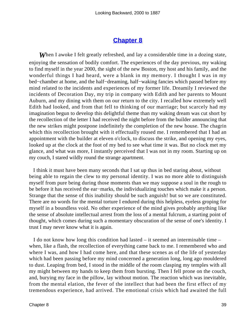#### **[Chapter 8](#page-163-0)**

**When** I awoke I felt greatly refreshed, and lay a considerable time in a dozing state, enjoying the sensation of bodily comfort. The experiences of the day previous, my waking to find myself in the year 2000, the sight of the new Boston, my host and his family, and the wonderful things I had heard, were a blank in my memory. I thought I was in my bed−chamber at home, and the half−dreaming, half−waking fancies which passed before my mind related to the incidents and experiences of my former life. Dreamily I reviewed the incidents of Decoration Day, my trip in company with Edith and her parents to Mount Auburn, and my dining with them on our return to the city. I recalled how extremely well Edith had looked, and from that fell to thinking of our marriage; but scarcely had my imagination begun to develop this delightful theme than my waking dream was cut short by the recollection of the letter I had received the night before from the builder announcing that the new strikes might postpone indefinitely the completion of the new house. The chagrin which this recollection brought with it effectually roused me. I remembered that I had an appointment with the builder at eleven o'clock, to discuss the strike, and opening my eyes, looked up at the clock at the foot of my bed to see what time it was. But no clock met my glance, and what was more, I instantly perceived that I was not in my room. Starting up on my couch, I stared wildly round the strange apartment.

 I think it must have been many seconds that I sat up thus in bed staring about, without being able to regain the clew to my personal identity. I was no more able to distinguish myself from pure being during those moments than we may suppose a soul in the rough to be before it has received the ear−marks, the individualizing touches which make it a person. Strange that the sense of this inability should be such anguish! but so we are constituted. There are no words for the mental torture I endured during this helpless, eyeless groping for myself in a boundless void. No other experience of the mind gives probably anything like the sense of absolute intellectual arrest from the loss of a mental fulcrum, a starting point of thought, which comes during such a momentary obscuration of the sense of one's identity. I trust I may never know what it is again.

 I do not know how long this condition had lasted – it seemed an interminable time – when, like a flash, the recollection of everything came back to me. I remembered who and where I was, and how I had come here, and that these scenes as of the life of yesterday which had been passing before my mind concerned a generation long, long ago mouldered to dust. Leaping from bed, I stood in the middle of the room clasping my temples with all my might between my hands to keep them from bursting. Then I fell prone on the couch, and, burying my face in the pillow, lay without motion. The reaction which was inevitable, from the mental elation, the fever of the intellect that had been the first effect of my tremendous experience, had arrived. The emotional crisis which had awaited the full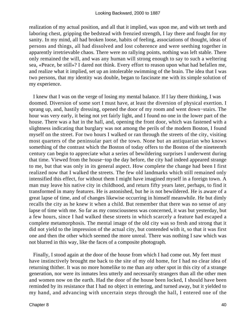realization of my actual position, and all that it implied, was upon me, and with set teeth and laboring chest, gripping the bedstead with frenzied strength, I lay there and fought for my sanity. In my mind, all had broken loose, habits of feeling, associations of thought, ideas of persons and things, all had dissolved and lost coherence and were seething together in apparently irretrievable chaos. There were no rallying points, nothing was left stable. There only remained the will, and was any human will strong enough to say to such a weltering sea, «Peace, be still»? I dared not think. Every effort to reason upon what had befallen me, and realize what it implied, set up an intolerable swimming of the brain. The idea that I was two persons, that my identity was double, began to fascinate me with its simple solution of my experience.

 I knew that I was on the verge of losing my mental balance. If I lay there thinking, I was doomed. Diversion of some sort I must have, at least the diversion of physical exertion. I sprang up, and, hastily dressing, opened the door of my room and went down−stairs. The hour was very early, it being not yet fairly light, and I found no one in the lower part of the house. There was a hat in the hall, and, opening the front door, which was fastened with a slightness indicating that burglary was not among the perils of the modern Boston, I found myself on the street. For two hours I walked or ran through the streets of the city, visiting most quarters of the peninsular part of the town. None but an antiquarian who knows something of the contrast which the Boston of today offers to the Boston of the nineteenth century can begin to appreciate what a series of bewildering surprises I underwent during that time. Viewed from the house−top the day before, the city had indeed appeared strange to me, but that was only in its general aspect. How complete the change had been I first realized now that I walked the streets. The few old landmarks which still remained only intensified this effect, for without them I might have imagined myself in a foreign town. A man may leave his native city in childhood, and return fifty years later, perhaps, to find it transformed in many features. He is astonished, but he is not bewildered. He is aware of a great lapse of time, and of changes likewise occurring in himself meanwhile. He but dimly recalls the city as he knew it when a child. But remember that there was no sense of any lapse of time with me. So far as my consciousness was concerned, it was but yesterday, but a few hours, since I had walked these streets in which scarcely a feature had escaped a complete metamorphosis. The mental image of the old city was so fresh and strong that it did not yield to the impression of the actual city, but contended with it, so that it was first one and then the other which seemed the more unreal. There was nothing I saw which was not blurred in this way, like the faces of a composite photograph.

 Finally, I stood again at the door of the house from which I had come out. My feet must have instinctively brought me back to the site of my old home, for I had no clear idea of returning thither. It was no more homelike to me than any other spot in this city of a strange generation, nor were its inmates less utterly and necessarily strangers than all the other men and women now on the earth. Had the door of the house been locked, I should have been reminded by its resistance that I had no object in entering, and turned away, but it yielded to my hand, and advancing with uncertain steps through the hall, I entered one of the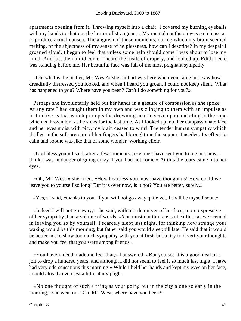apartments opening from it. Throwing myself into a chair, I covered my burning eyeballs with my hands to shut out the horror of strangeness. My mental confusion was so intense as to produce actual nausea. The anguish of those moments, during which my brain seemed melting, or the abjectness of my sense of helplessness, how can I describe? In my despair I groaned aloud. I began to feel that unless some help should come I was about to lose my mind. And just then it did come. I heard the rustle of drapery, and looked up. Edith Leete was standing before me. Her beautiful face was full of the most poignant sympathy.

 «Oh, what is the matter, Mr. West?» she said. «I was here when you came in. I saw how dreadfully distressed you looked, and when I heard you groan, I could not keep silent. What has happened to you? Where have you been? Can't I do something for you?»

 Perhaps she involuntarily held out her hands in a gesture of compassion as she spoke. At any rate I had caught them in my own and was clinging to them with an impulse as instinctive as that which prompts the drowning man to seize upon and cling to the rope which is thrown him as he sinks for the last time. As I looked up into her compassionate face and her eyes moist with pity, my brain ceased to whirl. The tender human sympathy which thrilled in the soft pressure of her fingers had brought me the support I needed. Its effect to calm and soothe was like that of some wonder−working elixir.

 «God bless you,» I said, after a few moments. «He must have sent you to me just now. I think I was in danger of going crazy if you had not come.» At this the tears came into her eyes.

 «Oh, Mr. West!» she cried. «How heartless you must have thought us! How could we leave you to yourself so long! But it is over now, is it not? You are better, surely.»

«Yes,» I said, «thanks to you. If you will not go away quite yet, I shall be myself soon.»

 «Indeed I will not go away,» she said, with a little quiver of her face, more expressive of her sympathy than a volume of words. «You must not think us so heartless as we seemed in leaving you so by yourself. I scarcely slept last night, for thinking how strange your waking would be this morning; but father said you would sleep till late. He said that it would be better not to show too much sympathy with you at first, but to try to divert your thoughts and make you feel that you were among friends.»

 «You have indeed made me feel that,» I answered. «But you see it is a good deal of a jolt to drop a hundred years, and although I did not seem to feel it so much last night, I have had very odd sensations this morning.» While I held her hands and kept my eyes on her face, I could already even jest a little at my plight.

 «No one thought of such a thing as your going out in the city alone so early in the morning,» she went on. «Oh, Mr. West, where have you been?»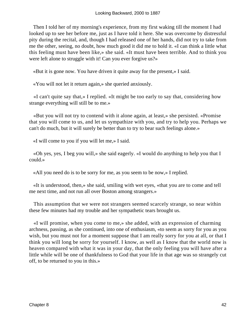Then I told her of my morning's experience, from my first waking till the moment I had looked up to see her before me, just as I have told it here. She was overcome by distressful pity during the recital, and, though I had released one of her hands, did not try to take from me the other, seeing, no doubt, how much good it did me to hold it. «I can think a little what this feeling must have been like,» she said. «It must have been terrible. And to think you were left alone to struggle with it! Can you ever forgive us?»

«But it is gone now. You have driven it quite away for the present,» I said.

«You will not let it return again,» she queried anxiously.

 «I can't quite say that,» I replied. «It might be too early to say that, considering how strange everything will still be to me.»

 «But you will not try to contend with it alone again, at least,» she persisted. «Promise that you will come to us, and let us sympathize with you, and try to help you. Perhaps we can't do much, but it will surely be better than to try to bear such feelings alone.»

«I will come to you if you will let me,» I said.

 «Oh yes, yes, I beg you will,» she said eagerly. «I would do anything to help you that I could.»

«All you need do is to be sorry for me, as you seem to be now,» I replied.

 «It is understood, then,» she said, smiling with wet eyes, «that you are to come and tell me next time, and not run all over Boston among strangers.»

 This assumption that we were not strangers seemed scarcely strange, so near within these few minutes had my trouble and her sympathetic tears brought us.

 «I will promise, when you come to me,» she added, with an expression of charming archness, passing, as she continued, into one of enthusiasm, «to seem as sorry for you as you wish, but you must not for a moment suppose that I am really sorry for you at all, or that I think you will long be sorry for yourself. I know, as well as I know that the world now is heaven compared with what it was in your day, that the only feeling you will have after a little while will be one of thankfulness to God that your life in that age was so strangely cut off, to be returned to you in this.»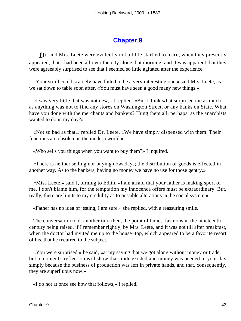# **[Chapter 9](#page-163-0)**

**D**r. and Mrs. Leete were evidently not a little startled to learn, when they presently appeared, that I had been all over the city alone that morning, and it was apparent that they were agreeably surprised to see that I seemed so little agitated after the experience.

 «Your stroll could scarcely have failed to be a very interesting one,» said Mrs. Leete, as we sat down to table soon after. «You must have seen a good many new things.»

 «I saw very little that was not new,» I replied. «But I think what surprised me as much as anything was not to find any stores on Washington Street, or any banks on State. What have you done with the merchants and bankers? Hung them all, perhaps, as the anarchists wanted to do in my day?»

 «Not so bad as that,» replied Dr. Leete. «We have simply dispensed with them. Their functions are obsolete in the modern world.»

«Who sells you things when you want to buy them?» I inquired.

 «There is neither selling nor buying nowadays; the distribution of goods is effected in another way. As to the bankers, having no money we have no use for those gentry.»

 «Miss Leete,» said I, turning to Edith, «I am afraid that your father is making sport of me. I don't blame him, for the temptation my innocence offers must be extraordinary. But, really, there are limits to my credulity as to possible alterations in the social system.»

«Father has no idea of jesting, I am sure,» she replied, with a reassuring smile.

 The conversation took another turn then, the point of ladies' fashions in the nineteenth century being raised, if I remember rightly, by Mrs. Leete, and it was not till after breakfast, when the doctor had invited me up to the house−top, which appeared to be a favorite resort of his, that he recurred to the subject.

 «You were surprised,» he said, «at my saying that we got along without money or trade, but a moment's reflection will show that trade existed and money was needed in your day simply because the business of production was left in private hands, and that, consequently, they are superfluous now.»

«I do not at once see how that follows,» I replied.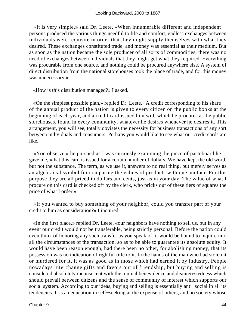«It is very simple,» said Dr. Leete. «When innumerable different and independent persons produced the various things needful to life and comfort, endless exchanges between individuals were requisite in order that they might supply themselves with what they desired. These exchanges constituted trade, and money was essential as their medium. But as soon as the nation became the sole producer of all sorts of commodities, there was no need of exchanges between individuals that they might get what they required. Everything was procurable from one source, and nothing could be procured anywhere else. A system of direct distribution from the national storehouses took the place of trade, and for this money was unnecessary.»

«How is this distribution managed?» I asked.

 «On the simplest possible plan,» replied Dr. Leete. "A credit corresponding to his share of the annual product of the nation is given to every citizen on the public books at the beginning of each year, and a credit card issued him with which he procures at the public storehouses, found in every community, whatever he desires whenever he desires it. This arrangement, you will see, totally obviates the necessity for business transactions of any sort between individuals and consumers. Perhaps you would like to see what our credit cards are like.

 «You observe,» he pursued as I was curiously examining the piece of pasteboard he gave me, «that this card is issued for a certain number of dollars. We have kept the old word, but not the substance. The term, as we use it, answers to no real thing, but merely serves as an algebraical symbol for comparing the values of products with one another. For this purpose they are all priced in dollars and cents, just as in your day. The value of what I procure on this card is checked off by the clerk, who pricks out of these tiers of squares the price of what I order.»

 «If you wanted to buy something of your neighbor, could you transfer part of your credit to him as consideration?» I inquired.

 «In the first place,» replied Dr. Leete, «our neighbors have nothing to sell us, but in any event our credit would not be transferable, being strictly personal. Before the nation could even think of honoring any such transfer as you speak of, it would be bound to inquire into all the circumstances of the transaction, so as to be able to guarantee its absolute equity. It would have been reason enough, had there been no other, for abolishing money, that its possession was no indication of rightful title to it. In the hands of the man who had stolen it or murdered for it, it was as good as in those which had earned it by industry. People nowadays interchange gifts and favors out of friendship, but buying and selling is considered absolutely inconsistent with the mutual benevolence and disinterestedness which should prevail between citizens and the sense of community of interest which supports our social system. According to our ideas, buying and selling is essentially anti−social in all its tendencies. It is an education in self−seeking at the expense of others, and no society whose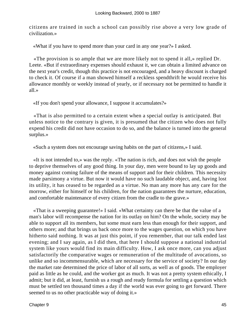citizens are trained in such a school can possibly rise above a very low grade of civilization.»

«What if you have to spend more than your card in any one year?» I asked.

 «The provision is so ample that we are more likely not to spend it all,» replied Dr. Leete. «But if extraordinary expenses should exhaust it, we can obtain a limited advance on the next year's credit, though this practice is not encouraged, and a heavy discount is charged to check it. Of course if a man showed himself a reckless spendthrift he would receive his allowance monthly or weekly instead of yearly, or if necessary not be permitted to handle it all.»

«If you don't spend your allowance, I suppose it accumulates?»

 «That is also permitted to a certain extent when a special outlay is anticipated. But unless notice to the contrary is given, it is presumed that the citizen who does not fully expend his credit did not have occasion to do so, and the balance is turned into the general surplus.»

«Such a system does not encourage saving habits on the part of citizens,» I said.

 «It is not intended to,» was the reply. «The nation is rich, and does not wish the people to deprive themselves of any good thing. In your day, men were bound to lay up goods and money against coming failure of the means of support and for their children. This necessity made parsimony a virtue. But now it would have no such laudable object, and, having lost its utility, it has ceased to be regarded as a virtue. No man any more has any care for the morrow, either for himself or his children, for the nation guarantees the nurture, education, and comfortable maintenance of every citizen from the cradle to the grave.»

 «That is a sweeping guarantee!» I said. «What certainty can there be that the value of a man's labor will recompense the nation for its outlay on him? On the whole, society may be able to support all its members, but some must earn less than enough for their support, and others more; and that brings us back once more to the wages question, on which you have hitherto said nothing. It was at just this point, if you remember, that our talk ended last evening; and I say again, as I did then, that here I should suppose a national industrial system like yours would find its main difficulty. How, I ask once more, can you adjust satisfactorily the comparative wages or remuneration of the multitude of avocations, so unlike and so incommensurable, which are necessary for the service of society? In our day the market rate determined the price of labor of all sorts, as well as of goods. The employer paid as little as he could, and the worker got as much. It was not a pretty system ethically, I admit; but it did, at least, furnish us a rough and ready formula for settling a question which must be settled ten thousand times a day if the world was ever going to get forward. There seemed to us no other practicable way of doing it.»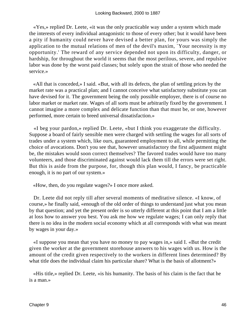«Yes,» replied Dr. Leete, «it was the only practicable way under a system which made the interests of every individual antagonistic to those of every other; but it would have been a pity if humanity could never have devised a better plan, for yours was simply the application to the mutual relations of men of the devil's maxim, `Your necessity is my opportunity.' The reward of any service depended not upon its difficulty, danger, or hardship, for throughout the world it seems that the most perilous, severe, and repulsive labor was done by the worst paid classes; but solely upon the strait of those who needed the service.»

 «All that is conceded,» I said. «But, with all its defects, the plan of settling prices by the market rate was a practical plan; and I cannot conceive what satisfactory substitute you can have devised for it. The government being the only possible employer, there is of course no labor market or market rate. Wages of all sorts must be arbitrarily fixed by the government. I cannot imagine a more complex and delicate function than that must be, or one, however performed, more certain to breed universal dissatisfaction.»

 «I beg your pardon,» replied Dr. Leete, «but I think you exaggerate the difficulty. Suppose a board of fairly sensible men were charged with settling the wages for all sorts of trades under a system which, like ours, guaranteed employment to all, while permitting the choice of avocations. Don't you see that, however unsatisfactory the first adjustment might be, the mistakes would soon correct themselves? The favored trades would have too many volunteers, and those discriminated against would lack them till the errors were set right. But this is aside from the purpose, for, though this plan would, I fancy, be practicable enough, it is no part of our system.»

«How, then, do you regulate wages?» I once more asked.

 Dr. Leete did not reply till after several moments of meditative silence. «I know, of course,» he finally said, «enough of the old order of things to understand just what you mean by that question; and yet the present order is so utterly different at this point that I am a little at loss how to answer you best. You ask me how we regulate wages; I can only reply that there is no idea in the modern social economy which at all corresponds with what was meant by wages in your day.»

 «I suppose you mean that you have no money to pay wages in,» said I. «But the credit given the worker at the government storehouse answers to his wages with us. How is the amount of the credit given respectively to the workers in different lines determined? By what title does the individual claim his particular share? What is the basis of allotment?»

 «His title,» replied Dr. Leete, «is his humanity. The basis of his claim is the fact that he is a man.»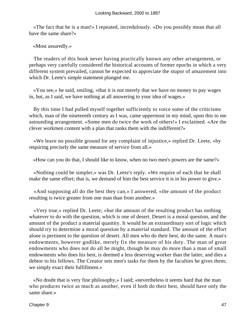«The fact that he is a man!» I repeated, incredulously. «Do you possibly mean that all have the same share?»

«Most assuredly.»

 The readers of this book never having practically known any other arrangement, or perhaps very carefully considered the historical accounts of former epochs in which a very different system prevailed, cannot be expected to appreciate the stupor of amazement into which Dr. Leete's simple statement plunged me.

 «You see,» he said, smiling, «that it is not merely that we have no money to pay wages in, but, as I said, we have nothing at all answering to your idea of wages.»

 By this time I had pulled myself together sufficiently to voice some of the criticisms which, man of the nineteenth century as I was, came uppermost in my mind, upon this to me astounding arrangement. «Some men do twice the work of others!» I exclaimed. «Are the clever workmen content with a plan that ranks them with the indifferent?»

 «We leave no possible ground for any complaint of injustice,» replied Dr. Leete, «by requiring precisely the same measure of service from all.»

«How can you do that, I should like to know, when no two men's powers are the same?»

 «Nothing could be simpler,» was Dr. Leete's reply. «We require of each that he shall make the same effort; that is, we demand of him the best service it is in his power to give.»

 «And supposing all do the best they can,» I answered, «the amount of the product resulting is twice greater from one man than from another.»

 «Very true,» replied Dr. Leete; «but the amount of the resulting product has nothing whatever to do with the question, which is one of desert. Desert is a moral question, and the amount of the product a material quantity. It would be an extraordinary sort of logic which should try to determine a moral question by a material standard. The amount of the effort alone is pertinent to the question of desert. All men who do their best, do the same. A man's endowments, however godlike, merely fix the measure of his duty. The man of great endowments who does not do all he might, though he may do more than a man of small endowments who does his best, is deemed a less deserving worker than the latter, and dies a debtor to his fellows. The Creator sets men's tasks for them by the faculties he gives them; we simply exact their fulfillment.»

 «No doubt that is very fine philosophy,» I said; «nevertheless it seems hard that the man who produces twice as much as another, even if both do their best, should have only the same share.»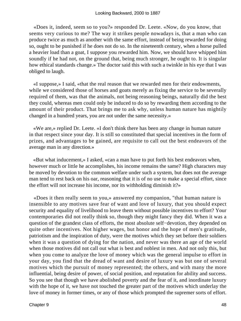«Does it, indeed, seem so to you?» responded Dr. Leete. «Now, do you know, that seems very curious to me? The way it strikes people nowadays is, that a man who can produce twice as much as another with the same effort, instead of being rewarded for doing so, ought to be punished if he does not do so. In the nineteenth century, when a horse pulled a heavier load than a goat, I suppose you rewarded him. Now, we should have whipped him soundly if he had not, on the ground that, being much stronger, he ought to. It is singular how ethical standards change.» The doctor said this with such a twinkle in his eye that I was obliged to laugh.

 «I suppose,» I said, «that the real reason that we rewarded men for their endowments, while we considered those of horses and goats merely as fixing the service to be severally required of them, was that the animals, not being reasoning beings, naturally did the best they could, whereas men could only be induced to do so by rewarding them according to the amount of their product. That brings me to ask why, unless human nature has mightily changed in a hundred years, you are not under the same necessity.»

 «We are,» replied Dr. Leete. «I don't think there has been any change in human nature in that respect since your day. It is still so constituted that special incentives in the form of prizes, and advantages to be gained, are requisite to call out the best endeavors of the average man in any direction.»

 «But what inducement,» I asked, «can a man have to put forth his best endeavors when, however much or little he accomplishes, his income remains the same? High characters may be moved by devotion to the common welfare under such a system, but does not the average man tend to rest back on his oar, reasoning that it is of no use to make a special effort, since the effort will not increase his income, nor its withholding diminish it?»

 «Does it then really seem to you,» answered my companion, "that human nature is insensible to any motives save fear of want and love of luxury, that you should expect security and equality of livelihood to leave them without possible incentives to effort? Your contemporaries did not really think so, though they might fancy they did. When it was a question of the grandest class of efforts, the most absolute self−devotion, they depended on quite other incentives. Not higher wages, but honor and the hope of men's gratitude, patriotism and the inspiration of duty, were the motives which they set before their soldiers when it was a question of dying for the nation, and never was there an age of the world when those motives did not call out what is best and noblest in men. And not only this, but when you come to analyze the love of money which was the general impulse to effort in your day, you find that the dread of want and desire of luxury was but one of several motives which the pursuit of money represented; the others, and with many the more influential, being desire of power, of social position, and reputation for ability and success. So you see that though we have abolished poverty and the fear of it, and inordinate luxury with the hope of it, we have not touched the greater part of the motives which underlay the love of money in former times, or any of those which prompted the supremer sorts of effort.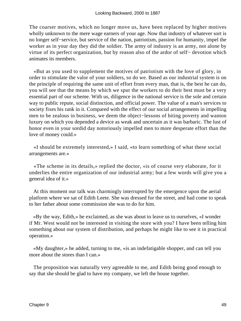The coarser motives, which no longer move us, have been replaced by higher motives wholly unknown to the mere wage earners of your age. Now that industry of whatever sort is no longer self−service, but service of the nation, patriotism, passion for humanity, impel the worker as in your day they did the soldier. The army of industry is an army, not alone by virtue of its perfect organization, but by reason also of the ardor of self− devotion which animates its members.

 «But as you used to supplement the motives of patriotism with the love of glory, in order to stimulate the valor of your soldiers, so do we. Based as our industrial system is on the principle of requiring the same unit of effort from every man, that is, the best he can do, you will see that the means by which we spur the workers to do their best must be a very essential part of our scheme. With us, diligence in the national service is the sole and certain way to public repute, social distinction, and official power. The value of a man's services to society fixes his rank in it. Compared with the effect of our social arrangements in impelling men to be zealous in business, we deem the object−lessons of biting poverty and wanton luxury on which you depended a device as weak and uncertain as it was barbaric. The lust of honor even in your sordid day notoriously impelled men to more desperate effort than the love of money could.»

 «I should be extremely interested,» I said, «to learn something of what these social arrangements are.»

 «The scheme in its details,» replied the doctor, «is of course very elaborate, for it underlies the entire organization of our industrial army; but a few words will give you a general idea of it.»

 At this moment our talk was charmingly interrupted by the emergence upon the aerial platform where we sat of Edith Leete. She was dressed for the street, and had come to speak to her father about some commission she was to do for him.

 «By the way, Edith,» he exclaimed, as she was about to leave us to ourselves, «I wonder if Mr. West would not be interested in visiting the store with you? I have been telling him something about our system of distribution, and perhaps he might like to see it in practical operation.»

 «My daughter,» he added, turning to me, «is an indefatigable shopper, and can tell you more about the stores than I can.»

 The proposition was naturally very agreeable to me, and Edith being good enough to say that she should be glad to have my company, we left the house together.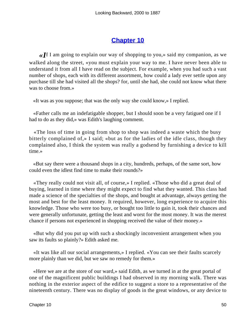# **[Chapter 10](#page-163-0)**

*«I*f I am going to explain our way of shopping to you,» said my companion, as we walked along the street, «you must explain your way to me. I have never been able to understand it from all I have read on the subject. For example, when you had such a vast number of shops, each with its different assortment, how could a lady ever settle upon any purchase till she had visited all the shops? for, until she had, she could not know what there was to choose from.»

«It was as you suppose; that was the only way she could know,» I replied.

 «Father calls me an indefatigable shopper, but I should soon be a very fatigued one if I had to do as they did,» was Edith's laughing comment.

 «The loss of time in going from shop to shop was indeed a waste which the busy bitterly complained of,» I said; «but as for the ladies of the idle class, though they complained also, I think the system was really a godsend by furnishing a device to kill time.»

 «But say there were a thousand shops in a city, hundreds, perhaps, of the same sort, how could even the idlest find time to make their rounds?»

 «They really could not visit all, of course,» I replied. «Those who did a great deal of buying, learned in time where they might expect to find what they wanted. This class had made a science of the specialties of the shops, and bought at advantage, always getting the most and best for the least money. It required, however, long experience to acquire this knowledge. Those who were too busy, or bought too little to gain it, took their chances and were generally unfortunate, getting the least and worst for the most money. It was the merest chance if persons not experienced in shopping received the value of their money.»

 «But why did you put up with such a shockingly inconvenient arrangement when you saw its faults so plainly?» Edith asked me.

 «It was like all our social arrangements,» I replied. «You can see their faults scarcely more plainly than we did, but we saw no remedy for them.»

 «Here we are at the store of our ward,» said Edith, as we turned in at the great portal of one of the magnificent public buildings I had observed in my morning walk. There was nothing in the exterior aspect of the edifice to suggest a store to a representative of the nineteenth century. There was no display of goods in the great windows, or any device to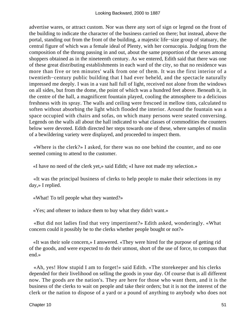advertise wares, or attract custom. Nor was there any sort of sign or legend on the front of the building to indicate the character of the business carried on there; but instead, above the portal, standing out from the front of the building, a majestic life−size group of statuary, the central figure of which was a female ideal of Plenty, with her cornucopia. Judging from the composition of the throng passing in and out, about the same proportion of the sexes among shoppers obtained as in the nineteenth century. As we entered, Edith said that there was one of these great distributing establishments in each ward of the city, so that no residence was more than five or ten minutes' walk from one of them. It was the first interior of a twentieth−century public building that I had ever beheld, and the spectacle naturally impressed me deeply. I was in a vast hall full of light, received not alone from the windows on all sides, but from the dome, the point of which was a hundred feet above. Beneath it, in the centre of the hall, a magnificent fountain played, cooling the atmosphere to a delicious freshness with its spray. The walls and ceiling were frescoed in mellow tints, calculated to soften without absorbing the light which flooded the interior. Around the fountain was a space occupied with chairs and sofas, on which many persons were seated conversing. Legends on the walls all about the hall indicated to what classes of commodities the counters below were devoted. Edith directed her steps towards one of these, where samples of muslin of a bewildering variety were displayed, and proceeded to inspect them.

 «Where is the clerk?» I asked, for there was no one behind the counter, and no one seemed coming to attend to the customer.

«I have no need of the clerk yet,» said Edith; «I have not made my selection.»

 «It was the principal business of clerks to help people to make their selections in my day,» I replied.

«What! To tell people what they wanted?»

«Yes; and oftener to induce them to buy what they didn't want.»

 «But did not ladies find that very impertinent?» Edith asked, wonderingly. «What concern could it possibly be to the clerks whether people bought or not?»

 «It was their sole concern,» I answered. «They were hired for the purpose of getting rid of the goods, and were expected to do their utmost, short of the use of force, to compass that end.»

 «Ah, yes! How stupid I am to forget!» said Edith. «The storekeeper and his clerks depended for their livelihood on selling the goods in your day. Of course that is all different now. The goods are the nation's. They are here for those who want them, and it is the business of the clerks to wait on people and take their orders; but it is not the interest of the clerk or the nation to dispose of a yard or a pound of anything to anybody who does not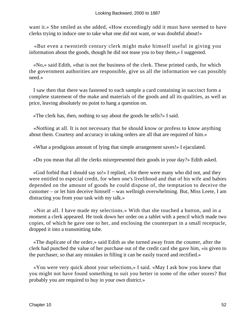want it.» She smiled as she added, «How exceedingly odd it must have seemed to have clerks trying to induce one to take what one did not want, or was doubtful about!»

 «But even a twentieth century clerk might make himself useful in giving you information about the goods, though he did not tease you to buy them,» I suggested.

 «No,» said Edith, «that is not the business of the clerk. These printed cards, for which the government authorities are responsible, give us all the information we can possibly need.»

 I saw then that there was fastened to each sample a card containing in succinct form a complete statement of the make and materials of the goods and all its qualities, as well as price, leaving absolutely no point to hang a question on.

«The clerk has, then, nothing to say about the goods he sells?» I said.

 «Nothing at all. It is not necessary that he should know or profess to know anything about them. Courtesy and accuracy in taking orders are all that are required of him.»

«What a prodigious amount of lying that simple arrangement saves!» I ejaculated.

«Do you mean that all the clerks misrepresented their goods in your day?» Edith asked.

 «God forbid that I should say so!» I replied, «for there were many who did not, and they were entitled to especial credit, for when one's livelihood and that of his wife and babies depended on the amount of goods he could dispose of, the temptation to deceive the customer – or let him deceive himself – was wellnigh overwhelming. But, Miss Leete, I am distracting you from your task with my talk.»

 «Not at all. I have made my selections.» With that she touched a button, and in a moment a clerk appeared. He took down her order on a tablet with a pencil which made two copies, of which he gave one to her, and enclosing the counterpart in a small receptacle, dropped it into a transmitting tube.

 «The duplicate of the order,» said Edith as she turned away from the counter, after the clerk had punched the value of her purchase out of the credit card she gave him, «is given to the purchaser, so that any mistakes in filling it can be easily traced and rectified.»

 «You were very quick about your selections,» I said. «May I ask how you knew that you might not have found something to suit you better in some of the other stores? But probably you are required to buy in your own district.»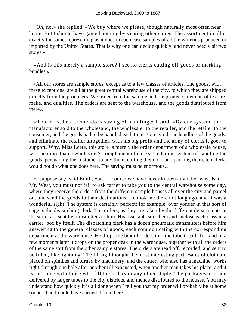«Oh, no,» she replied. «We buy where we please, though naturally most often near home. But I should have gained nothing by visiting other stores. The assortment in all is exactly the same, representing as it does in each case samples of all the varieties produced or imported by the United States. That is why one can decide quickly, and never need visit two stores.»

 «And is this merely a sample store? I see no clerks cutting off goods or marking bundles.»

 «All our stores are sample stores, except as to a few classes of articles. The goods, with these exceptions, are all at the great central warehouse of the city, to which they are shipped directly from the producers. We order from the sample and the printed statement of texture, make, and qualities. The orders are sent to the warehouse, and the goods distributed from there.»

 «That must be a tremendous saving of handling,» I said. «By our system, the manufacturer sold to the wholesaler, the wholesaler to the retailer, and the retailer to the consumer, and the goods had to be handled each time. You avoid one handling of the goods, and eliminate the retailer altogether, with his big profit and the army of clerks it goes to support. Why, Miss Leete, this store is merely the order department of a wholesale house, with no more than a wholesaler's complement of clerks. Under our system of handling the goods, persuading the customer to buy them, cutting them off, and packing them, ten clerks would not do what one does here. The saving must be enormous.»

 «I suppose so,» said Edith, «but of course we have never known any other way. But, Mr. West, you must not fail to ask father to take you to the central warehouse some day, where they receive the orders from the different sample houses all over the city and parcel out and send the goods to their destinations. He took me there not long ago, and it was a wonderful sight. The system is certainly perfect; for example, over yonder in that sort of cage is the dispatching clerk. The orders, as they are taken by the different departments in the store, are sent by transmitters to him. His assistants sort them and enclose each class in a carrier−box by itself. The dispatching clerk has a dozen pneumatic transmitters before him answering to the general classes of goods, each communicating with the corresponding department at the warehouse. He drops the box of orders into the tube it calls for, and in a few moments later it drops on the proper desk in the warehouse, together with all the orders of the same sort from the other sample stores. The orders are read off, recorded, and sent to be filled, like lightning. The filling I thought the most interesting part. Bales of cloth are placed on spindles and turned by machinery, and the cutter, who also has a machine, works right through one bale after another till exhausted, when another man takes his place; and it is the same with those who fill the orders in any other staple. The packages are then delivered by larger tubes to the city districts, and thence distributed to the houses. You may understand how quickly it is all done when I tell you that my order will probably be at home sooner than I could have carried it from here.»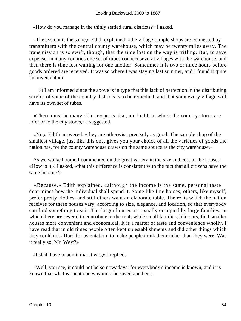«How do you manage in the thinly settled rural districts?» I asked.

 «The system is the same,» Edith explained; «the village sample shops are connected by transmitters with the central county warehouse, which may be twenty miles away. The transmission is so swift, though, that the time lost on the way is trifling. But, to save expense, in many counties one set of tubes connect several villages with the warehouse, and then there is time lost waiting for one another. Sometimes it is two or three hours before goods ordered are received. It was so where I was staying last summer, and I found it quite inconvenient.»[2]

[2] I am informed since the above is in type that this lack of perfection in the distributing service of some of the country districts is to be remedied, and that soon every village will have its own set of tubes.

 «There must be many other respects also, no doubt, in which the country stores are inferior to the city stores,» I suggested.

 «No,» Edith answered, «they are otherwise precisely as good. The sample shop of the smallest village, just like this one, gives you your choice of all the varieties of goods the nation has, for the county warehouse draws on the same source as the city warehouse.»

 As we walked home I commented on the great variety in the size and cost of the houses. «How is it,» I asked, «that this difference is consistent with the fact that all citizens have the same income?»

 «Because,» Edith explained, «although the income is the same, personal taste determines how the individual shall spend it. Some like fine horses; others, like myself, prefer pretty clothes; and still others want an elaborate table. The rents which the nation receives for these houses vary, according to size, elegance, and location, so that everybody can find something to suit. The larger houses are usually occupied by large families, in which there are several to contribute to the rent; while small families, like ours, find smaller houses more convenient and economical. It is a matter of taste and convenience wholly. I have read that in old times people often kept up establishments and did other things which they could not afford for ostentation, to make people think them richer than they were. Was it really so, Mr. West?»

«I shall have to admit that it was,» I replied.

 «Well, you see, it could not be so nowadays; for everybody's income is known, and it is known that what is spent one way must be saved another.»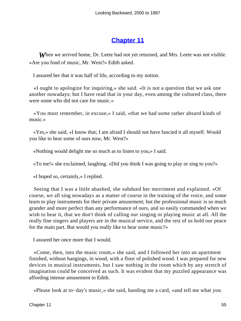# **[Chapter 11](#page-163-0)**

**When** we arrived home, Dr. Leete had not yet returned, and Mrs. Leete was not visible. «Are you fond of music, Mr. West?» Edith asked.

I assured her that it was half of life, according to my notion.

 «I ought to apologize for inquiring,» she said. «It is not a question that we ask one another nowadays; but I have read that in your day, even among the cultured class, there were some who did not care for music.»

 «You must remember, in excuse,» I said, «that we had some rather absurd kinds of music.»

 «Yes,» she said, «I know that; I am afraid I should not have fancied it all myself. Would you like to hear some of ours now, Mr. West?»

«Nothing would delight me so much as to listen to you,» I said.

«To me!» she exclaimed, laughing. «Did you think I was going to play or sing to you?»

«I hoped so, certainly,» I replied.

 Seeing that I was a little abashed, she subdued her merriment and explained. «Of course, we all sing nowadays as a matter of course in the training of the voice, and some learn to play instruments for their private amusement; but the professional music is so much grander and more perfect than any performance of ours, and so easily commanded when we wish to hear it, that we don't think of calling our singing or playing music at all. All the really fine singers and players are in the musical service, and the rest of us hold our peace for the main part. But would you really like to hear some music?»

I assured her once more that I would.

 «Come, then, into the music room,» she said, and I followed her into an apartment finished, without hangings, in wood, with a floor of polished wood. I was prepared for new devices in musical instruments, but I saw nothing in the room which by any stretch of imagination could be conceived as such. It was evident that my puzzled appearance was affording intense amusement to Edith.

«Please look at to−day's music,» she said, handing me a card, «and tell me what you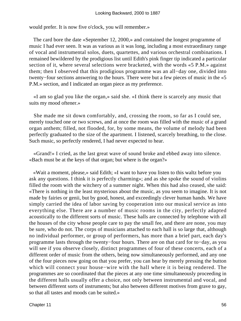would prefer. It is now five o'clock, you will remember.»

 The card bore the date «September 12, 2000,» and contained the longest programme of music I had ever seen. It was as various as it was long, including a most extraordinary range of vocal and instrumental solos, duets, quartettes, and various orchestral combinations. I remained bewildered by the prodigious list until Edith's pink finger tip indicated a particular section of it, where several selections were bracketed, with the words «5 P.M.» against them; then I observed that this prodigious programme was an all−day one, divided into twenty−four sections answering to the hours. There were but a few pieces of music in the «5 P.M.» section, and I indicated an organ piece as my preference.

 «I am so glad you like the organ,» said she. «I think there is scarcely any music that suits my mood oftener.»

 She made me sit down comfortably, and, crossing the room, so far as I could see, merely touched one or two screws, and at once the room was filled with the music of a grand organ anthem; filled, not flooded, for, by some means, the volume of melody had been perfectly graduated to the size of the apartment. I listened, scarcely breathing, to the close. Such music, so perfectly rendered, I had never expected to hear.

 «Grand!» I cried, as the last great wave of sound broke and ebbed away into silence. «Bach must be at the keys of that organ; but where is the organ?»

 «Wait a moment, please,» said Edith; «I want to have you listen to this waltz before you ask any questions. I think it is perfectly charming»; and as she spoke the sound of violins filled the room with the witchery of a summer night. When this had also ceased, she said: «There is nothing in the least mysterious about the music, as you seem to imagine. It is not made by fairies or genii, but by good, honest, and exceedingly clever human hands. We have simply carried the idea of labor saving by cooperation into our musical service as into everything else. There are a number of music rooms in the city, perfectly adapted acoustically to the different sorts of music. These halls are connected by telephone with all the houses of the city whose people care to pay the small fee, and there are none, you may be sure, who do not. The corps of musicians attached to each hall is so large that, although no individual performer, or group of performers, has more than a brief part, each day's programme lasts through the twenty−four hours. There are on that card for to−day, as you will see if you observe closely, distinct programmes of four of these concerts, each of a different order of music from the others, being now simultaneously performed, and any one of the four pieces now going on that you prefer, you can hear by merely pressing the button which will connect your house−wire with the hall where it is being rendered. The programmes are so coordinated that the pieces at any one time simultaneously proceeding in the different halls usually offer a choice, not only between instrumental and vocal, and between different sorts of instruments; but also between different motives from grave to gay, so that all tastes and moods can be suited.»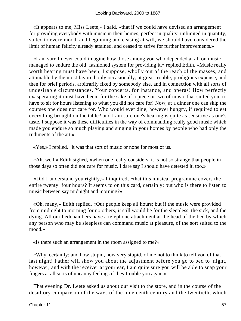«It appears to me, Miss Leete,» I said, «that if we could have devised an arrangement for providing everybody with music in their homes, perfect in quality, unlimited in quantity, suited to every mood, and beginning and ceasing at will, we should have considered the limit of human felicity already attained, and ceased to strive for further improvements.»

 «I am sure I never could imagine how those among you who depended at all on music managed to endure the old−fashioned system for providing it,» replied Edith. «Music really worth hearing must have been, I suppose, wholly out of the reach of the masses, and attainable by the most favored only occasionally, at great trouble, prodigious expense, and then for brief periods, arbitrarily fixed by somebody else, and in connection with all sorts of undesirable circumstances. Your concerts, for instance, and operas! How perfectly exasperating it must have been, for the sake of a piece or two of music that suited you, to have to sit for hours listening to what you did not care for! Now, at a dinner one can skip the courses one does not care for. Who would ever dine, however hungry, if required to eat everything brought on the table? and I am sure one's hearing is quite as sensitive as one's taste. I suppose it was these difficulties in the way of commanding really good music which made you endure so much playing and singing in your homes by people who had only the rudiments of the art.»

«Yes,» I replied, "it was that sort of music or none for most of us.

 «Ah, well,» Edith sighed, «when one really considers, it is not so strange that people in those days so often did not care for music. I dare say I should have detested it, too.»

 «Did I understand you rightly,» I inquired, «that this musical programme covers the entire twenty−four hours? It seems to on this card, certainly; but who is there to listen to music between say midnight and morning?»

 «Oh, many,» Edith replied. «Our people keep all hours; but if the music were provided from midnight to morning for no others, it still would be for the sleepless, the sick, and the dying. All our bedchambers have a telephone attachment at the head of the bed by which any person who may be sleepless can command music at pleasure, of the sort suited to the mood.»

«Is there such an arrangement in the room assigned to me?»

 «Why, certainly; and how stupid, how very stupid, of me not to think to tell you of that last night! Father will show you about the adjustment before you go to bed to−night, however; and with the receiver at your ear, I am quite sure you will be able to snap your fingers at all sorts of uncanny feelings if they trouble you again.»

 That evening Dr. Leete asked us about our visit to the store, and in the course of the desultory comparison of the ways of the nineteenth century and the twentieth, which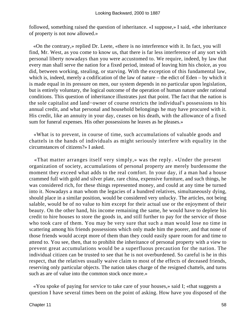followed, something raised the question of inheritance. «I suppose,» I said, «the inheritance of property is not now allowed.»

 «On the contrary,» replied Dr. Leete, «there is no interference with it. In fact, you will find, Mr. West, as you come to know us, that there is far less interference of any sort with personal liberty nowadays than you were accustomed to. We require, indeed, by law that every man shall serve the nation for a fixed period, instead of leaving him his choice, as you did, between working, stealing, or starving. With the exception of this fundamental law, which is, indeed, merely a codification of the law of nature – the edict of Eden – by which it is made equal in its pressure on men, our system depends in no particular upon legislation, but is entirely voluntary, the logical outcome of the operation of human nature under rational conditions. This question of inheritance illustrates just that point. The fact that the nation is the sole capitalist and land−owner of course restricts the individual's possessions to his annual credit, and what personal and household belongings he may have procured with it. His credit, like an annuity in your day, ceases on his death, with the allowance of a fixed sum for funeral expenses. His other possessions he leaves as he pleases.»

 «What is to prevent, in course of time, such accumulations of valuable goods and chattels in the hands of individuals as might seriously interfere with equality in the circumstances of citizens?» I asked.

 «That matter arranges itself very simply,» was the reply. «Under the present organization of society, accumulations of personal property are merely burdensome the moment they exceed what adds to the real comfort. In your day, if a man had a house crammed full with gold and silver plate, rare china, expensive furniture, and such things, he was considered rich, for these things represented money, and could at any time be turned into it. Nowadays a man whom the legacies of a hundred relatives, simultaneously dying, should place in a similar position, would be considered very unlucky. The articles, not being salable, would be of no value to him except for their actual use or the enjoyment of their beauty. On the other hand, his income remaining the same, he would have to deplete his credit to hire houses to store the goods in, and still further to pay for the service of those who took care of them. You may be very sure that such a man would lose no time in scattering among his friends possessions which only made him the poorer, and that none of those friends would accept more of them than they could easily spare room for and time to attend to. You see, then, that to prohibit the inheritance of personal property with a view to prevent great accumulations would be a superfluous precaution for the nation. The individual citizen can be trusted to see that he is not overburdened. So careful is he in this respect, that the relatives usually waive claim to most of the effects of deceased friends, reserving only particular objects. The nation takes charge of the resigned chattels, and turns such as are of value into the common stock once more.»

 «You spoke of paying for service to take care of your houses,» said I; «that suggests a question I have several times been on the point of asking. How have you disposed of the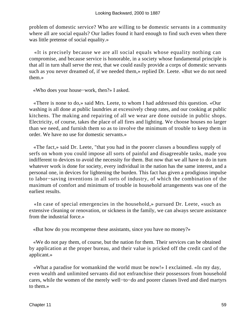problem of domestic service? Who are willing to be domestic servants in a community where all are social equals? Our ladies found it hard enough to find such even when there was little pretense of social equality.»

 «It is precisely because we are all social equals whose equality nothing can compromise, and because service is honorable, in a society whose fundamental principle is that all in turn shall serve the rest, that we could easily provide a corps of domestic servants such as you never dreamed of, if we needed them,» replied Dr. Leete. «But we do not need them.»

«Who does your house−work, then?» I asked.

 «There is none to do,» said Mrs. Leete, to whom I had addressed this question. «Our washing is all done at public laundries at excessively cheap rates, and our cooking at public kitchens. The making and repairing of all we wear are done outside in public shops. Electricity, of course, takes the place of all fires and lighting. We choose houses no larger than we need, and furnish them so as to involve the minimum of trouble to keep them in order. We have no use for domestic servants.»

 «The fact,» said Dr. Leete, "that you had in the poorer classes a boundless supply of serfs on whom you could impose all sorts of painful and disagreeable tasks, made you indifferent to devices to avoid the necessity for them. But now that we all have to do in turn whatever work is done for society, every individual in the nation has the same interest, and a personal one, in devices for lightening the burden. This fact has given a prodigious impulse to labor−saving inventions in all sorts of industry, of which the combination of the maximum of comfort and minimum of trouble in household arrangements was one of the earliest results.

 «In case of special emergencies in the household,» pursued Dr. Leete, «such as extensive cleaning or renovation, or sickness in the family, we can always secure assistance from the industrial force.»

«But how do you recompense these assistants, since you have no money?»

 «We do not pay them, of course, but the nation for them. Their services can be obtained by application at the proper bureau, and their value is pricked off the credit card of the applicant.»

 «What a paradise for womankind the world must be now!» I exclaimed. «In my day, even wealth and unlimited servants did not enfranchise their possessors from household cares, while the women of the merely well−to−do and poorer classes lived and died martyrs to them.»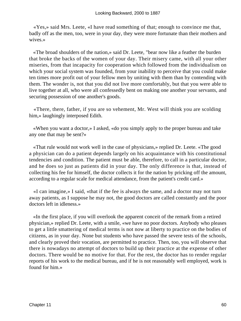«Yes,» said Mrs. Leete, «I have read something of that; enough to convince me that, badly off as the men, too, were in your day, they were more fortunate than their mothers and wives.»

 «The broad shoulders of the nation,» said Dr. Leete, "bear now like a feather the burden that broke the backs of the women of your day. Their misery came, with all your other miseries, from that incapacity for cooperation which followed from the individualism on which your social system was founded, from your inability to perceive that you could make ten times more profit out of your fellow men by uniting with them than by contending with them. The wonder is, not that you did not live more comfortably, but that you were able to live together at all, who were all confessedly bent on making one another your servants, and securing possession of one another's goods.

 «There, there, father, if you are so vehement, Mr. West will think you are scolding him,» laughingly interposed Edith.

 «When you want a doctor,» I asked, «do you simply apply to the proper bureau and take any one that may be sent?»

 «That rule would not work well in the case of physicians,» replied Dr. Leete. «The good a physician can do a patient depends largely on his acquaintance with his constitutional tendencies and condition. The patient must be able, therefore, to call in a particular doctor, and he does so just as patients did in your day. The only difference is that, instead of collecting his fee for himself, the doctor collects it for the nation by pricking off the amount, according to a regular scale for medical attendance, from the patient's credit card.»

 «I can imagine,» I said, «that if the fee is always the same, and a doctor may not turn away patients, as I suppose he may not, the good doctors are called constantly and the poor doctors left in idleness.»

 «In the first place, if you will overlook the apparent conceit of the remark from a retired physician,» replied Dr. Leete, with a smile, «we have no poor doctors. Anybody who pleases to get a little smattering of medical terms is not now at liberty to practice on the bodies of citizens, as in your day. None but students who have passed the severe tests of the schools, and clearly proved their vocation, are permitted to practice. Then, too, you will observe that there is nowadays no attempt of doctors to build up their practice at the expense of other doctors. There would be no motive for that. For the rest, the doctor has to render regular reports of his work to the medical bureau, and if he is not reasonably well employed, work is found for him.»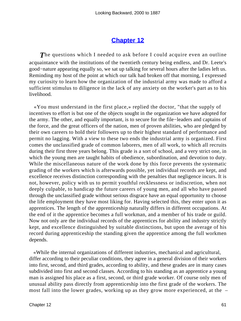#### **[Chapter 12](#page-163-0)**

**The questions which I needed to ask before I could acquire even an outline** acquaintance with the institutions of the twentieth century being endless, and Dr. Leete's good−nature appearing equally so, we sat up talking for several hours after the ladies left us. Reminding my host of the point at which our talk had broken off that morning, I expressed my curiosity to learn how the organization of the industrial army was made to afford a sufficient stimulus to diligence in the lack of any anxiety on the worker's part as to his livelihood.

 «You must understand in the first place,» replied the doctor, "that the supply of incentives to effort is but one of the objects sought in the organization we have adopted for the army. The other, and equally important, is to secure for the file−leaders and captains of the force, and the great officers of the nation, men of proven abilities, who are pledged by their own careers to hold their followers up to their highest standard of performance and permit no lagging. With a view to these two ends the industrial army is organized. First comes the unclassified grade of common laborers, men of all work, to which all recruits during their first three years belong. This grade is a sort of school, and a very strict one, in which the young men are taught habits of obedience, subordination, and devotion to duty. While the miscellaneous nature of the work done by this force prevents the systematic grading of the workers which is afterwards possible, yet individual records are kept, and excellence receives distinction corresponding with the penalties that negligence incurs. It is not, however, policy with us to permit youthful recklessness or indiscretion, when not deeply culpable, to handicap the future careers of young men, and all who have passed through the unclassified grade without serious disgrace have an equal opportunity to choose the life employment they have most liking for. Having selected this, they enter upon it as apprentices. The length of the apprenticeship naturally differs in different occupations. At the end of it the apprentice becomes a full workman, and a member of his trade or guild. Now not only are the individual records of the apprentices for ability and industry strictly kept, and excellence distinguished by suitable distinctions, but upon the average of his record during apprenticeship the standing given the apprentice among the full workmen depends.

 «While the internal organizations of different industries, mechanical and agricultural, differ according to their peculiar conditions, they agree in a general division of their workers into first, second, and third grades, according to ability, and these grades are in many cases subdivided into first and second classes. According to his standing as an apprentice a young man is assigned his place as a first, second, or third grade worker. Of course only men of unusual ability pass directly from apprenticeship into the first grade of the workers. The most fall into the lower grades, working up as they grow more experienced, at the –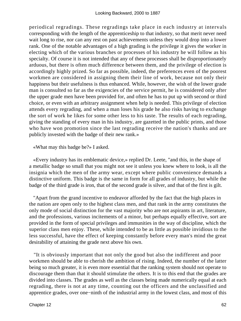periodical regradings. These regradings take place in each industry at intervals corresponding with the length of the apprenticeship to that industry, so that merit never need wait long to rise, nor can any rest on past achievements unless they would drop into a lower rank. One of the notable advantages of a high grading is the privilege it gives the worker in electing which of the various branches or processes of his industry he will follow as his specialty. Of course it is not intended that any of these processes shall be disproportionately arduous, but there is often much difference between them, and the privilege of election is accordingly highly prized. So far as possible, indeed, the preferences even of the poorest workmen are considered in assigning them their line of work, because not only their happiness but their usefulness is thus enhanced. While, however, the wish of the lower grade man is consulted so far as the exigencies of the service permit, he is considered only after the upper grade men have been provided for, and often he has to put up with second or third choice, or even with an arbitrary assignment when help is needed. This privilege of election attends every regrading, and when a man loses his grade he also risks having to exchange the sort of work he likes for some other less to his taste. The results of each regrading, giving the standing of every man in his industry, are gazetted in the public prints, and those who have won promotion since the last regrading receive the nation's thanks and are publicly invested with the badge of their new rank.»

«What may this badge be?» I asked.

 «Every industry has its emblematic device,» replied Dr. Leete, "and this, in the shape of a metallic badge so small that you might not see it unless you knew where to look, is all the insignia which the men of the army wear, except where public convenience demands a distinctive uniform. This badge is the same in form for all grades of industry, but while the badge of the third grade is iron, that of the second grade is silver, and that of the first is gilt.

 "Apart from the grand incentive to endeavor afforded by the fact that the high places in the nation are open only to the highest class men, and that rank in the army constitutes the only mode of social distinction for the vast majority who are not aspirants in art, literature, and the professions, various incitements of a minor, but perhaps equally effective, sort are provided in the form of special privileges and immunities in the way of discipline, which the superior class men enjoy. These, while intended to be as little as possible invidious to the less successful, have the effect of keeping constantly before every man's mind the great desirability of attaining the grade next above his own.

 "It is obviously important that not only the good but also the indifferent and poor workmen should be able to cherish the ambition of rising. Indeed, the number of the latter being so much greater, it is even more essential that the ranking system should not operate to discourage them than that it should stimulate the others. It is to this end that the grades are divided into classes. The grades as well as the classes being made numerically equal at each regrading, there is not at any time, counting out the officers and the unclassified and apprentice grades, over one−ninth of the industrial army in the lowest class, and most of this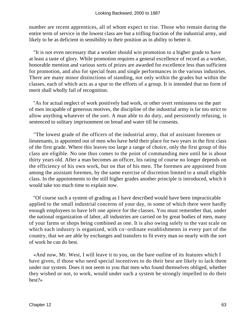number are recent apprentices, all of whom expect to rise. Those who remain during the entire term of service in the lowest class are but a trifling fraction of the industrial army, and likely to be as deficient in sensibility to their position as in ability to better it.

 "It is not even necessary that a worker should win promotion to a higher grade to have at least a taste of glory. While promotion requires a general excellence of record as a worker, honorable mention and various sorts of prizes are awarded for excellence less than sufficient for promotion, and also for special feats and single performances in the various industries. There are many minor distinctions of standing, not only within the grades but within the classes, each of which acts as a spur to the efforts of a group. It is intended that no form of merit shall wholly fail of recognition.

 "As for actual neglect of work positively bad work, or other overt remissness on the part of men incapable of generous motives, the discipline of the industrial army is far too strict to allow anything whatever of the sort. A man able to do duty, and persistently refusing, is sentenced to solitary imprisonment on bread and water till he consents.

 "The lowest grade of the officers of the industrial army, that of assistant foremen or lieutenants, is appointed out of men who have held their place for two years in the first class of the first grade. Where this leaves too large a range of choice, only the first group of this class are eligible. No one thus comes to the point of commanding men until he is about thirty years old. After a man becomes an officer, his rating of course no longer depends on the efficiency of his own work, but on that of his men. The foremen are appointed from among the assistant foremen, by the same exercise of discretion limited to a small eligible class. In the appointments to the still higher grades another principle is introduced, which it would take too much time to explain now.

 "Of course such a system of grading as I have described would have been impracticable applied to the small industrial concerns of your day, in some of which there were hardly enough employees to have left one apiece for the classes. You must remember that, under the national organization of labor, all industries are carried on by great bodies of men, many of your farms or shops being combined as one. It is also owing solely to the vast scale on which each industry is organized, with co−ordinate establishments in every part of the country, that we are able by exchanges and transfers to fit every man so nearly with the sort of work he can do best.

 «And now, Mr. West, I will leave it to you, on the bare outline of its features which I have given, if those who need special incentives to do their best are likely to lack them under our system. Does it not seem to you that men who found themselves obliged, whether they wished or not, to work, would under such a system be strongly impelled to do their best?»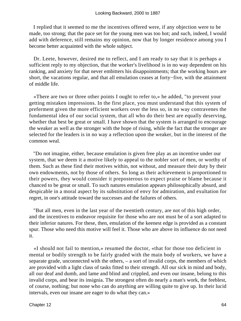I replied that it seemed to me the incentives offered were, if any objection were to be made, too strong; that the pace set for the young men was too hot; and such, indeed, I would add with deference, still remains my opinion, now that by longer residence among you I become better acquainted with the whole subject.

 Dr. Leete, however, desired me to reflect, and I am ready to say that it is perhaps a sufficient reply to my objection, that the worker's livelihood is in no way dependent on his ranking, and anxiety for that never embitters his disappointments; that the working hours are short, the vacations regular, and that all emulation ceases at forty−five, with the attainment of middle life.

 «There are two or three other points I ought to refer to,» he added, "to prevent your getting mistaken impressions. In the first place, you must understand that this system of preferment given the more efficient workers over the less so, in no way contravenes the fundamental idea of our social system, that all who do their best are equally deserving, whether that best be great or small. I have shown that the system is arranged to encourage the weaker as well as the stronger with the hope of rising, while the fact that the stronger are selected for the leaders is in no way a reflection upon the weaker, but in the interest of the common weal.

 "Do not imagine, either, because emulation is given free play as an incentive under our system, that we deem it a motive likely to appeal to the nobler sort of men, or worthy of them. Such as these find their motives within, not without, and measure their duty by their own endowments, not by those of others. So long as their achievement is proportioned to their powers, they would consider it preposterous to expect praise or blame because it chanced to be great or small. To such natures emulation appears philosophically absurd, and despicable in a moral aspect by its substitution of envy for admiration, and exultation for regret, in one's attitude toward the successes and the failures of others.

 "But all men, even in the last year of the twentieth century, are not of this high order, and the incentives to endeavor requisite for those who are not must be of a sort adapted to their inferior natures. For these, then, emulation of the keenest edge is provided as a constant spur. Those who need this motive will feel it. Those who are above its influence do not need it.

 «I should not fail to mention,» resumed the doctor, «that for those too deficient in mental or bodily strength to be fairly graded with the main body of workers, we have a separate grade, unconnected with the others, – a sort of invalid corps, the members of which are provided with a light class of tasks fitted to their strength. All our sick in mind and body, all our deaf and dumb, and lame and blind and crippled, and even our insane, belong to this invalid corps, and bear its insignia. The strongest often do nearly a man's work, the feeblest, of course, nothing; but none who can do anything are willing quite to give up. In their lucid intervals, even our insane are eager to do what they can.»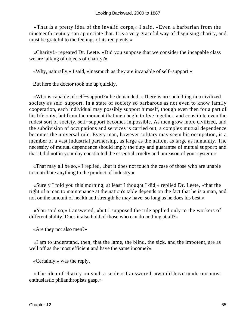«That is a pretty idea of the invalid corps,» I said. «Even a barbarian from the nineteenth century can appreciate that. It is a very graceful way of disguising charity, and must be grateful to the feelings of its recipients.»

 «Charity!» repeated Dr. Leete. «Did you suppose that we consider the incapable class we are talking of objects of charity?»

«Why, naturally,» I said, «inasmuch as they are incapable of self−support.»

But here the doctor took me up quickly.

 «Who is capable of self−support?» he demanded. «There is no such thing in a civilized society as self−support. In a state of society so barbarous as not even to know family cooperation, each individual may possibly support himself, though even then for a part of his life only; but from the moment that men begin to live together, and constitute even the rudest sort of society, self−support becomes impossible. As men grow more civilized, and the subdivision of occupations and services is carried out, a complex mutual dependence becomes the universal rule. Every man, however solitary may seem his occupation, is a member of a vast industrial partnership, as large as the nation, as large as humanity. The necessity of mutual dependence should imply the duty and guarantee of mutual support; and that it did not in your day constituted the essential cruelty and unreason of your system.»

 «That may all be so,» I replied, «but it does not touch the case of those who are unable to contribute anything to the product of industry.»

 «Surely I told you this morning, at least I thought I did,» replied Dr. Leete, «that the right of a man to maintenance at the nation's table depends on the fact that he is a man, and not on the amount of health and strength he may have, so long as he does his best.»

 «You said so,» I answered, «but I supposed the rule applied only to the workers of different ability. Does it also hold of those who can do nothing at all?»

«Are they not also men?»

 «I am to understand, then, that the lame, the blind, the sick, and the impotent, are as well off as the most efficient and have the same income?»

«Certainly,» was the reply.

 «The idea of charity on such a scale,» I answered, «would have made our most enthusiastic philanthropists gasp.»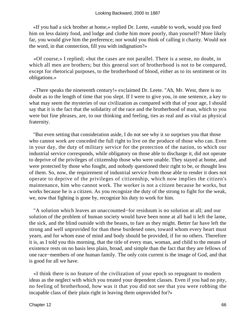«If you had a sick brother at home,» replied Dr. Leete, «unable to work, would you feed him on less dainty food, and lodge and clothe him more poorly, than yourself? More likely far, you would give him the preference; nor would you think of calling it charity. Would not the word, in that connection, fill you with indignation?»

 «Of course,» I replied; «but the cases are not parallel. There is a sense, no doubt, in which all men are brothers; but this general sort of brotherhood is not to be compared, except for rhetorical purposes, to the brotherhood of blood, either as to its sentiment or its obligations.»

 «There speaks the nineteenth century!» exclaimed Dr. Leete. "Ah, Mr. West, there is no doubt as to the length of time that you slept. If I were to give you, in one sentence, a key to what may seem the mysteries of our civilization as compared with that of your age, I should say that it is the fact that the solidarity of the race and the brotherhood of man, which to you were but fine phrases, are, to our thinking and feeling, ties as real and as vital as physical fraternity.

 "But even setting that consideration aside, I do not see why it so surprises you that those who cannot work are conceded the full right to live on the produce of those who can. Even in your day, the duty of military service for the protection of the nation, to which our industrial service corresponds, while obligatory on those able to discharge it, did not operate to deprive of the privileges of citizenship those who were unable. They stayed at home, and were protected by those who fought, and nobody questioned their right to be, or thought less of them. So, now, the requirement of industrial service from those able to render it does not operate to deprive of the privileges of citizenship, which now implies the citizen's maintenance, him who cannot work. The worker is not a citizen because he works, but works because he is a citizen. As you recognize the duty of the strong to fight for the weak, we, now that fighting is gone by, recognize his duty to work for him.

 "A solution which leaves an unaccounted−for residuum is no solution at all; and our solution of the problem of human society would have been none at all had it left the lame, the sick, and the blind outside with the beasts, to fare as they might. Better far have left the strong and well unprovided for than these burdened ones, toward whom every heart must yearn, and for whom ease of mind and body should be provided, if for no others. Therefore it is, as I told you this morning, that the title of every man, woman, and child to the means of existence rests on no basis less plain, broad, and simple than the fact that they are fellows of one race−members of one human family. The only coin current is the image of God, and that is good for all we have.

 «I think there is no feature of the civilization of your epoch so repugnant to modern ideas as the neglect with which you treated your dependent classes. Even if you had no pity, no feeling of brotherhood, how was it that you did not see that you were robbing the incapable class of their plain right in leaving them unprovided for?»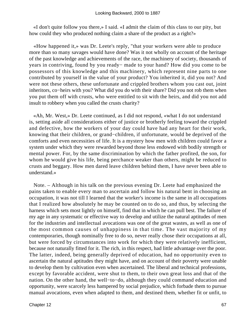«I don't quite follow you there,» I said. «I admit the claim of this class to our pity, but how could they who produced nothing claim a share of the product as a right?»

 «How happened it,» was Dr. Leete's reply, "that your workers were able to produce more than so many savages would have done? Was it not wholly on account of the heritage of the past knowledge and achievements of the race, the machinery of society, thousands of years in contriving, found by you ready− made to your hand? How did you come to be possessors of this knowledge and this machinery, which represent nine parts to one contributed by yourself in the value of your product? You inherited it, did you not? And were not these others, these unfortunate and crippled brothers whom you cast out, joint inheritors, co−heirs with you? What did you do with their share? Did you not rob them when you put them off with crusts, who were entitled to sit with the heirs, and did you not add insult to robbery when you called the crusts charity?

 «Ah, Mr. West,» Dr. Leete continued, as I did not respond, «what I do not understand is, setting aside all considerations either of justice or brotherly feeling toward the crippled and defective, how the workers of your day could have had any heart for their work, knowing that their children, or grand−children, if unfortunate, would be deprived of the comforts and even necessities of life. It is a mystery how men with children could favor a system under which they were rewarded beyond those less endowed with bodily strength or mental power. For, by the same discrimination by which the father profited, the son, for whom he would give his life, being perchance weaker than others, might be reduced to crusts and beggary. How men dared leave children behind them, I have never been able to understand.»

 Note. – Although in his talk on the previous evening Dr. Leete had emphasized the pains taken to enable every man to ascertain and follow his natural bent in choosing an occupation, it was not till I learned that the worker's income is the same in all occupations that I realized how absolutely he may be counted on to do so, and thus, by selecting the harness which sets most lightly on himself, find that in which he can pull best. The failure of my age in any systematic or effective way to develop and utilize the natural aptitudes of men for the industries and intellectual avocations was one of the great wastes, as well as one of the most common causes of unhappiness in that time. The vast majority of my contemporaries, though nominally free to do so, never really chose their occupations at all, but were forced by circumstances into work for which they were relatively inefficient, because not naturally fitted for it. The rich, in this respect, had little advantage over the poor. The latter, indeed, being generally deprived of education, had no opportunity even to ascertain the natural aptitudes they might have, and on account of their poverty were unable to develop them by cultivation even when ascertained. The liberal and technical professions, except by favorable accident, were shut to them, to their own great loss and that of the nation. On the other hand, the well−to−do, although they could command education and opportunity, were scarcely less hampered by social prejudice, which forbade them to pursue manual avocations, even when adapted to them, and destined them, whether fit or unfit, to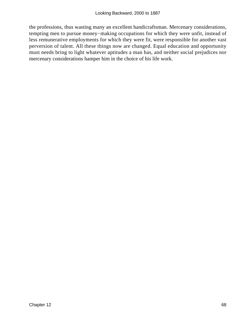the professions, thus wasting many an excellent handicraftsman. Mercenary considerations, tempting men to pursue money−making occupations for which they were unfit, instead of less remunerative employments for which they were fit, were responsible for another vast perversion of talent. All these things now are changed. Equal education and opportunity must needs bring to light whatever aptitudes a man has, and neither social prejudices nor mercenary considerations hamper him in the choice of his life work.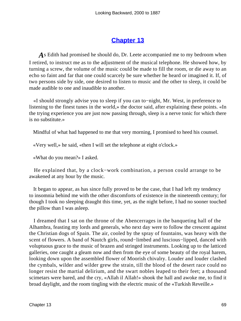### **[Chapter 13](#page-163-0)**

*A*s Edith had promised he should do, Dr. Leete accompanied me to my bedroom when I retired, to instruct me as to the adjustment of the musical telephone. He showed how, by turning a screw, the volume of the music could be made to fill the room, or die away to an echo so faint and far that one could scarcely be sure whether he heard or imagined it. If, of two persons side by side, one desired to listen to music and the other to sleep, it could be made audible to one and inaudible to another.

 «I should strongly advise you to sleep if you can to−night, Mr. West, in preference to listening to the finest tunes in the world,» the doctor said, after explaining these points. «In the trying experience you are just now passing through, sleep is a nerve tonic for which there is no substitute.»

Mindful of what had happened to me that very morning, I promised to heed his counsel.

«Very well,» he said, «then I will set the telephone at eight o'clock.»

«What do you mean?» I asked.

 He explained that, by a clock−work combination, a person could arrange to be awakened at any hour by the music.

 It began to appear, as has since fully proved to be the case, that I had left my tendency to insomnia behind me with the other discomforts of existence in the nineteenth century; for though I took no sleeping draught this time, yet, as the night before, I had no sooner touched the pillow than I was asleep.

 I dreamed that I sat on the throne of the Abencerrages in the banqueting hall of the Alhambra, feasting my lords and generals, who next day were to follow the crescent against the Christian dogs of Spain. The air, cooled by the spray of fountains, was heavy with the scent of flowers. A band of Nautch girls, round−limbed and luscious−lipped, danced with voluptuous grace to the music of brazen and stringed instruments. Looking up to the latticed galleries, one caught a gleam now and then from the eye of some beauty of the royal harem, looking down upon the assembled flower of Moorish chivalry. Louder and louder clashed the cymbals, wilder and wilder grew the strain, till the blood of the desert race could no longer resist the martial delirium, and the swart nobles leaped to their feet; a thousand scimetars were bared, and the cry, «Allah il Allah!» shook the hall and awoke me, to find it broad daylight, and the room tingling with the electric music of the «Turkish Reveille.»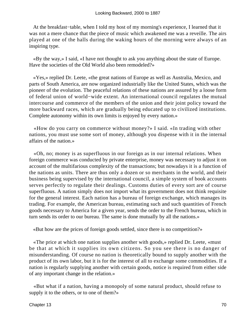At the breakfast−table, when I told my host of my morning's experience, I learned that it was not a mere chance that the piece of music which awakened me was a reveille. The airs played at one of the halls during the waking hours of the morning were always of an inspiring type.

 «By the way,» I said, «I have not thought to ask you anything about the state of Europe. Have the societies of the Old World also been remodeled?»

 «Yes,» replied Dr. Leete, «the great nations of Europe as well as Australia, Mexico, and parts of South America, are now organized industrially like the United States, which was the pioneer of the evolution. The peaceful relations of these nations are assured by a loose form of federal union of world−wide extent. An international council regulates the mutual intercourse and commerce of the members of the union and their joint policy toward the more backward races, which are gradually being educated up to civilized institutions. Complete autonomy within its own limits is enjoyed by every nation.»

 «How do you carry on commerce without money?» I said. «In trading with other nations, you must use some sort of money, although you dispense with it in the internal affairs of the nation.»

 «Oh, no; money is as superfluous in our foreign as in our internal relations. When foreign commerce was conducted by private enterprise, money was necessary to adjust it on account of the multifarious complexity of the transactions; but nowadays it is a function of the nations as units. There are thus only a dozen or so merchants in the world, and their business being supervised by the international council, a simple system of book accounts serves perfectly to regulate their dealings. Customs duties of every sort are of course superfluous. A nation simply does not import what its government does not think requisite for the general interest. Each nation has a bureau of foreign exchange, which manages its trading. For example, the American bureau, estimating such and such quantities of French goods necessary to America for a given year, sends the order to the French bureau, which in turn sends its order to our bureau. The same is done mutually by all the nations.»

«But how are the prices of foreign goods settled, since there is no competition?»

 «The price at which one nation supplies another with goods,» replied Dr. Leete, «must be that at which it supplies its own citizens. So you see there is no danger of misunderstanding. Of course no nation is theoretically bound to supply another with the product of its own labor, but it is for the interest of all to exchange some commodities. If a nation is regularly supplying another with certain goods, notice is required from either side of any important change in the relation.»

 «But what if a nation, having a monopoly of some natural product, should refuse to supply it to the others, or to one of them?»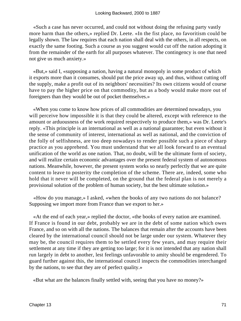«Such a case has never occurred, and could not without doing the refusing party vastly more harm than the others,» replied Dr. Leete. «In the fist place, no favoritism could be legally shown. The law requires that each nation shall deal with the others, in all respects, on exactly the same footing. Such a course as you suggest would cut off the nation adopting it from the remainder of the earth for all purposes whatever. The contingency is one that need not give us much anxiety.»

 «But,» said I, «supposing a nation, having a natural monopoly in some product of which it exports more than it consumes, should put the price away up, and thus, without cutting off the supply, make a profit out of its neighbors' necessities? Its own citizens would of course have to pay the higher price on that commodity, but as a body would make more out of foreigners than they would be out of pocket themselves.»

 «When you come to know how prices of all commodities are determined nowadays, you will perceive how impossible it is that they could be altered, except with reference to the amount or arduousness of the work required respectively to produce them,» was Dr. Leete's reply. «This principle is an international as well as a national guarantee; but even without it the sense of community of interest, international as well as national, and the conviction of the folly of selfishness, are too deep nowadays to render possible such a piece of sharp practice as you apprehend. You must understand that we all look forward to an eventual unification of the world as one nation. That, no doubt, will be the ultimate form of society, and will realize certain economic advantages over the present federal system of autonomous nations. Meanwhile, however, the present system works so nearly perfectly that we are quite content to leave to posterity the completion of the scheme. There are, indeed, some who hold that it never will be completed, on the ground that the federal plan is not merely a provisional solution of the problem of human society, but the best ultimate solution.»

 «How do you manage,» I asked, «when the books of any two nations do not balance? Supposing we import more from France than we export to her.»

 «At the end of each year,» replied the doctor, «the books of every nation are examined. If France is found in our debt, probably we are in the debt of some nation which owes France, and so on with all the nations. The balances that remain after the accounts have been cleared by the international council should not be large under our system. Whatever they may be, the council requires them to be settled every few years, and may require their settlement at any time if they are getting too large; for it is not intended that any nation shall run largely in debt to another, lest feelings unfavorable to amity should be engendered. To guard further against this, the international council inspects the commodities interchanged by the nations, to see that they are of perfect quality.»

«But what are the balances finally settled with, seeing that you have no money?»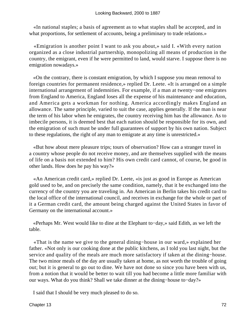«In national staples; a basis of agreement as to what staples shall be accepted, and in what proportions, for settlement of accounts, being a preliminary to trade relations.»

 «Emigration is another point I want to ask you about,» said I. «With every nation organized as a close industrial partnership, monopolizing all means of production in the country, the emigrant, even if he were permitted to land, would starve. I suppose there is no emigration nowadays.»

 «On the contrary, there is constant emigration, by which I suppose you mean removal to foreign countries for permanent residence,» replied Dr. Leete. «It is arranged on a simple international arrangement of indemnities. For example, if a man at twenty−one emigrates from England to America, England loses all the expense of his maintenance and education, and America gets a workman for nothing. America accordingly makes England an allowance. The same principle, varied to suit the case, applies generally. If the man is near the term of his labor when he emigrates, the country receiving him has the allowance. As to imbecile persons, it is deemed best that each nation should be responsible for its own, and the emigration of such must be under full guarantees of support by his own nation. Subject to these regulations, the right of any man to emigrate at any time is unrestricted.»

 «But how about mere pleasure trips; tours of observation? How can a stranger travel in a country whose people do not receive money, and are themselves supplied with the means of life on a basis not extended to him? His own credit card cannot, of course, be good in other lands. How does he pay his way?»

 «An American credit card,» replied Dr. Leete, «is just as good in Europe as American gold used to be, and on precisely the same condition, namely, that it be exchanged into the currency of the country you are traveling in. An American in Berlin takes his credit card to the local office of the international council, and receives in exchange for the whole or part of it a German credit card, the amount being charged against the United States in favor of Germany on the international account.»

 «Perhaps Mr. West would like to dine at the Elephant to−day,» said Edith, as we left the table.

 «That is the name we give to the general dining−house in our ward,» explained her father. «Not only is our cooking done at the public kitchens, as I told you last night, but the service and quality of the meals are much more satisfactory if taken at the dining−house. The two minor meals of the day are usually taken at home, as not worth the trouble of going out; but it is general to go out to dine. We have not done so since you have been with us, from a notion that it would be better to wait till you had become a little more familiar with our ways. What do you think? Shall we take dinner at the dining−house to−day?»

I said that I should be very much pleased to do so.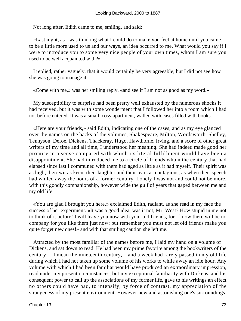Not long after, Edith came to me, smiling, and said:

 «Last night, as I was thinking what I could do to make you feel at home until you came to be a little more used to us and our ways, an idea occurred to me. What would you say if I were to introduce you to some very nice people of your own times, whom I am sure you used to be well acquainted with?»

 I replied, rather vaguely, that it would certainly be very agreeable, but I did not see how she was going to manage it.

«Come with me,» was her smiling reply, «and see if I am not as good as my word.»

 My susceptibility to surprise had been pretty well exhausted by the numerous shocks it had received, but it was with some wonderment that I followed her into a room which I had not before entered. It was a small, cosy apartment, walled with cases filled with books.

 «Here are your friends,» said Edith, indicating one of the cases, and as my eye glanced over the names on the backs of the volumes, Shakespeare, Milton, Wordsworth, Shelley, Tennyson, Defoe, Dickens, Thackeray, Hugo, Hawthorne, Irving, and a score of other great writers of my time and all time, I understood her meaning. She had indeed made good her promise in a sense compared with which its literal fulfillment would have been a disappointment. She had introduced me to a circle of friends whom the century that had elapsed since last I communed with them had aged as little as it had myself. Their spirit was as high, their wit as keen, their laughter and their tears as contagious, as when their speech had whiled away the hours of a former century. Lonely I was not and could not be more, with this goodly companionship, however wide the gulf of years that gaped between me and my old life.

 «You are glad I brought you here,» exclaimed Edith, radiant, as she read in my face the success of her experiment. «It was a good idea, was it not, Mr. West? How stupid in me not to think of it before! I will leave you now with your old friends, for I know there will be no company for you like them just now; but remember you must not let old friends make you quite forget new ones!» and with that smiling caution she left me.

 Attracted by the most familiar of the names before me, I laid my hand on a volume of Dickens, and sat down to read. He had been my prime favorite among the bookwriters of the century, – I mean the nineteenth century, – and a week had rarely passed in my old life during which I had not taken up some volume of his works to while away an idle hour. Any volume with which I had been familiar would have produced an extraordinary impression, read under my present circumstances, but my exceptional familiarity with Dickens, and his consequent power to call up the associations of my former life, gave to his writings an effect no others could have had, to intensify, by force of contrast, my appreciation of the strangeness of my present environment. However new and astonishing one's surroundings,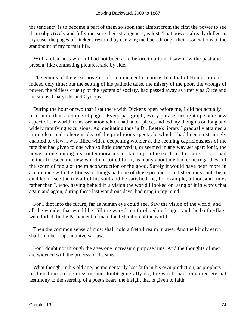the tendency is to become a part of them so soon that almost from the first the power to see them objectively and fully measure their strangeness, is lost. That power, already dulled in my case, the pages of Dickens restored by carrying me back through their associations to the standpoint of my former life.

With a clearness which I had not been able before to attain, I saw now the past and present, like contrasting pictures, side by side.

 The genius of the great novelist of the nineteenth century, like that of Homer, might indeed defy time; but the setting of his pathetic tales, the misery of the poor, the wrongs of power, the pitiless cruelty of the system of society, had passed away as utterly as Circe and the sirens, Charybdis and Cyclops.

 During the hour or two that I sat there with Dickens open before me, I did not actually read more than a couple of pages. Every paragraph, every phrase, brought up some new aspect of the world−transformation which had taken place, and led my thoughts on long and widely ramifying excursions. As meditating thus in Dr. Leete's library I gradually attained a more clear and coherent idea of the prodigious spectacle which I had been so strangely enabled to view, I was filled with a deepening wonder at the seeming capriciousness of the fate that had given to one who so little deserved it, or seemed in any way set apart for it, the power alone among his contemporaries to stand upon the earth in this latter day. I had neither foreseen the new world nor toiled for it, as many about me had done regardless of the scorn of fools or the misconstruction of the good. Surely it would have been more in accordance with the fitness of things had one of those prophetic and strenuous souls been enabled to see the travail of his soul and be satisfied; he, for example, a thousand times rather than I, who, having beheld in a vision the world I looked on, sang of it in words that again and again, during these last wondrous days, had rung in my mind:

 For I dipt into the future, far as human eye could see, Saw the vision of the world, and all the wonder that would be Till the war−drum throbbed no longer, and the battle−flags were furled. In the Parliament of man, the federation of the world.

 Then the common sense of most shall hold a fretful realm in awe, And the kindly earth shall slumber, lapt in universal law.

 For I doubt not through the ages one increasing purpose runs, And the thoughts of men are widened with the process of the suns.

 What though, in his old age, he momentarily lost faith in his own prediction, as prophets in their hours of depression and doubt generally do; the words had remained eternal testimony to the seership of a poet's heart, the insight that is given to faith.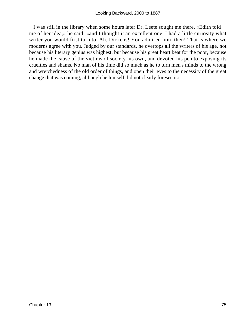I was still in the library when some hours later Dr. Leete sought me there. «Edith told me of her idea,» he said, «and I thought it an excellent one. I had a little curiosity what writer you would first turn to. Ah, Dickens! You admired him, then! That is where we moderns agree with you. Judged by our standards, he overtops all the writers of his age, not because his literary genius was highest, but because his great heart beat for the poor, because he made the cause of the victims of society his own, and devoted his pen to exposing its cruelties and shams. No man of his time did so much as he to turn men's minds to the wrong and wretchedness of the old order of things, and open their eyes to the necessity of the great change that was coming, although he himself did not clearly foresee it.»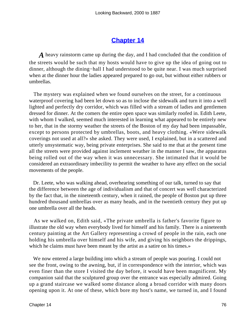### **[Chapter 14](#page-163-0)**

*A* heavy rainstorm came up during the day, and I had concluded that the condition of the streets would be such that my hosts would have to give up the idea of going out to dinner, although the dining−hall I had understood to be quite near. I was much surprised when at the dinner hour the ladies appeared prepared to go out, but without either rubbers or umbrellas.

 The mystery was explained when we found ourselves on the street, for a continuous waterproof covering had been let down so as to inclose the sidewalk and turn it into a well lighted and perfectly dry corridor, which was filled with a stream of ladies and gentlemen dressed for dinner. At the comers the entire open space was similarly roofed in. Edith Leete, with whom I walked, seemed much interested in learning what appeared to be entirely new to her, that in the stormy weather the streets of the Boston of my day had been impassable, except to persons protected by umbrellas, boots, and heavy clothing. «Were sidewalk coverings not used at all?» she asked. They were used, I explained, but in a scattered and utterly unsystematic way, being private enterprises. She said to me that at the present time all the streets were provided against inclement weather in the manner I saw, the apparatus being rolled out of the way when it was unnecessary. She intimated that it would be considered an extraordinary imbecility to permit the weather to have any effect on the social movements of the people.

 Dr. Leete, who was walking ahead, overhearing something of our talk, turned to say that the difference between the age of individualism and that of concert was well characterized by the fact that, in the nineteenth century, when it rained, the people of Boston put up three hundred thousand umbrellas over as many heads, and in the twentieth century they put up one umbrella over all the heads.

 As we walked on, Edith said, «The private umbrella is father's favorite figure to illustrate the old way when everybody lived for himself and his family. There is a nineteenth century painting at the Art Gallery representing a crowd of people in the rain, each one holding his umbrella over himself and his wife, and giving his neighbors the drippings, which he claims must have been meant by the artist as a satire on his times.»

 We now entered a large building into which a stream of people was pouring. I could not see the front, owing to the awning, but, if in correspondence with the interior, which was even finer than the store I visited the day before, it would have been magnificent. My companion said that the sculptured group over the entrance was especially admired. Going up a grand staircase we walked some distance along a broad corridor with many doors opening upon it. At one of these, which bore my host's name, we turned in, and I found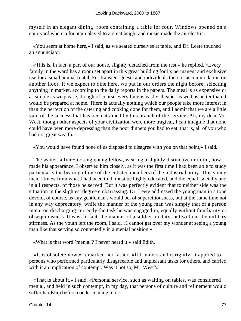myself in an elegant dining−room containing a table for four. Windows opened on a courtyard where a fountain played to a great height and music made the air electric.

 «You seem at home here,» I said, as we seated ourselves at table, and Dr. Leete touched an annunciator.

 «This is, in fact, a part of our house, slightly detached from the rest,» he replied. «Every family in the ward has a room set apart in this great building for its permanent and exclusive use for a small annual rental. For transient guests and individuals there is accommodation on another floor. If we expect to dine here, we put in our orders the night before, selecting anything in market, according to the daily reports in the papers. The meal is as expensive or as simple as we please, though of course everything is vastly cheaper as well as better than it would be prepared at home. There is actually nothing which our people take more interest in than the perfection of the catering and cooking done for them, and I admit that we are a little vain of the success that has been attained by this branch of the service. Ah, my dear Mr. West, though other aspects of your civilization were more tragical, I can imagine that none could have been more depressing than the poor dinners you had to eat, that is, all of you who had not great wealth.»

«You would have found none of us disposed to disagree with you on that point,» I said.

The waiter, a fine–looking young fellow, wearing a slightly distinctive uniform, now made his appearance. I observed him closely, as it was the first time I had been able to study particularly the bearing of one of the enlisted members of the industrial army. This young man, I knew from what I had been told, must be highly educated, and the equal, socially and in all respects, of those he served. But it was perfectly evident that to neither side was the situation in the slightest degree embarrassing. Dr. Leete addressed the young man in a tone devoid, of course, as any gentleman's would be, of superciliousness, but at the same time not in any way deprecatory, while the manner of the young man was simply that of a person intent on discharging correctly the task he was engaged in, equally without familiarity or obsequiousness. It was, in fact, the manner of a soldier on duty, but without the military stiffness. As the youth left the room, I said, «I cannot get over my wonder at seeing a young man like that serving so contentedly in a menial position.»

«What is that word `menial'? I never heard it,» said Edith.

 «It is obsolete now,» remarked her father. «If I understand it rightly, it applied to persons who performed particularly disagreeable and unpleasant tasks for others, and carried with it an implication of contempt. Was it not so, Mr. West?»

 «That is about it,» I said. «Personal service, such as waiting on tables, was considered menial, and held in such contempt, in my day, that persons of culture and refinement would suffer hardship before condescending to it.»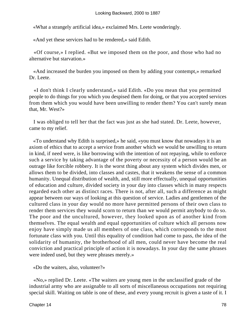«What a strangely artificial idea,» exclaimed Mrs. Leete wonderingly.

«And yet these services had to be rendered,» said Edith.

 «Of course,» I replied. «But we imposed them on the poor, and those who had no alternative but starvation.»

 «And increased the burden you imposed on them by adding your contempt,» remarked Dr. Leete.

 «I don't think I clearly understand,» said Edith. «Do you mean that you permitted people to do things for you which you despised them for doing, or that you accepted services from them which you would have been unwilling to render them? You can't surely mean that, Mr. West?»

 I was obliged to tell her that the fact was just as she had stated. Dr. Leete, however, came to my relief.

 «To understand why Edith is surprised,» he said, «you must know that nowadays it is an axiom of ethics that to accept a service from another which we would be unwilling to return in kind, if need were, is like borrowing with the intention of not repaying, while to enforce such a service by taking advantage of the poverty or necessity of a person would be an outrage like forcible robbery. It is the worst thing about any system which divides men, or allows them to be divided, into classes and castes, that it weakens the sense of a common humanity. Unequal distribution of wealth, and, still more effectually, unequal opportunities of education and culture, divided society in your day into classes which in many respects regarded each other as distinct races. There is not, after all, such a difference as might appear between our ways of looking at this question of service. Ladies and gentlemen of the cultured class in your day would no more have permitted persons of their own class to render them services they would scorn to return than we would permit anybody to do so. The poor and the uncultured, however, they looked upon as of another kind from themselves. The equal wealth and equal opportunities of culture which all persons now enjoy have simply made us all members of one class, which corresponds to the most fortunate class with you. Until this equality of condition had come to pass, the idea of the solidarity of humanity, the brotherhood of all men, could never have become the real conviction and practical principle of action it is nowadays. In your day the same phrases were indeed used, but they were phrases merely.»

«Do the waiters, also, volunteer?»

 «No,» replied Dr. Leete. «The waiters are young men in the unclassified grade of the industrial army who are assignable to all sorts of miscellaneous occupations not requiring special skill. Waiting on table is one of these, and every young recruit is given a taste of it. I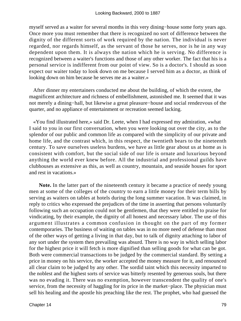myself served as a waiter for several months in this very dining−house some forty years ago. Once more you must remember that there is recognized no sort of difference between the dignity of the different sorts of work required by the nation. The individual is never regarded, nor regards himself, as the servant of those he serves, nor is he in any way dependent upon them. It is always the nation which he is serving. No difference is recognized between a waiter's functions and those of any other worker. The fact that his is a personal service is indifferent from our point of view. So is a doctor's. I should as soon expect our waiter today to look down on me because I served him as a doctor, as think of looking down on him because he serves me as a waiter.»

 After dinner my entertainers conducted me about the building, of which the extent, the magnificent architecture and richness of embellishment, astonished me. It seemed that it was not merely a dining−hall, but likewise a great pleasure−house and social rendezvous of the quarter, and no appliance of entertainment or recreation seemed lacking.

 «You find illustrated here,» said Dr. Leete, when I had expressed my admiration, «what I said to you in our first conversation, when you were looking out over the city, as to the splendor of our public and common life as compared with the simplicity of our private and home life, and the contrast which, in this respect, the twentieth bears to the nineteenth century. To save ourselves useless burdens, we have as little gear about us at home as is consistent with comfort, but the social side of our life is ornate and luxurious beyond anything the world ever knew before. All the industrial and professional guilds have clubhouses as extensive as this, as well as country, mountain, and seaside houses for sport and rest in vacations.»

**Note.** In the latter part of the nineteenth century it became a practice of needy young men at some of the colleges of the country to earn a little money for their term bills by serving as waiters on tables at hotels during the long summer vacation. It was claimed, in reply to critics who expressed the prejudices of the time in asserting that persons voluntarily following such an occupation could not be gentlemen, that they were entitled to praise for vindicating, by their example, the dignity of all honest and necessary labor. The use of this argument illustrates a common confusion in thought on the part of my former contemporaries. The business of waiting on tables was in no more need of defense than most of the other ways of getting a living in that day, but to talk of dignity attaching to labor of any sort under the system then prevailing was absurd. There is no way in which selling labor for the highest price it will fetch is more dignified than selling goods for what can be got. Both were commercial transactions to be judged by the commercial standard. By setting a price in money on his service, the worker accepted the money measure for it, and renounced all clear claim to be judged by any other. The sordid taint which this necessity imparted to the noblest and the highest sorts of service was bitterly resented by generous souls, but there was no evading it. There was no exemption, however transcendent the quality of one's service, from the necessity of haggling for its price in the market−place. The physician must sell his healing and the apostle his preaching like the rest. The prophet, who had guessed the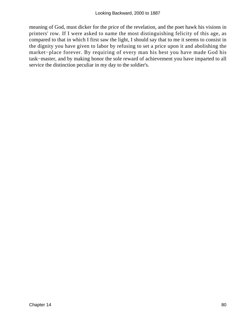meaning of God, must dicker for the price of the revelation, and the poet hawk his visions in printers' row. If I were asked to name the most distinguishing felicity of this age, as compared to that in which I first saw the light, I should say that to me it seems to consist in the dignity you have given to labor by refusing to set a price upon it and abolishing the market−place forever. By requiring of every man his best you have made God his task−master, and by making honor the sole reward of achievement you have imparted to all service the distinction peculiar in my day to the soldier's.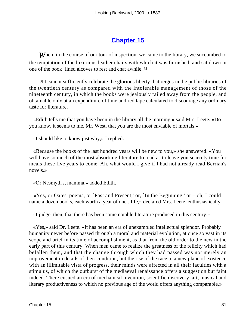# **[Chapter 15](#page-163-0)**

**When, in the course of our tour of inspection, we came to the library, we succumbed to** the temptation of the luxurious leather chairs with which it was furnished, and sat down in one of the book−lined alcoves to rest and chat awhile.[3]

[3] I cannot sufficiently celebrate the glorious liberty that reigns in the public libraries of the twentieth century as compared with the intolerable management of those of the nineteenth century, in which the books were jealously railed away from the people, and obtainable only at an expenditure of time and red tape calculated to discourage any ordinary taste for literature.

 «Edith tells me that you have been in the library all the morning,» said Mrs. Leete. «Do you know, it seems to me, Mr. West, that you are the most enviable of mortals.»

«I should like to know just why,» I replied.

 «Because the books of the last hundred years will be new to you,» she answered. «You will have so much of the most absorbing literature to read as to leave you scarcely time for meals these five years to come. Ah, what would I give if I had not already read Berrian's novels.»

«Or Nesmyth's, mamma,» added Edith.

 «Yes, or Oates' poems, or `Past and Present,' or, `In the Beginning,' or – oh, I could name a dozen books, each worth a year of one's life,» declared Mrs. Leete, enthusiastically.

«I judge, then, that there has been some notable literature produced in this century.»

 «Yes,» said Dr. Leete. «It has been an era of unexampled intellectual splendor. Probably humanity never before passed through a moral and material evolution, at once so vast in its scope and brief in its time of accomplishment, as that from the old order to the new in the early part of this century. When men came to realize the greatness of the felicity which had befallen them, and that the change through which they had passed was not merely an improvement in details of their condition, but the rise of the race to a new plane of existence with an illimitable vista of progress, their minds were affected in all their faculties with a stimulus, of which the outburst of the mediaeval renaissance offers a suggestion but faint indeed. There ensued an era of mechanical invention, scientific discovery, art, musical and literary productiveness to which no previous age of the world offers anything comparable.»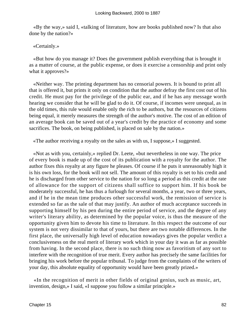«By the way,» said I, «talking of literature, how are books published now? Is that also done by the nation?»

### «Certainly.»

 «But how do you manage it? Does the government publish everything that is brought it as a matter of course, at the public expense, or does it exercise a censorship and print only what it approves?»

 «Neither way. The printing department has no censorial powers. It is bound to print all that is offered it, but prints it only on condition that the author defray the first cost out of his credit. He must pay for the privilege of the public ear, and if he has any message worth hearing we consider that he will be glad to do it. Of course, if incomes were unequal, as in the old times, this rule would enable only the rich to be authors, but the resources of citizens being equal, it merely measures the strength of the author's motive. The cost of an edition of an average book can be saved out of a year's credit by the practice of economy and some sacrifices. The book, on being published, is placed on sale by the nation.»

«The author receiving a royalty on the sales as with us, I suppose,» I suggested.

 «Not as with you, certainly,» replied Dr. Leete, «but nevertheless in one way. The price of every book is made up of the cost of its publication with a royalty for the author. The author fixes this royalty at any figure he pleases. Of course if he puts it unreasonably high it is his own loss, for the book will not sell. The amount of this royalty is set to his credit and he is discharged from other service to the nation for so long a period as this credit at the rate of allowance for the support of citizens shall suffice to support him. If his book be moderately successful, he has thus a furlough for several months, a year, two or three years, and if he in the mean time produces other successful work, the remission of service is extended so far as the sale of that may justify. An author of much acceptance succeeds in supporting himself by his pen during the entire period of service, and the degree of any writer's literary ability, as determined by the popular voice, is thus the measure of the opportunity given him to devote his time to literature. In this respect the outcome of our system is not very dissimilar to that of yours, but there are two notable differences. In the first place, the universally high level of education nowadays gives the popular verdict a conclusiveness on the real merit of literary work which in your day it was as far as possible from having. In the second place, there is no such thing now as favoritism of any sort to interfere with the recognition of true merit. Every author has precisely the same facilities for bringing his work before the popular tribunal. To judge from the complaints of the writers of your day, this absolute equality of opportunity would have been greatly prized.»

 «In the recognition of merit in other fields of original genius, such as music, art, invention, design,» I said, «I suppose you follow a similar principle.»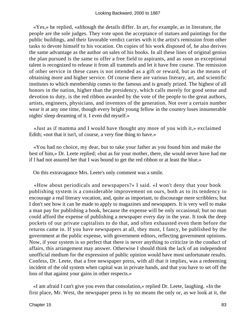«Yes,» he replied, «although the details differ. In art, for example, as in literature, the people are the sole judges. They vote upon the acceptance of statues and paintings for the public buildings, and their favorable verdict carries with it the artist's remission from other tasks to devote himself to his vocation. On copies of his work disposed of, he also derives the same advantage as the author on sales of his books. In all these lines of original genius the plan pursued is the same to offer a free field to aspirants, and as soon as exceptional talent is recognized to release it from all trammels and let it have free course. The remission of other service in these cases is not intended as a gift or reward, but as the means of obtaining more and higher service. Of course there are various literary, art, and scientific institutes to which membership comes to the famous and is greatly prized. The highest of all honors in the nation, higher than the presidency, which calls merely for good sense and devotion to duty, is the red ribbon awarded by the vote of the people to the great authors, artists, engineers, physicians, and inventors of the generation. Not over a certain number wear it at any one time, though every bright young fellow in the country loses innumerable nights' sleep dreaming of it. I even did myself.»

 «Just as if mamma and I would have thought any more of you with it,» exclaimed Edith; «not that it isn't, of course, a very fine thing to have.»

 «You had no choice, my dear, but to take your father as you found him and make the best of him,» Dr. Leete replied; «but as for your mother, there, she would never have had me if l had not assured her that I was bound to get the red ribbon or at least the blue.»

On this extravagance Mrs. Leete's only comment was a smile.

 «How about periodicals and newspapers?» I said. «I won't deny that your book publishing system is a considerable improvement on ours, both as to its tendency to encourage a real literary vocation, and, quite as important, to discourage mere scribblers; but I don't see how it can be made to apply to magazines and newspapers. It is very well to make a man pay for publishing a book, because the expense will be only occasional; but no man could afford the expense of publishing a newspaper every day in the year. It took the deep pockets of our private capitalists to do that, and often exhausted even them before the returns came in. If you have newspapers at all, they must, I fancy, be published by the government at the public expense, with government editors, reflecting government opinions. Now, if your system is so perfect that there is never anything to criticize in the conduct of affairs, this arrangement may answer. Otherwise I should think the lack of an independent unofficial medium for the expression of public opinion would have most unfortunate results. Confess, Dr. Leete, that a free newspaper press, with all that it implies, was a redeeming incident of the old system when capital was in private hands, and that you have to set off the loss of that against your gains in other respects.»

 «I am afraid I can't give you even that consolation,» replied Dr. Leete, laughing. «In the first place, Mr. West, the newspaper press is by no means the only or, as we look at it, the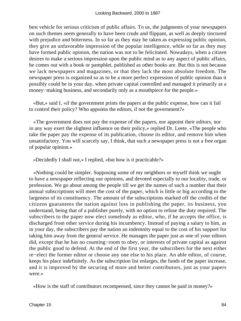best vehicle for serious criticism of public affairs. To us, the judgments of your newspapers on such themes seem generally to have been crude and flippant, as well as deeply tinctured with prejudice and bitterness. In so far as they may be taken as expressing public opinion, they give an unfavorable impression of the popular intelligence, while so far as they may have formed public opinion, the nation was not to be felicitated. Nowadays, when a citizen desires to make a serious impression upon the public mind as to any aspect of public affairs, he comes out with a book or pamphlet, published as other books are. But this is not because we lack newspapers and magazines, or that they lack the most absolute freedom. The newspaper press is organized so as to be a more perfect expression of public opinion than it possibly could be in your day, when private capital controlled and managed it primarily as a money−making business, and secondarily only as a mouthpiece for the people.»

 «But,» said I, «if the government prints the papers at the public expense, how can it fail to control their policy? Who appoints the editors, if not the government?»

 «The government does not pay the expense of the papers, nor appoint their editors, nor in any way exert the slightest influence on their policy,» replied Dr. Leete. «The people who take the paper pay the expense of its publication, choose its editor, and remove him when unsatisfactory. You will scarcely say, I think, that such a newspaper press is not a free organ of popular opinion.»

«Decidedly I shall not,» I replied, «but how is it practicable?»

 «Nothing could be simpler. Supposing some of my neighbors or myself think we ought to have a newspaper reflecting our opinions, and devoted especially to our locality, trade, or profession. We go about among the people till we get the names of such a number that their annual subscriptions will meet the cost of the paper, which is little or big according to the largeness of its constituency. The amount of the subscriptions marked off the credits of the citizens guarantees the nation against loss in publishing the paper, its business, you understand, being that of a publisher purely, with no option to refuse the duty required. The subscribers to the paper now elect somebody as editor, who, if he accepts the office, is discharged from other service during his incumbency. Instead of paying a salary to him, as in your day, the subscribers pay the nation an indemnity equal to the cost of his support for taking him away from the general service. He manages the paper just as one of your editors did, except that he has no counting−room to obey, or interests of private capital as against the public good to defend. At the end of the first year, the subscribers for the next either re−elect the former editor or choose any one else to his place. An able editor, of course, keeps his place indefinitely. As the subscription list enlarges, the funds of the paper increase, and it is improved by the securing of more and better contributors, just as your papers were.»

«How is the staff of contributors recompensed, since they cannot be paid in money?»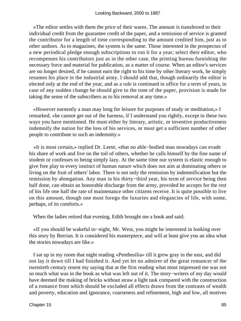«The editor settles with them the price of their wares. The amount is transferred to their individual credit from the guarantee credit of the paper, and a remission of service is granted the contributor for a length of time corresponding to the amount credited him, just as to other authors. As to magazines, the system is the same. Those interested in the prospectus of a new periodical pledge enough subscriptions to run it for a year; select their editor, who recompenses his contributors just as in the other case, the printing bureau furnishing the necessary force and material for publication, as a matter of course. When an editor's services are no longer desired, if he cannot earn the right to his time by other literary work, he simply resumes his place in the industrial army. I should add that, though ordinarily the editor is elected only at the end of the year, and as a rule is continued in office for a term of years, in case of any sudden change he should give to the tone of the paper, provision is made for taking the sense of the subscribers as to his removal at any time.»

 «However earnestly a man may long for leisure for purposes of study or meditation,» I remarked, «he cannot get out of the harness, if I understand you rightly, except in these two ways you have mentioned. He must either by literary, artistic, or inventive productiveness indemnify the nation for the loss of his services, or must get a sufficient number of other people to contribute to such an indemnity.»

 «It is most certain,» replied Dr. Leete, «that no able−bodied man nowadays can evade his share of work and live on the toil of others, whether he calls himself by the fine name of student or confesses to being simply lazy. At the same time our system is elastic enough to give free play to every instinct of human nature which does not aim at dominating others or living on the fruit of others' labor. There is not only the remission by indemnification but the remission by abnegation. Any man in his thirty−third year, his term of service being then half done, can obtain an honorable discharge from the army, provided he accepts for the rest of his life one half the rate of maintenance other citizens receive. It is quite possible to live on this amount, though one must forego the luxuries and elegancies of life, with some, perhaps, of its comforts.»

When the ladies retired that evening, Edith brought me a book and said:

 «If you should be wakeful to−night, Mr. West, you might be interested in looking over this story by Berrian. It is considered his masterpiece, and will at least give you an idea what the stories nowadays are like.»

 I sat up in my room that night reading «Penthesilia» till it grew gray in the east, and did not lay it down till I had finished it. And yet let no admirer of the great romancer of the twentieth century resent my saying that at the first reading what most impressed me was not so much what was in the book as what was left out of it. The story−writers of my day would have deemed the making of bricks without straw a light task compared with the construction of a romance from which should be excluded all effects drawn from the contrasts of wealth and poverty, education and ignorance, coarseness and refinement, high and low, all motives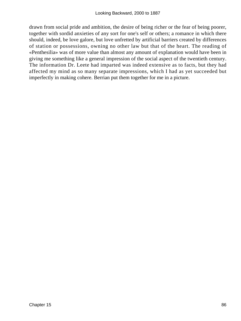drawn from social pride and ambition, the desire of being richer or the fear of being poorer, together with sordid anxieties of any sort for one's self or others; a romance in which there should, indeed, be love galore, but love unfretted by artificial barriers created by differences of station or possessions, owning no other law but that of the heart. The reading of «Penthesilia» was of more value than almost any amount of explanation would have been in giving me something like a general impression of the social aspect of the twentieth century. The information Dr. Leete had imparted was indeed extensive as to facts, but they had affected my mind as so many separate impressions, which I had as yet succeeded but imperfectly in making cohere. Berrian put them together for me in a picture.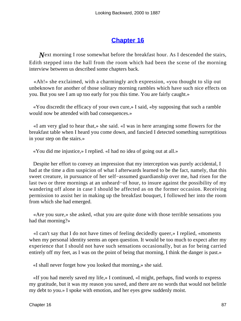### **[Chapter 16](#page-163-0)**

*Next* morning I rose somewhat before the breakfast hour. As I descended the stairs, Edith stepped into the hall from the room which had been the scene of the morning interview between us described some chapters back.

 «Ah!» she exclaimed, with a charmingly arch expression, «you thought to slip out unbeknown for another of those solitary morning rambles which have such nice effects on you. But you see I am up too early for you this time. You are fairly caught.»

 «You discredit the efficacy of your own cure,» I said, «by supposing that such a ramble would now be attended with bad consequences.»

 «I am very glad to hear that,» she said. «I was in here arranging some flowers for the breakfast table when I heard you come down, and fancied I detected something surreptitious in your step on the stairs.»

«You did me injustice,» I replied. «I had no idea of going out at all.»

 Despite her effort to convey an impression that my interception was purely accidental, I had at the time a dim suspicion of what I afterwards learned to be the fact, namely, that this sweet creature, in pursuance of her self−assumed guardianship over me, had risen for the last two or three mornings at an unheard−of hour, to insure against the possibility of my wandering off alone in case I should be affected as on the former occasion. Receiving permission to assist her in making up the breakfast bouquet, I followed her into the room from which she had emerged.

 «Are you sure,» she asked, «that you are quite done with those terrible sensations you had that morning?»

 «I can't say that I do not have times of feeling decidedly queer,» I replied, «moments when my personal identity seems an open question. It would be too much to expect after my experience that I should not have such sensations occasionally, but as for being carried entirely off my feet, as I was on the point of being that morning, I think the danger is past.»

«I shall never forget how you looked that morning,» she said.

 «If you had merely saved my life,» I continued, «I might, perhaps, find words to express my gratitude, but it was my reason you saved, and there are no words that would not belittle my debt to you.» I spoke with emotion, and her eyes grew suddenly moist.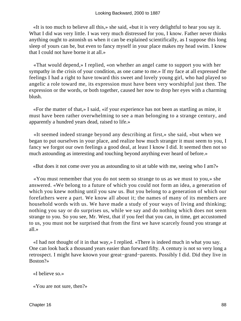«It is too much to believe all this,» she said, «but it is very delightful to hear you say it. What I did was very little. I was very much distressed for you, I know. Father never thinks anything ought to astonish us when it can be explained scientifically, as I suppose this long sleep of yours can be, but even to fancy myself in your place makes my head swim. I know that I could not have borne it at all.»

 «That would depend,» I replied, «on whether an angel came to support you with her sympathy in the crisis of your condition, as one came to me.» If my face at all expressed the feelings I had a right to have toward this sweet and lovely young girl, who had played so angelic a role toward me, its expression must have been very worshipful just then. The expression or the words, or both together, caused her now to drop her eyes with a charming blush.

 «For the matter of that,» I said, «if your experience has not been as startling as mine, it must have been rather overwhelming to see a man belonging to a strange century, and apparently a hundred years dead, raised to life.»

 «It seemed indeed strange beyond any describing at first,» she said, «but when we began to put ourselves in your place, and realize how much stranger it must seem to you, I fancy we forgot our own feelings a good deal, at least I know I did. It seemed then not so much astounding as interesting and touching beyond anything ever heard of before.»

«But does it not come over you as astounding to sit at table with me, seeing who I am?»

 «You must remember that you do not seem so strange to us as we must to you,» she answered. «We belong to a future of which you could not form an idea, a generation of which you knew nothing until you saw us. But you belong to a generation of which our forefathers were a part. We know all about it; the names of many of its members are household words with us. We have made a study of your ways of living and thinking; nothing you say or do surprises us, while we say and do nothing which does not seem strange to you. So you see, Mr. West, that if you feel that you can, in time, get accustomed to us, you must not be surprised that from the first we have scarcely found you strange at all.»

 «I had not thought of it in that way,» I replied. «There is indeed much in what you say. One can look back a thousand years easier than forward fifty. A century is not so very long a retrospect. I might have known your great−grand−parents. Possibly I did. Did they live in Boston?»

#### «I believe so.»

«You are not sure, then?»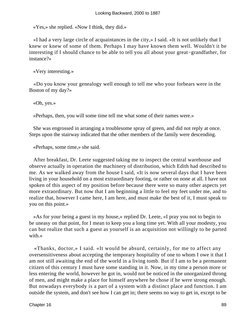«Yes,» she replied. «Now I think, they did.»

 «I had a very large circle of acquaintances in the city,» I said. «It is not unlikely that I knew or knew of some of them. Perhaps I may have known them well. Wouldn't it be interesting if I should chance to be able to tell you all about your great−grandfather, for instance?»

«Very interesting.»

 «Do you know your genealogy well enough to tell me who your forbears were in the Boston of my day?»

«Oh, yes.»

«Perhaps, then, you will some time tell me what some of their names were.»

 She was engrossed in arranging a troublesome spray of green, and did not reply at once. Steps upon the stairway indicated that the other members of the family were descending.

«Perhaps, some time,» she said.

 After breakfast, Dr. Leete suggested taking me to inspect the central warehouse and observe actually in operation the machinery of distribution, which Edith had described to me. As we walked away from the house I said, «It is now several days that I have been living in your household on a most extraordinary footing, or rather on none at all. I have not spoken of this aspect of my position before because there were so many other aspects yet more extraordinary. But now that I am beginning a little to feel my feet under me, and to realize that, however I came here, I am here, and must make the best of it, I must speak to you on this point.»

 «As for your being a guest in my house,» replied Dr. Leete, «I pray you not to begin to be uneasy on that point, for I mean to keep you a long time yet. With all your modesty, you can but realize that such a guest as yourself is an acquisition not willingly to be parted with.»

 «Thanks, doctor,» I said. «It would be absurd, certainly, for me to affect any oversensitiveness about accepting the temporary hospitality of one to whom I owe it that I am not still awaiting the end of the world in a living tomb. But if I am to be a permanent citizen of this century I must have some standing in it. Now, in my time a person more or less entering the world, however he got in, would not be noticed in the unorganized throng of men, and might make a place for himself anywhere he chose if he were strong enough. But nowadays everybody is a part of a system with a distinct place and function. I am outside the system, and don't see how I can get in; there seems no way to get in, except to be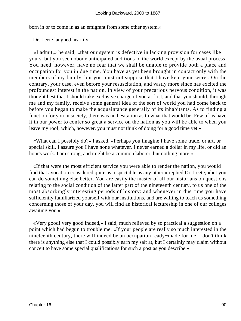born in or to come in as an emigrant from some other system.»

Dr. Leete laughed heartily.

 «I admit,» he said, «that our system is defective in lacking provision for cases like yours, but you see nobody anticipated additions to the world except by the usual process. You need, however, have no fear that we shall be unable to provide both a place and occupation for you in due time. You have as yet been brought in contact only with the members of my family, but you must not suppose that I have kept your secret. On the contrary, your case, even before your resuscitation, and vastly more since has excited the profoundest interest in the nation. In view of your precarious nervous condition, it was thought best that I should take exclusive charge of you at first, and that you should, through me and my family, receive some general idea of the sort of world you had come back to before you began to make the acquaintance generally of its inhabitants. As to finding a function for you in society, there was no hesitation as to what that would be. Few of us have it in our power to confer so great a service on the nation as you will be able to when you leave my roof, which, however, you must not think of doing for a good time yet.»

 «What can I possibly do?» I asked. «Perhaps you imagine I have some trade, or art, or special skill. I assure you I have none whatever. I never earned a dollar in my life, or did an hour's work. I am strong, and might be a common laborer, but nothing more.»

 «If that were the most efficient service you were able to render the nation, you would find that avocation considered quite as respectable as any other,» replied Dr. Leete; «but you can do something else better. You are easily the master of all our historians on questions relating to the social condition of the latter part of the nineteenth century, to us one of the most absorbingly interesting periods of history: and whenever in due time you have sufficiently familiarized yourself with our institutions, and are willing to teach us something concerning those of your day, you will find an historical lectureship in one of our colleges awaiting you.»

 «Very good! very good indeed,» I said, much relieved by so practical a suggestion on a point which had begun to trouble me. «If your people are really so much interested in the nineteenth century, there will indeed be an occupation ready−made for me. I don't think there is anything else that I could possibly earn my salt at, but I certainly may claim without conceit to have some special qualifications for such a post as you describe.»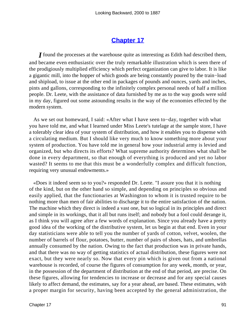### **[Chapter 17](#page-163-0)**

*I* found the processes at the warehouse quite as interesting as Edith had described them, and became even enthusiastic over the truly remarkable illustration which is seen there of the prodigiously multiplied efficiency which perfect organization can give to labor. It is like a gigantic mill, into the hopper of which goods are being constantly poured by the train−load and shipload, to issue at the other end in packages of pounds and ounces, yards and inches, pints and gallons, corresponding to the infinitely complex personal needs of half a million people. Dr. Leete, with the assistance of data furnished by me as to the way goods were sold in my day, figured out some astounding results in the way of the economies effected by the modern system.

 As we set out homeward, I said: «After what I have seen to−day, together with what you have told me, and what I learned under Miss Leete's tutelage at the sample store, I have a tolerably clear idea of your system of distribution, and how it enables you to dispense with a circulating medium. But I should like very much to know something more about your system of production. You have told me in general how your industrial army is levied and organized, but who directs its efforts? What supreme authority determines what shall be done in every department, so that enough of everything is produced and yet no labor wasted? It seems to me that this must be a wonderfully complex and difficult function, requiring very unusual endowments.»

 «Does it indeed seem so to you?» responded Dr. Leete. "I assure you that it is nothing of the kind, but on the other hand so simple, and depending on principles so obvious and easily applied, that the functionaries at Washington to whom it is trusted require to be nothing more than men of fair abilities to discharge it to the entire satisfaction of the nation. The machine which they direct is indeed a vast one, but so logical in its principles and direct and simple in its workings, that it all but runs itself; and nobody but a fool could derange it, as I think you will agree after a few words of explanation. Since you already have a pretty good idea of the working of the distributive system, let us begin at that end. Even in your day statisticians were able to tell you the number of yards of cotton, velvet, woolen, the number of barrels of flour, potatoes, butter, number of pairs of shoes, hats, and umbrellas annually consumed by the nation. Owing to the fact that production was in private hands, and that there was no way of getting statistics of actual distribution, these figures were not exact, but they were nearly so. Now that every pin which is given out from a national warehouse is recorded, of course the figures of consumption for any week, month, or year, in the possession of the department of distribution at the end of that period, are precise. On these figures, allowing for tendencies to increase or decrease and for any special causes likely to affect demand, the estimates, say for a year ahead, are based. These estimates, with a proper margin for security, having been accepted by the general administration, the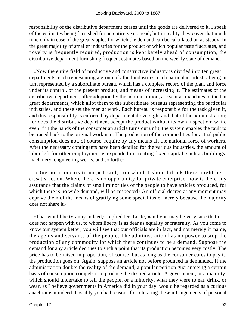responsibility of the distributive department ceases until the goods are delivered to it. I speak of the estimates being furnished for an entire year ahead, but in reality they cover that much time only in case of the great staples for which the demand can be calculated on as steady. In the great majority of smaller industries for the product of which popular taste fluctuates, and novelty is frequently required, production is kept barely ahead of consumption, the distributive department furnishing frequent estimates based on the weekly state of demand.

 «Now the entire field of productive and constructive industry is divided into ten great departments, each representing a group of allied industries, each particular industry being in turn represented by a subordinate bureau, which has a complete record of the plant and force under its control, of the present product, and means of increasing it. The estimates of the distributive department, after adoption by the administration, are sent as mandates to the ten great departments, which allot them to the subordinate bureaus representing the particular industries, and these set the men at work. Each bureau is responsible for the task given it, and this responsibility is enforced by departmental oversight and that of the administration; nor does the distributive department accept the product without its own inspection; while even if in the hands of the consumer an article turns out unfit, the system enables the fault to be traced back to the original workman. The production of the commodities for actual public consumption does not, of course, require by any means all the national force of workers. After the necessary contingents have been detailed for the various industries, the amount of labor left for other employment is expended in creating fixed capital, such as buildings, machinery, engineering works, and so forth.»

 «One point occurs to me,» I said, «on which I should think there might be dissatisfaction. Where there is no opportunity for private enterprise, how is there any assurance that the claims of small minorities of the people to have articles produced, for which there is no wide demand, will be respected? An official decree at any moment may deprive them of the means of gratifying some special taste, merely because the majority does not share it.»

 «That would be tyranny indeed,» replied Dr. Leete, «and you may be very sure that it does not happen with us, to whom liberty is as dear as equality or fraternity. As you come to know our system better, you will see that our officials are in fact, and not merely in name, the agents and servants of the people. The administration has no power to stop the production of any commodity for which there continues to be a demand. Suppose the demand for any article declines to such a point that its production becomes very costly. The price has to be raised in proportion, of course, but as long as the consumer cares to pay it, the production goes on. Again, suppose an article not before produced is demanded. If the administration doubts the reality of the demand, a popular petition guaranteeing a certain basis of consumption compels it to produce the desired article. A government, or a majority, which should undertake to tell the people, or a minority, what they were to eat, drink, or wear, as I believe governments in America did in your day, would be regarded as a curious anachronism indeed. Possibly you had reasons for tolerating these infringements of personal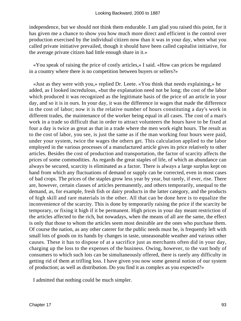independence, but we should not think them endurable. I am glad you raised this point, for it has given me a chance to show you how much more direct and efficient is the control over production exercised by the individual citizen now than it was in your day, when what you called private initiative prevailed, though it should have been called capitalist initiative, for the average private citizen had little enough share in it.»

 «You speak of raising the price of costly articles,» I said. «How can prices be regulated in a country where there is no competition between buyers or sellers?»

 «Just as they were with you,» replied Dr. Leete. «You think that needs explaining,» he added, as I looked incredulous, «but the explanation need not be long; the cost of the labor which produced it was recognized as the legitimate basis of the price of an article in your day, and so it is in ours. In your day, it was the difference in wages that made the difference in the cost of labor; now it is the relative number of hours constituting a day's work in different trades, the maintenance of the worker being equal in all cases. The cost of a man's work in a trade so difficult that in order to attract volunteers the hours have to be fixed at four a day is twice as great as that in a trade where the men work eight hours. The result as to the cost of labor, you see, is just the same as if the man working four hours were paid, under your system, twice the wages the others get. This calculation applied to the labor employed in the various processes of a manufactured article gives its price relatively to other articles. Besides the cost of production and transportation, the factor of scarcity affects the prices of some commodities. As regards the great staples of life, of which an abundance can always be secured, scarcity is eliminated as a factor. There is always a large surplus kept on hand from which any fluctuations of demand or supply can be corrected, even in most cases of bad crops. The prices of the staples grow less year by year, but rarely, if ever, rise. There are, however, certain classes of articles permanently, and others temporarily, unequal to the demand, as, for example, fresh fish or dairy products in the latter category, and the products of high skill and rare materials in the other. All that can be done here is to equalize the inconvenience of the scarcity. This is done by temporarily raising the price if the scarcity be temporary, or fixing it high if it be permanent. High prices in your day meant restriction of the articles affected to the rich, but nowadays, when the means of all are the same, the effect is only that those to whom the articles seem most desirable are the ones who purchase them. Of course the nation, as any other caterer for the public needs must be, is frequently left with small lots of goods on its hands by changes in taste, unseasonable weather and various other causes. These it has to dispose of at a sacrifice just as merchants often did in your day, charging up the loss to the expenses of the business. Owing, however, to the vast body of consumers to which such lots can be simultaneously offered, there is rarely any difficulty in getting rid of them at trifling loss. I have given you now some general notion of our system of production; as well as distribution. Do you find it as complex as you expected?»

I admitted that nothing could be much simpler.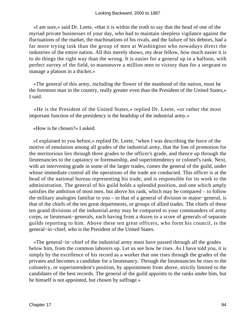«I am sure,» said Dr. Leete, «that it is within the truth to say that the head of one of the myriad private businesses of your day, who had to maintain sleepless vigilance against the fluctuations of the market, the machinations of his rivals, and the failure of his debtors, had a far more trying task than the group of men at Washington who nowadays direct the industries of the entire nation. All this merely shows, my dear fellow, how much easier it is to do things the right way than the wrong. It is easier for a general up in a balloon, with perfect survey of the field, to manoeuvre a million men to victory than for a sergeant to manage a platoon in a thicket.»

 «The general of this army, including the flower of the manhood of the nation, must be the foremost man in the country, really greater even than the President of the United States,» I said.

 «He is the President of the United States,» replied Dr. Leete, «or rather the most important function of the presidency is the headship of the industrial army.»

«How is he chosen?» I asked.

 «I explained to you before,» replied Dr. Leete, "when I was describing the force of the motive of emulation among all grades of the industrial army, that the line of promotion for the meritorious lies through three grades to the officer's grade, and thence up through the lieutenancies to the captaincy or foremanship, and superintendency or colonel's rank. Next, with an intervening grade in some of the larger trades, comes the general of the guild, under whose immediate control all the operations of the trade are conducted. This officer is at the head of the national bureau representing his trade, and is responsible for its work to the administration. The general of his guild holds a splendid position, and one which amply satisfies the ambition of most men, but above his rank, which may be compared – to follow the military analogies familiar to you – to that of a general of division or major−general, is that of the chiefs of the ten great departments, or groups of allied trades. The chiefs of these ten grand divisions of the industrial army may be compared to your commanders of army corps, or lieutenant−generals, each having from a dozen to a score of generals of separate guilds reporting to him. Above these ten great officers, who form his council, is the general−in−chief, who is the President of the United States.

 «The general−in−chief of the industrial army must have passed through all the grades below him, from the common laborers up. Let us see how he rises. As I have told you, it is simply by the excellence of his record as a worker that one rises through the grades of the privates and becomes a candidate for a lieutenancy. Through the lieutenancies he rises to the colonelcy, or superintendent's position, by appointment from above, strictly limited to the candidates of the best records. The general of the guild appoints to the ranks under him, but he himself is not appointed, but chosen by suffrage.»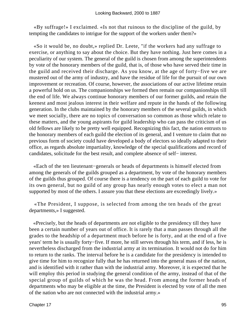«By suffrage!» I exclaimed. «Is not that ruinous to the discipline of the guild, by tempting the candidates to intrigue for the support of the workers under them?»

 «So it would be, no doubt,» replied Dr. Leete, "if the workers had any suffrage to exercise, or anything to say about the choice. But they have nothing. Just here comes in a peculiarity of our system. The general of the guild is chosen from among the superintendents by vote of the honorary members of the guild, that is, of those who have served their time in the guild and received their discharge. As you know, at the age of forty−five we are mustered out of the army of industry, and have the residue of life for the pursuit of our own improvement or recreation. Of course, however, the associations of our active lifetime retain a powerful hold on us. The companionships we formed then remain our companionships till the end of life. We always continue honorary members of our former guilds, and retain the keenest and most jealous interest in their welfare and repute in the hands of the following generation. In the clubs maintained by the honorary members of the several guilds, in which we meet socially, there are no topics of conversation so common as those which relate to these matters, and the young aspirants for guild leadership who can pass the criticism of us old fellows are likely to be pretty well equipped. Recognizing this fact, the nation entrusts to the honorary members of each guild the election of its general, and I venture to claim that no previous form of society could have developed a body of electors so ideally adapted to their office, as regards absolute impartiality, knowledge of the special qualifications and record of candidates, solicitude for the best result, and complete absence of self− interest.

 «Each of the ten lieutenant−generals or heads of departments is himself elected from among the generals of the guilds grouped as a department, by vote of the honorary members of the guilds thus grouped. Of course there is a tendency on the part of each guild to vote for its own general, but no guild of any group has nearly enough votes to elect a man not supported by most of the others. I assure you that these elections are exceedingly lively.»

 «The President, I suppose, is selected from among the ten heads of the great departments,» I suggested.

 «Precisely, but the heads of departments are not eligible to the presidency till they have been a certain number of years out of office. It is rarely that a man passes through all the grades to the headship of a department much before he is forty, and at the end of a five years' term he is usually forty−five. If more, he still serves through his term, and if less, he is nevertheless discharged from the industrial army at its termination. It would not do for him to return to the ranks. The interval before he is a candidate for the presidency is intended to give time for him to recognize fully that he has returned into the general mass of the nation, and is identified with it rather than with the industrial army. Moreover, it is expected that he will employ this period in studying the general condition of the army, instead of that of the special group of guilds of which he was the head. From among the former heads of departments who may be eligible at the time, the President is elected by vote of all the men of the nation who are not connected with the industrial army.»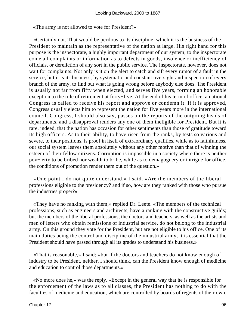«The army is not allowed to vote for President?»

 «Certainly not. That would be perilous to its discipline, which it is the business of the President to maintain as the representative of the nation at large. His right hand for this purpose is the inspectorate, a highly important department of our system; to the inspectorate come all complaints or information as to defects in goods, insolence or inefficiency of officials, or dereliction of any sort in the public service. The inspectorate, however, does not wait for complaints. Not only is it on the alert to catch and sift every rumor of a fault in the service, but it is its business, by systematic and constant oversight and inspection of every branch of the army, to find out what is going wrong before anybody else does. The President is usually not far from fifty when elected, and serves five years, forming an honorable exception to the rule of retirement at forty−five. At the end of his term of office, a national Congress is called to receive his report and approve or condemn it. If it is approved, Congress usually elects him to represent the nation for five years more in the international council. Congress, I should also say, passes on the reports of the outgoing heads of departments, and a disapproval renders any one of them ineligible for President. But it is rare, indeed, that the nation has occasion for other sentiments than those of gratitude toward its high officers. As to their ability, to have risen from the ranks, by tests so various and severe, to their positions, is proof in itself of extraordinary qualities, while as to faithfulness, our social system leaves them absolutely without any other motive than that of winning the esteem of their fellow citizens. Corruption is impossible in a society where there is neither pov− erty to be bribed nor wealth to bribe, while as to demagoguery or intrigue for office, the conditions of promotion render them out of the question.»

 «One point I do not quite understand,» I said. «Are the members of the liberal professions eligible to the presidency? and if so, how are they ranked with those who pursue the industries proper?»

 «They have no ranking with them,» replied Dr. Leete. «The members of the technical professions, such as engineers and architects, have a ranking with the constructive guilds; but the members of the liberal professions, the doctors and teachers, as well as the artists and men of letters who obtain remissions of industrial service, do not belong to the industrial army. On this ground they vote for the President, but are not eligible to his office. One of its main duties being the control and discipline of the industrial army, it is essential that the President should have passed through all its grades to understand his business.»

 «That is reasonable,» I said; «but if the doctors and teachers do not know enough of industry to be President, neither, I should think, can the President know enough of medicine and education to control those departments.»

 «No more does he,» was the reply. «Except in the general way that he is responsible for the enforcement of the laws as to all classes, the President has nothing to do with the faculties of medicine and education, which are controlled by boards of regents of their own,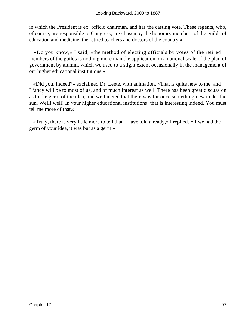in which the President is ex−officio chairman, and has the casting vote. These regents, who, of course, are responsible to Congress, are chosen by the honorary members of the guilds of education and medicine, the retired teachers and doctors of the country.»

 «Do you know,» I said, «the method of electing officials by votes of the retired members of the guilds is nothing more than the application on a national scale of the plan of government by alumni, which we used to a slight extent occasionally in the management of our higher educational institutions.»

 «Did you, indeed?» exclaimed Dr. Leete, with animation. «That is quite new to me, and I fancy will be to most of us, and of much interest as well. There has been great discussion as to the germ of the idea, and we fancied that there was for once something new under the sun. Well! well! In your higher educational institutions! that is interesting indeed. You must tell me more of that.»

 «Truly, there is very little more to tell than I have told already,» I replied. «If we had the germ of your idea, it was but as a germ.»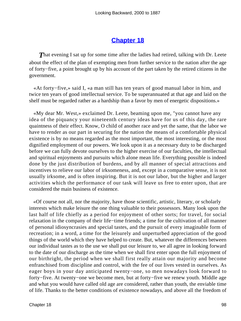### **[Chapter 18](#page-163-0)**

**That evening I sat up for some time after the ladies had retired, talking with Dr. Leete** about the effect of the plan of exempting men from further service to the nation after the age of forty−five, a point brought up by his account of the part taken by the retired citizens in the government.

 «At forty−five,» said I, «a man still has ten years of good manual labor in him, and twice ten years of good intellectual service. To be superannuated at that age and laid on the shelf must be regarded rather as a hardship than a favor by men of energetic dispositions.»

 «My dear Mr. West,» exclaimed Dr. Leete, beaming upon me, "you cannot have any idea of the piquancy your nineteenth century ideas have for us of this day, the rare quaintness of their effect. Know, O child of another race and yet the same, that the labor we have to render as our part in securing for the nation the means of a comfortable physical existence is by no means regarded as the most important, the most interesting, or the most dignified employment of our powers. We look upon it as a necessary duty to be discharged before we can fully devote ourselves to the higher exercise of our faculties, the intellectual and spiritual enjoyments and pursuits which alone mean life. Everything possible is indeed done by the just distribution of burdens, and by all manner of special attractions and incentives to relieve our labor of irksomeness, and, except in a comparative sense, it is not usually irksome, and is often inspiring. But it is not our labor, but the higher and larger activities which the performance of our task will leave us free to enter upon, that are considered the main business of existence.

 «Of course not all, nor the majority, have those scientific, artistic, literary, or scholarly interests which make leisure the one thing valuable to their possessors. Many look upon the last half of life chiefly as a period for enjoyment of other sorts; for travel, for social relaxation in the company of their life−time friends; a time for the cultivation of all manner of personal idiosyncrasies and special tastes, and the pursuit of every imaginable form of recreation; in a word, a time for the leisurely and unperturbed appreciation of the good things of the world which they have helped to create. But, whatever the differences between our individual tastes as to the use we shall put our leisure to, we all agree in looking forward to the date of our discharge as the time when we shall first enter upon the full enjoyment of our birthright, the period when we shall first really attain our majority and become enfranchised from discipline and control, with the fee of our lives vested in ourselves. As eager boys in your day anticipated twenty−one, so men nowadays look forward to forty−five. At twenty−one we become men, but at forty−five we renew youth. Middle age and what you would have called old age are considered, rather than youth, the enviable time of life. Thanks to the better conditions of existence nowadays, and above all the freedom of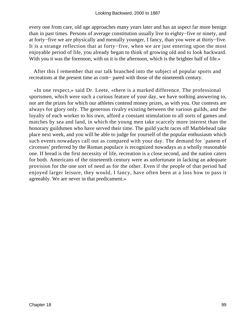every one from care, old age approaches many years later and has an aspect far more benign than in past times. Persons of average constitution usually live to eighty−five or ninety, and at forty−five we are physically and mentally younger, I fancy, than you were at thirty−five. It is a strange reflection that at forty−five, when we are just entering upon the most enjoyable period of life, you already began to think of growing old and to look backward. With you it was the forenoon, with us it is the afternoon, which is the brighter half of life.»

 After this I remember that our talk branched into the subject of popular sports and recreations at the present time as com− pared with those of the nineteenth century.

 «In one respect,» said Dr. Leete, «there is a marked difference. The professional sportsmen, which were such a curious feature of your day, we have nothing answering to, nor are the prizes for which our athletes contend money prizes, as with you. Our contests are always for glory only. The generous rivalry existing between the various guilds, and the loyalty of each worker to his own, afford a constant stimulation to all sorts of games and matches by sea and land, in which the young men take scarcely more interest than the honorary guildsmen who have served their time. The guild yacht races off Marblehead take place next week, and you will be able to judge for yourself of the popular enthusiasm which such events nowadays call out as compared with your day. The demand for `panem ef circenses' preferred by the Roman populace is recognized nowadays as a wholly reasonable one. If bread is the first necessity of life, recreation is a close second, and the nation caters for both. Americans of the nineteenth century were as unfortunate in lacking an adequate provision for the one sort of need as for the other. Even if the people of that period had enjoyed larger leisure, they would, I fancy, have often been at a loss how to pass it agreeably. We are never in that predicament.»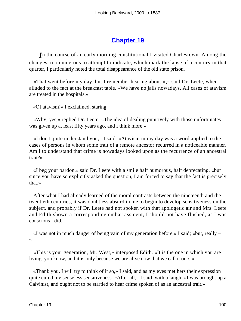## **[Chapter 19](#page-163-0)**

*I*n the course of an early morning constitutional I visited Charlestown. Among the changes, too numerous to attempt to indicate, which mark the lapse of a century in that quarter, I particularly noted the total disappearance of the old state prison.

 «That went before my day, but I remember hearing about it,» said Dr. Leete, when I alluded to the fact at the breakfast table. «We have no jails nowadays. All cases of atavism are treated in the hospitals.»

«Of atavism!» I exclaimed, staring.

 «Why, yes,» replied Dr. Leete. «The idea of dealing punitively with those unfortunates was given up at least fifty years ago, and I think more.»

 «I don't quite understand you,» I said. «Atavism in my day was a word applied to the cases of persons in whom some trait of a remote ancestor recurred in a noticeable manner. Am I to understand that crime is nowadays looked upon as the recurrence of an ancestral trait?»

 «I beg your pardon,» said Dr. Leete with a smile half humorous, half deprecating, «but since you have so explicitly asked the question, I am forced to say that the fact is precisely that.»

 After what I had already learned of the moral contrasts between the nineteenth and the twentieth centuries, it was doubtless absurd in me to begin to develop sensitiveness on the subject, and probably if Dr. Leete had not spoken with that apologetic air and Mrs. Leete and Edith shown a corresponding embarrassment, I should not have flushed, as I was conscious I did.

 «I was not in much danger of being vain of my generation before,» I said; «but, really – »

 «This is your generation, Mr. West,» interposed Edith. «It is the one in which you are living, you know, and it is only because we are alive now that we call it ours.»

 «Thank you. I will try to think of it so,» I said, and as my eyes met hers their expression quite cured my senseless sensitiveness. «After all,» I said, with a laugh, «I was brought up a Calvinist, and ought not to be startled to hear crime spoken of as an ancestral trait.»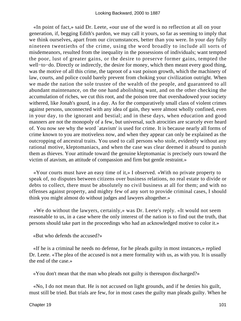«In point of fact,» said Dr. Leete, «our use of the word is no reflection at all on your generation, if, begging Edith's pardon, we may call it yours, so far as seeming to imply that we think ourselves, apart from our circumstances, better than you were. In your day fully nineteen twentieths of the crime, using the word broadly to include all sorts of misdemeanors, resulted from the inequality in the possessions of individuals; want tempted the poor, lust of greater gains, or the desire to preserve former gains, tempted the well−to−do. Directly or indirectly, the desire for money, which then meant every good thing, was the motive of all this crime, the taproot of a vast poison growth, which the machinery of law, courts, and police could barely prevent from choking your civilization outright. When we made the nation the sole trustee of the wealth of the people, and guaranteed to all abundant maintenance, on the one hand abolishing want, and on the other checking the accumulation of riches, we cut this root, and the poison tree that overshadowed your society withered, like Jonah's gourd, in a day. As for the comparatively small class of violent crimes against persons, unconnected with any idea of gain, they were almost wholly confined, even in your day, to the ignorant and bestial; and in these days, when education and good manners are not the monopoly of a few, but universal, such atrocities are scarcely ever heard of. You now see why the word `atavism' is used for crime. It is because nearly all forms of crime known to you are motiveless now, and when they appear can only be explained as the outcropping of ancestral traits. You used to call persons who stole, evidently without any rational motive, kleptomaniacs, and when the case was clear deemed it absurd to punish them as thieves. Your attitude toward the genuine kleptomaniac is precisely ours toward the victim of atavism, an attitude of compassion and firm but gentle restraint.»

 «Your courts must have an easy time of it,» I observed. «With no private property to speak of, no disputes between citizens over business relations, no real estate to divide or debts to collect, there must be absolutely no civil business at all for them; and with no offenses against property, and mighty few of any sort to provide criminal cases, I should think you might almost do without judges and lawyers altogether.»

 «We do without the lawyers, certainly,» was Dr. Leete's reply. «It would not seem reasonable to us, in a case where the only interest of the nation is to find out the truth, that persons should take part in the proceedings who had an acknowledged motive to color it.»

«But who defends the accused?»

 «If he is a criminal he needs no defense, for he pleads guilty in most instances,» replied Dr. Leete. «The plea of the accused is not a mere formality with us, as with you. It is usually the end of the case.»

«You don't mean that the man who pleads not guilty is thereupon discharged?»

 «No, I do not mean that. He is not accused on light grounds, and if he denies his guilt, must still be tried. But trials are few, for in most cases the guilty man pleads guilty. When he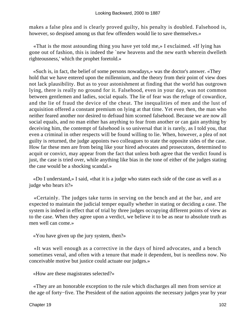makes a false plea and is clearly proved guilty, his penalty is doubled. Falsehood is, however, so despised among us that few offenders would lie to save themselves.»

 «That is the most astounding thing you have yet told me,» I exclaimed. «If lying has gone out of fashion, this is indeed the `new heavens and the new earth wherein dwelleth righteousness,' which the prophet foretold.»

 «Such is, in fact, the belief of some persons nowadays,» was the doctor's answer. «They hold that we have entered upon the millennium, and the theory from their point of view does not lack plausibility. But as to your astonishment at finding that the world has outgrown lying, there is really no ground for it. Falsehood, even in your day, was not common between gentlemen and ladies, social equals. The lie of fear was the refuge of cowardice, and the lie of fraud the device of the cheat. The inequalities of men and the lust of acquisition offered a constant premium on lying at that time. Yet even then, the man who neither feared another nor desired to defraud him scorned falsehood. Because we are now all social equals, and no man either has anything to fear from another or can gain anything by deceiving him, the contempt of falsehood is so universal that it is rarely, as I told you, that even a criminal in other respects will be found willing to lie. When, however, a plea of not guilty is returned, the judge appoints two colleagues to state the opposite sides of the case. How far these men are from being like your hired advocates and prosecutors, determined to acquit or convict, may appear from the fact that unless both agree that the verdict found is just, the case is tried over, while anything like bias in the tone of either of the judges stating the case would be a shocking scandal.»

 «Do I understand,» I said, «that it is a judge who states each side of the case as well as a judge who hears it?»

 «Certainly. The judges take turns in serving on the bench and at the bar, and are expected to maintain the judicial temper equally whether in stating or deciding a case. The system is indeed in effect that of trial by three judges occupying different points of view as to the case. When they agree upon a verdict, we believe it to be as near to absolute truth as men well can come.»

«You have given up the jury system, then?»

 «It was well enough as a corrective in the days of hired advocates, and a bench sometimes venal, and often with a tenure that made it dependent, but is needless now. No conceivable motive but justice could actuate our judges.»

«How are these magistrates selected?»

 «They are an honorable exception to the rule which discharges all men from service at the age of forty−five. The President of the nation appoints the necessary judges year by year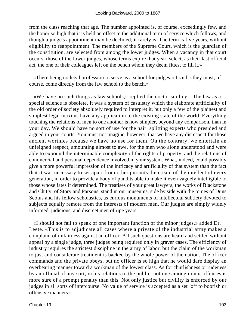from the class reaching that age. The number appointed is, of course, exceedingly few, and the honor so high that it is held an offset to the additional term of service which follows, and though a judge's appointment may be declined, it rarely is. The term is five years, without eligibility to reappointment. The members of the Supreme Court, which is the guardian of the constitution, are selected from among the lower judges. When a vacancy in that court occurs, those of the lower judges, whose terms expire that year, select, as their last official act, the one of their colleagues left on the bench whom they deem fittest to fill it.»

 «There being no legal profession to serve as a school for judges,» I said, «they must, of course, come directly from the law school to the bench.»

 «We have no such things as law schools,» replied the doctor smiling. "The law as a special science is obsolete. It was a system of casuistry which the elaborate artificiality of the old order of society absolutely required to interpret it, but only a few of the plainest and simplest legal maxims have any application to the existing state of the world. Everything touching the relations of men to one another is now simpler, beyond any comparison, than in your day. We should have no sort of use for the hair−splitting experts who presided and argued in your courts. You must not imagine, however, that we have any disrespect for those ancient worthies because we have no use for them. On the contrary, we entertain an unfeigned respect, amounting almost to awe, for the men who alone understood and were able to expound the interminable complexity of the rights of property, and the relations of commercial and personal dependence involved in your system. What, indeed, could possibly give a more powerful impression of the intricacy and artificiality of that system than the fact that it was necessary to set apart from other pursuits the cream of the intellect of every generation, in order to provide a body of pundits able to make it even vaguely intelligible to those whose fates it determined. The treatises of your great lawyers, the works of Blackstone and Chitty, of Story and Parsons, stand in our museums, side by side with the tomes of Duns Scotus and his fellow scholastics, as curious monuments of intellectual subtlety devoted to subjects equally remote from the interests of modern men. Our judges are simply widely informed, judicious, and discreet men of ripe years.

 «I should not fail to speak of one important function of the minor judges,» added Dr. Leete. «This is to adjudicate all cases where a private of the industrial army makes a complaint of unfairness against an officer. All such questions are heard and settled without appeal by a single judge, three judges being required only in graver cases. The efficiency of industry requires the strictest discipline in the army of labor, but the claim of the workman to just and considerate treatment is backed by the whole power of the nation. The officer commands and the private obeys, but no officer is so high that he would dare display an overbearing manner toward a workman of the lowest class. As for churlishness or rudeness by an official of any sort, in his relations to the public, not one among minor offenses is more sure of a prompt penalty than this. Not only justice but civility is enforced by our judges in all sorts of intercourse. No value of service is accepted as a set−off to boorish or offensive manners.»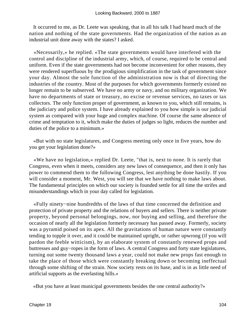It occurred to me, as Dr. Leete was speaking, that in all his talk I had heard much of the nation and nothing of the state governments. Had the organization of the nation as an industrial unit done away with the states? I asked.

 «Necessarily,» he replied. «The state governments would have interfered with the control and discipline of the industrial army, which, of course, required to be central and uniform. Even if the state governments had not become inconvenient for other reasons, they were rendered superfluous by the prodigious simplification in the task of government since your day. Almost the sole function of the administration now is that of directing the industries of the country. Most of the purposes for which governments formerly existed no longer remain to be subserved. We have no army or navy, and no military organization. We have no departments of state or treasury, no excise or revenue services, no taxes or tax collectors. The only function proper of government, as known to you, which still remains, is the judiciary and police system. I have already explained to you how simple is our judicial system as compared with your huge and complex machine. Of course the same absence of crime and temptation to it, which make the duties of judges so light, reduces the number and duties of the police to a minimum.»

 «But with no state legislatures, and Congress meeting only once in five years, how do you get your legislation done?»

 «We have no legislation,» replied Dr. Leete, "that is, next to none. It is rarely that Congress, even when it meets, considers any new laws of consequence, and then it only has power to commend them to the following Congress, lest anything be done hastily. If you will consider a moment, Mr. West, you will see that we have nothing to make laws about. The fundamental principles on which our society is founded settle for all time the strifes and misunderstandings which in your day called for legislation.

 «Fully ninety−nine hundredths of the laws of that time concerned the definition and protection of private property and the relations of buyers and sellers. There is neither private property, beyond personal belongings, now, nor buying and selling, and therefore the occasion of nearly all the legislation formerly necessary has passed away. Formerly, society was a pyramid poised on its apex. All the gravitations of human nature were constantly tending to topple it over, and it could be maintained upright, or rather upwrong (if you will pardon the feeble witticism), by an elaborate system of constantly renewed props and buttresses and guy−ropes in the form of laws. A central Congress and forty state legislatures, turning out some twenty thousand laws a year, could not make new props fast enough to take the place of those which were constantly breaking down or becoming ineffectual through some shifting of the strain. Now society rests on its base, and is in as little need of artificial supports as the everlasting hills.»

«But you have at least municipal governments besides the one central authority?»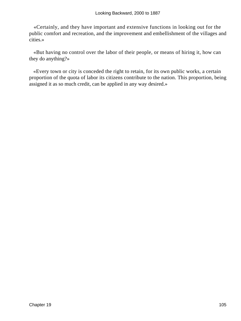«Certainly, and they have important and extensive functions in looking out for the public comfort and recreation, and the improvement and embellishment of the villages and cities.»

 «But having no control over the labor of their people, or means of hiring it, how can they do anything?»

 «Every town or city is conceded the right to retain, for its own public works, a certain proportion of the quota of labor its citizens contribute to the nation. This proportion, being assigned it as so much credit, can be applied in any way desired.»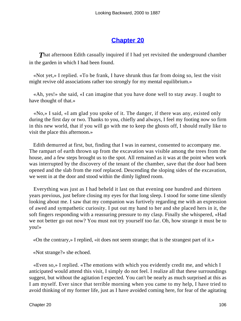### **[Chapter 20](#page-164-0)**

**That afternoon Edith casually inquired if I had yet revisited the underground chamber** in the garden in which I had been found.

 «Not yet,» I replied. «To be frank, I have shrunk thus far from doing so, lest the visit might revive old associations rather too strongly for my mental equilibrium.»

 «Ah, yes!» she said, «I can imagine that you have done well to stay away. I ought to have thought of that.»

 «No,» I said, «I am glad you spoke of it. The danger, if there was any, existed only during the first day or two. Thanks to you, chiefly and always, I feel my footing now so firm in this new world, that if you will go with me to keep the ghosts off, I should really like to visit the place this afternoon.»

 Edith demurred at first, but, finding that I was in earnest, consented to accompany me. The rampart of earth thrown up from the excavation was visible among the trees from the house, and a few steps brought us to the spot. All remained as it was at the point when work was interrupted by the discovery of the tenant of the chamber, save that the door had been opened and the slab from the roof replaced. Descending the sloping sides of the excavation, we went in at the door and stood within the dimly lighted room.

 Everything was just as I had beheld it last on that evening one hundred and thirteen years previous, just before closing my eyes for that long sleep. I stood for some time silently looking about me. I saw that my companion was furtively regarding me with an expression of awed and sympathetic curiosity. I put out my hand to her and she placed hers in it, the soft fingers responding with a reassuring pressure to my clasp. Finally she whispered, «Had we not better go out now? You must not try yourself too far. Oh, how strange it must be to you!»

«On the contrary,» I replied, «it does not seem strange; that is the strangest part of it.»

«Not strange?» she echoed.

 «Even so,» I replied. «The emotions with which you evidently credit me, and which I anticipated would attend this visit, I simply do not feel. I realize all that these surroundings suggest, but without the agitation I expected. You can't be nearly as much surprised at this as I am myself. Ever since that terrible morning when you came to my help, I have tried to avoid thinking of my former life, just as I have avoided coming here, for fear of the agitating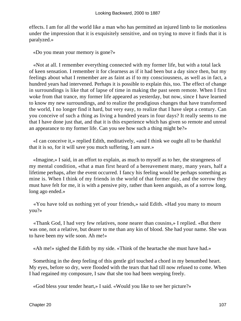effects. I am for all the world like a man who has permitted an injured limb to lie motionless under the impression that it is exquisitely sensitive, and on trying to move it finds that it is paralyzed.»

«Do you mean your memory is gone?»

 «Not at all. I remember everything connected with my former life, but with a total lack of keen sensation. I remember it for clearness as if it had been but a day since then, but my feelings about what I remember are as faint as if to my consciousness, as well as in fact, a hundred years had intervened. Perhaps it is possible to explain this, too. The effect of change in surroundings is like that of lapse of time in making the past seem remote. When I first woke from that trance, my former life appeared as yesterday, but now, since I have learned to know my new surroundings, and to realize the prodigious changes that have transformed the world, I no longer find it hard, but very easy, to realize that I have slept a century. Can you conceive of such a thing as living a hundred years in four days? It really seems to me that I have done just that, and that it is this experience which has given so remote and unreal an appearance to my former life. Can you see how such a thing might be?»

 «I can conceive it,» replied Edith, meditatively, «and I think we ought all to be thankful that it is so, for it will save you much suffering, I am sure.»

 «Imagine,» I said, in an effort to explain, as much to myself as to her, the strangeness of my mental condition, «that a man first heard of a bereavement many, many years, half a lifetime perhaps, after the event occurred. I fancy his feeling would be perhaps something as mine is. When I think of my friends in the world of that former day, and the sorrow they must have felt for me, it is with a pensive pity, rather than keen anguish, as of a sorrow long, long ago ended.»

 «You have told us nothing yet of your friends,» said Edith. «Had you many to mourn you?»

 «Thank God, I had very few relatives, none nearer than cousins,» I replied. «But there was one, not a relative, but dearer to me than any kin of blood. She had your name. She was to have been my wife soon. Ah me!»

«Ah me!» sighed the Edith by my side. «Think of the heartache she must have had.»

 Something in the deep feeling of this gentle girl touched a chord in my benumbed heart. My eyes, before so dry, were flooded with the tears that had till now refused to come. When I had regained my composure, I saw that she too had been weeping freely.

«God bless your tender heart,» I said. «Would you like to see her picture?»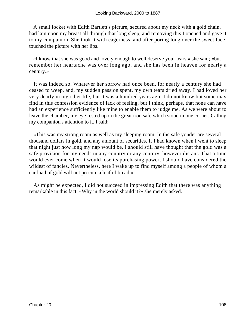A small locket with Edith Bartlett's picture, secured about my neck with a gold chain, had lain upon my breast all through that long sleep, and removing this I opened and gave it to my companion. She took it with eagerness, and after poring long over the sweet face, touched the picture with her lips.

 «I know that she was good and lovely enough to well deserve your tears,» she said; «but remember her heartache was over long ago, and she has been in heaven for nearly a century.»

 It was indeed so. Whatever her sorrow had once been, for nearly a century she had ceased to weep, and, my sudden passion spent, my own tears dried away. I had loved her very dearly in my other life, but it was a hundred years ago! I do not know but some may find in this confession evidence of lack of feeling, but I think, perhaps, that none can have had an experience sufficiently like mine to enable them to judge me. As we were about to leave the chamber, my eye rested upon the great iron safe which stood in one corner. Calling my companion's attention to it, I said:

 «This was my strong room as well as my sleeping room. In the safe yonder are several thousand dollars in gold, and any amount of securities. If I had known when I went to sleep that night just how long my nap would be, I should still have thought that the gold was a safe provision for my needs in any country or any century, however distant. That a time would ever come when it would lose its purchasing power, I should have considered the wildest of fancies. Nevertheless, here I wake up to find myself among a people of whom a cartload of gold will not procure a loaf of bread.»

 As might be expected, I did not succeed in impressing Edith that there was anything remarkable in this fact. «Why in the world should it?» she merely asked.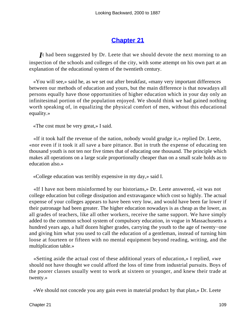# **[Chapter 21](#page-164-0)**

*I*t had been suggested by Dr. Leete that we should devote the next morning to an inspection of the schools and colleges of the city, with some attempt on his own part at an explanation of the educational system of the twentieth century.

 «You will see,» said he, as we set out after breakfast, «many very important differences between our methods of education and yours, but the main difference is that nowadays all persons equally have those opportunities of higher education which in your day only an infinitesimal portion of the population enjoyed. We should think we had gained nothing worth speaking of, in equalizing the physical comfort of men, without this educational equality.»

«The cost must be very great,» I said.

 «If it took half the revenue of the nation, nobody would grudge it,» replied Dr. Leete, «nor even if it took it all save a bare pittance. But in truth the expense of educating ten thousand youth is not ten nor five times that of educating one thousand. The principle which makes all operations on a large scale proportionally cheaper than on a small scale holds as to education also.»

«College education was terribly expensive in my day,» said I.

 «If I have not been misinformed by our historians,» Dr. Leete answered, «it was not college education but college dissipation and extravagance which cost so highly. The actual expense of your colleges appears to have been very low, and would have been far lower if their patronage had been greater. The higher education nowadays is as cheap as the lower, as all grades of teachers, like all other workers, receive the same support. We have simply added to the common school system of compulsory education, in vogue in Massachusetts a hundred years ago, a half dozen higher grades, carrying the youth to the age of twenty−one and giving him what you used to call the education of a gentleman, instead of turning him loose at fourteen or fifteen with no mental equipment beyond reading, writing, and the multiplication table.»

 «Setting aside the actual cost of these additional years of education,» I replied, «we should not have thought we could afford the loss of time from industrial pursuits. Boys of the poorer classes usually went to work at sixteen or younger, and knew their trade at twenty.»

«We should not concede you any gain even in material product by that plan,» Dr. Leete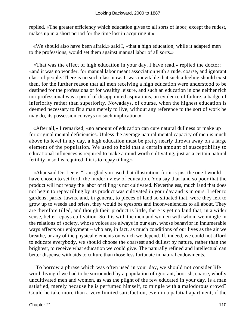replied. «The greater efficiency which education gives to all sorts of labor, except the rudest, makes up in a short period for the time lost in acquiring it.»

 «We should also have been afraid,» said I, «that a high education, while it adapted men to the professions, would set them against manual labor of all sorts.»

 «That was the effect of high education in your day, I have read,» replied the doctor; «and it was no wonder, for manual labor meant association with a rude, coarse, and ignorant class of people. There is no such class now. It was inevitable that such a feeling should exist then, for the further reason that all men receiving a high education were understood to be destined for the professions or for wealthy leisure, and such an education in one neither rich nor professional was a proof of disappointed aspirations, an evidence of failure, a badge of inferiority rather than superiority. Nowadays, of course, when the highest education is deemed necessary to fit a man merely to live, without any reference to the sort of work he may do, its possession conveys no such implication.»

 «After all,» I remarked, «no amount of education can cure natural dullness or make up for original mental deficiencies. Unless the average natural mental capacity of men is much above its level in my day, a high education must be pretty nearly thrown away on a large element of the population. We used to hold that a certain amount of susceptibility to educational influences is required to make a mind worth cultivating, just as a certain natural fertility in soil is required if it is to repay tilling.»

 «Ah,» said Dr. Leete, "I am glad you used that illustration, for it is just the one I would have chosen to set forth the modern view of education. You say that land so poor that the product will not repay the labor of tilling is not cultivated. Nevertheless, much land that does not begin to repay tilling by its product was cultivated in your day and is in ours. I refer to gardens, parks, lawns, and, in general, to pieces of land so situated that, were they left to grow up to weeds and briers, they would be eyesores and inconveniencies to all about. They are therefore tilled, and though their product is little, there is yet no land that, in a wider sense, better repays cultivation. So it is with the men and women with whom we mingle in the relations of society, whose voices are always in our ears, whose behavior in innumerable ways affects our enjoyment – who are, in fact, as much conditions of our lives as the air we breathe, or any of the physical elements on which we depend. If, indeed, we could not afford to educate everybody, we should choose the coarsest and dullest by nature, rather than the brightest, to receive what education we could give. The naturally refined and intellectual can better dispense with aids to culture than those less fortunate in natural endowments.

 "To borrow a phrase which was often used in your day, we should not consider life worth living if we had to be surrounded by a population of ignorant, boorish, coarse, wholly uncultivated men and women, as was the plight of the few educated in your day. Is a man satisfied, merely because he is perfumed himself, to mingle with a malodorous crowd? Could he take more than a very limited satisfaction, even in a palatial apartment, if the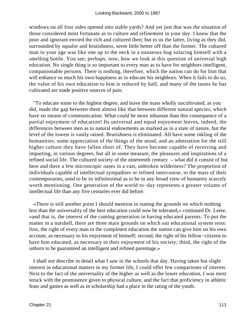windows on all four sides opened into stable yards? And yet just that was the situation of those considered most fortunate as to culture and refinement in your day. I know that the poor and ignorant envied the rich and cultured then; but to us the latter, living as they did, surrounded by squalor and brutishness, seem little better off than the former. The cultured man in your age was like one up to the neck in a nauseous bog solacing himself with a smelling bottle. You see, perhaps, now, how we look at this question of universal high education. No single thing is so important to every man as to have for neighbors intelligent, companionable persons. There is nothing, therefore, which the nation can do for him that will enhance so much his own happiness as to educate his neighbors. When it fails to do so, the value of his own education to him is reduced by half, and many of the tastes he has cultivated are made positive sources of pain.

 "To educate some to the highest degree, and leave the mass wholly uncultivated, as you did, made the gap between them almost like that between different natural species, which have no means of communication. What could be more inhuman than this consequence of a partial enjoyment of education! Its universal and equal enjoyment leaves, indeed, the differences between men as to natural endowments as marked as in a state of nature, but the level of the lowest is vastly raised. Brutishness is eliminated. All have some inkling of the humanities, some appreciation of the things of the mind, and an admiration for the still higher culture they have fallen short of. They have become capable of receiving and imparting, in various degrees, but all in some measure, the pleasures and inspirations of a refined social life. The cultured society of the nineteenth century – what did it consist of but here and there a few microscopic oases in a vast, unbroken wilderness? The proportion of individuals capable of intellectual sympathies or refined intercourse, to the mass of their contemporaries, used to be so infinitesimal as to be in any broad view of humanity scarcely worth mentioning. One generation of the world to−day represents a greater volume of intellectual life than any five centuries ever did before.

 «There is still another point I should mention in stating the grounds on which nothing less than the universality of the best education could now be tolerated,» continued Dr. Leete, «and that is, the interest of the coming generation in having educated parents. To put the matter in a nutshell, there are three main grounds on which our educational system rests: first, the right of every man to the completest education the nation can give him on his own account, as necessary to his enjoyment of himself; second, the right of his fellow−citizens to have him educated, as necessary to their enjoyment of his society; third, the right of the unborn to be guaranteed an intelligent and refined parentage.»

 I shall not describe in detail what I saw in the schools that day. Having taken but slight interest in educational matters in my former life, I could offer few comparisons of interest. Next to the fact of the universality of the higher as well as the lower education, I was most struck with the prominence given to physical culture, and the fact that proficiency in athletic feats and games as well as in scholarship had a place in the rating of the youth.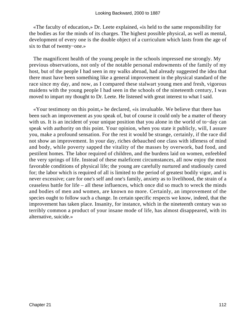«The faculty of education,» Dr. Leete explained, «is held to the same responsibility for the bodies as for the minds of its charges. The highest possible physical, as well as mental, development of every one is the double object of a curriculum which lasts from the age of six to that of twenty−one.»

 The magnificent health of the young people in the schools impressed me strongly. My previous observations, not only of the notable personal endowments of the family of my host, but of the people I had seen in my walks abroad, had already suggested the idea that there must have been something like a general improvement in the physical standard of the race since my day, and now, as I compared these stalwart young men and fresh, vigorous maidens with the young people I had seen in the schools of the nineteenth century, I was moved to impart my thought to Dr. Leete. He listened with great interest to what I said.

 «Your testimony on this point,» he declared, «is invaluable. We believe that there has been such an improvement as you speak of, but of course it could only be a matter of theory with us. It is an incident of your unique position that you alone in the world of to−day can speak with authority on this point. Your opinion, when you state it publicly, will, I assure you, make a profound sensation. For the rest it would be strange, certainly, if the race did not show an improvement. In your day, riches debauched one class with idleness of mind and body, while poverty sapped the vitality of the masses by overwork, bad food, and pestilent homes. The labor required of children, and the burdens laid on women, enfeebled the very springs of life. Instead of these maleficent circumstances, all now enjoy the most favorable conditions of physical life; the young are carefully nurtured and studiously cared for; the labor which is required of all is limited to the period of greatest bodily vigor, and is never excessive; care for one's self and one's family, anxiety as to livelihood, the strain of a ceaseless battle for life – all these influences, which once did so much to wreck the minds and bodies of men and women, are known no more. Certainly, an improvement of the species ought to follow such a change. In certain specific respects we know, indeed, that the improvement has taken place. Insanity, for instance, which in the nineteenth century was so terribly common a product of your insane mode of life, has almost disappeared, with its alternative, suicide.»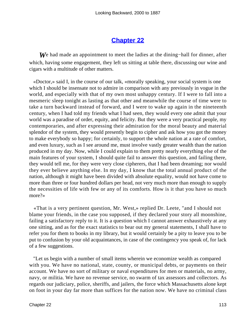### **[Chapter 22](#page-164-0)**

*W*e had made an appointment to meet the ladies at the dining−hall for dinner, after which, having some engagement, they left us sitting at table there, discussing our wine and cigars with a multitude of other matters.

 «Doctor,» said I, in the course of our talk, «morally speaking, your social system is one which I should be insensate not to admire in comparison with any previously in vogue in the world, and especially with that of my own most unhappy century. If I were to fall into a mesmeric sleep tonight as lasting as that other and meanwhile the course of time were to take a turn backward instead of forward, and I were to wake up again in the nineteenth century, when I had told my friends what I had seen, they would every one admit that your world was a paradise of order, equity, and felicity. But they were a very practical people, my contemporaries, and after expressing their admiration for the moral beauty and material splendor of the system, they would presently begin to cipher and ask how you got the money to make everybody so happy; for certainly, to support the whole nation at a rate of comfort, and even luxury, such as I see around me, must involve vastly greater wealth than the nation produced in my day. Now, while I could explain to them pretty nearly everything else of the main features of your system, I should quite fail to answer this question, and failing there, they would tell me, for they were very close cipherers, that I had been dreaming; nor would they ever believe anything else. In my day, I know that the total annual product of the nation, although it might have been divided with absolute equality, would not have come to more than three or four hundred dollars per head, not very much more than enough to supply the necessities of life with few or any of its comforts. How is it that you have so much more?»

 «That is a very pertinent question, Mr. West,» replied Dr. Leete, "and I should not blame your friends, in the case you supposed, if they declared your story all moonshine, failing a satisfactory reply to it. It is a question which I cannot answer exhaustively at any one sitting, and as for the exact statistics to bear out my general statements, I shall have to refer you for them to books in my library, but it would certainly be a pity to leave you to be put to confusion by your old acquaintances, in case of the contingency you speak of, for lack of a few suggestions.

 "Let us begin with a number of small items wherein we economize wealth as compared with you. We have no national, state, county, or municipal debts, or payments on their account. We have no sort of military or naval expenditures for men or materials, no army, navy, or militia. We have no revenue service, no swarm of tax assessors and collectors. As regards our judiciary, police, sheriffs, and jailers, the force which Massachusetts alone kept on foot in your day far more than suffices for the nation now. We have no criminal class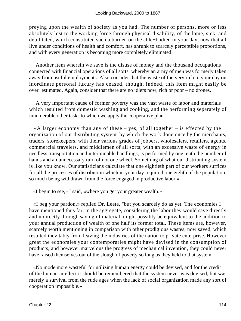preying upon the wealth of society as you had. The number of persons, more or less absolutely lost to the working force through physical disability, of the lame, sick, and debilitated, which constituted such a burden on the able−bodied in your day, now that all live under conditions of health and comfort, has shrunk to scarcely perceptible proportions, and with every generation is becoming more completely eliminated.

 "Another item wherein we save is the disuse of money and the thousand occupations connected with financial operations of all sorts, whereby an army of men was formerly taken away from useful employments. Also consider that the waste of the very rich in your day on inordinate personal luxury has ceased, though, indeed, this item might easily be over−estimated. Again, consider that there are no idlers now, rich or poor – no drones.

 "A very important cause of former poverty was the vast waste of labor and materials which resulted from domestic washing and cooking, and the performing separately of innumerable other tasks to which we apply the cooperative plan.

«A larger economy than any of these  $-$  yes, of all together  $-$  is effected by the organization of our distributing system, by which the work done once by the merchants, traders, storekeepers, with their various grades of jobbers, wholesalers, retailers, agents, commercial travelers, and middlemen of all sorts, with an excessive waste of energy in needless transportation and interminable handlings, is performed by one tenth the number of hands and an unnecessary turn of not one wheel. Something of what our distributing system is like you know. Our statisticians calculate that one eightieth part of our workers suffices for all the processes of distribution which in your day required one eighth of the population, so much being withdrawn from the force engaged in productive labor.»

«I begin to see,» I said, «where you get your greater wealth.»

 «I beg your pardon,» replied Dr. Leete, "but you scarcely do as yet. The economies I have mentioned thus far, in the aggregate, considering the labor they would save directly and indirectly through saving of material, might possibly be equivalent to the addition to your annual production of wealth of one half its former total. These items are, however, scarcely worth mentioning in comparison with other prodigious wastes, now saved, which resulted inevitably from leaving the industries of the nation to private enterprise. However great the economies your contemporaries might have devised in the consumption of products, and however marvelous the progress of mechanical invention, they could never have raised themselves out of the slough of poverty so long as they held to that system.

 «No mode more wasteful for utilizing human energy could be devised, and for the credit of the human intellect it should be remembered that the system never was devised, but was merely a survival from the rude ages when the lack of social organization made any sort of cooperation impossible.»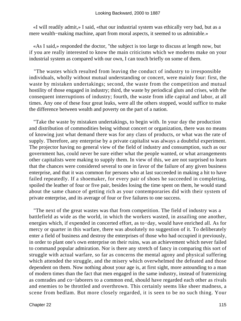«I will readily admit,» I said, «that our industrial system was ethically very bad, but as a mere wealth−making machine, apart from moral aspects, it seemed to us admirable.»

 «As I said,» responded the doctor, "the subject is too large to discuss at length now, but if you are really interested to know the main criticisms which we moderns make on your industrial system as compared with our own, I can touch briefly on some of them.

 "The wastes which resulted from leaving the conduct of industry to irresponsible individuals, wholly without mutual understanding or concert, were mainly four: first, the waste by mistaken undertakings; second, the waste from the competition and mutual hostility of those engaged in industry; third, the waste by periodical gluts and crises, with the consequent interruptions of industry; fourth, the waste from idle capital and labor, at all times. Any one of these four great leaks, were all the others stopped, would suffice to make the difference between wealth and poverty on the part of a nation.

 "Take the waste by mistaken undertakings, to begin with. In your day the production and distribution of commodities being without concert or organization, there was no means of knowing just what demand there was for any class of products, or what was the rate of supply. Therefore, any enterprise by a private capitalist was always a doubtful experiment. The projector having no general view of the field of industry and consumption, such as our government has, could never be sure either what the people wanted, or what arrangements other capitalists were making to supply them. In view of this, we are not surprised to learn that the chances were considered several to one in favor of the failure of any given business enterprise, and that it was common for persons who at last succeeded in making a hit to have failed repeatedly. If a shoemaker, for every pair of shoes he succeeded in completing, spoiled the leather of four or five pair, besides losing the time spent on them, he would stand about the same chance of getting rich as your contemporaries did with their system of private enterprise, and its average of four or five failures to one success.

 "The next of the great wastes was that from competition. The field of industry was a battlefield as wide as the world, in which the workers wasted, in assailing one another, energies which, if expended in concerted effort, as to−day, would have enriched all. As for mercy or quarter in this warfare, there was absolutely no suggestion of it. To deliberately enter a field of business and destroy the enterprises of those who had occupied it previously, in order to plant one's own enterprise on their ruins, was an achievement which never failed to command popular admiration. Nor is there any stretch of fancy in comparing this sort of struggle with actual warfare, so far as concerns the mental agony and physical suffering which attended the struggle, and the misery which overwhelmed the defeated and those dependent on them. Now nothing about your age is, at first sight, more astounding to a man of modern times than the fact that men engaged in the same industry, instead of fraternizing as comrades and co−laborers to a common end, should have regarded each other as rivals and enemies to be throttled and overthrown. This certainly seems like sheer madness, a scene from bedlam. But more closely regarded, it is seen to be no such thing. Your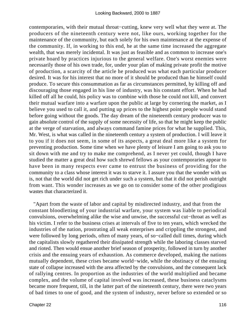contemporaries, with their mutual throat−cutting, knew very well what they were at. The producers of the nineteenth century were not, like ours, working together for the maintenance of the community, but each solely for his own maintenance at the expense of the community. If, in working to this end, he at the same time increased the aggregate wealth, that was merely incidental. It was just as feasible and as common to increase one's private hoard by practices injurious to the general welfare. One's worst enemies were necessarily those of his own trade, for, under your plan of making private profit the motive of production, a scarcity of the article he produced was what each particular producer desired. It was for his interest that no more of it should be produced than he himself could produce. To secure this consummation as far as circumstances permitted, by killing off and discouraging those engaged in his line of industry, was his constant effort. When he had killed off all he could, his policy was to combine with those he could not kill, and convert their mutual warfare into a warfare upon the public at large by cornering the market, as I believe you used to call it, and putting up prices to the highest point people would stand before going without the goods. The day dream of the nineteenth century producer was to gain absolute control of the supply of some necessity of life, so that he might keep the public at the verge of starvation, and always command famine prices for what he supplied. This, Mr. West, is what was called in the nineteenth century a system of production. I will leave it to you if it does not seem, in some of its aspects, a great deal more like a system for preventing production. Some time when we have plenty of leisure I am going to ask you to sit down with me and try to make me comprehend, as I never yet could, though I have studied the matter a great deal how such shrewd fellows as your contemporaries appear to have been in many respects ever came to entrust the business of providing for the community to a class whose interest it was to starve it. I assure you that the wonder with us is, not that the world did not get rich under such a system, but that it did not perish outright from want. This wonder increases as we go on to consider some of the other prodigious wastes that characterized it.

 "Apart from the waste of labor and capital by misdirected industry, and that from the constant bloodletting of your industrial warfare, your system was liable to periodical convulsions, overwhelming alike the wise and unwise, the successful cut−throat as well as his victim. I refer to the business crises at intervals of five to ten years, which wrecked the industries of the nation, prostrating all weak enterprises and crippling the strongest, and were followed by long periods, often of many years, of so−called dull times, during which the capitalists slowly regathered their dissipated strength while the laboring classes starved and rioted. Then would ensue another brief season of prosperity, followed in turn by another crisis and the ensuing years of exhaustion. As commerce developed, making the nations mutually dependent, these crises became world−wide, while the obstinacy of the ensuing state of collapse increased with the area affected by the convulsions, and the consequent lack of rallying centres. In proportion as the industries of the world multiplied and became complex, and the volume of capital involved was increased, these business cataclysms became more frequent, till, in the latter part of the nineteenth century, there were two years of bad times to one of good, and the system of industry, never before so extended or so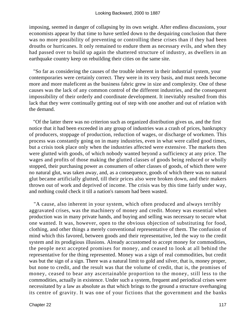imposing, seemed in danger of collapsing by its own weight. After endless discussions, your economists appear by that time to have settled down to the despairing conclusion that there was no more possibility of preventing or controlling these crises than if they had been drouths or hurricanes. It only remained to endure them as necessary evils, and when they had passed over to build up again the shattered structure of industry, as dwellers in an earthquake country keep on rebuilding their cities on the same site.

 "So far as considering the causes of the trouble inherent in their industrial system, your contemporaries were certainly correct. They were in its very basis, and must needs become more and more maleficent as the business fabric grew in size and complexity. One of these causes was the lack of any common control of the different industries, and the consequent impossibility of their orderly and coordinate development. It inevitably resulted from this lack that they were continually getting out of step with one another and out of relation with the demand.

 "Of the latter there was no criterion such as organized distribution gives us, and the first notice that it had been exceeded in any group of industries was a crash of prices, bankruptcy of producers, stoppage of production, reduction of wages, or discharge of workmen. This process was constantly going on in many industries, even in what were called good times, but a crisis took place only when the industries affected were extensive. The markets then were glutted with goods, of which nobody wanted beyond a sufficiency at any price. The wages and profits of those making the glutted classes of goods being reduced or wholly stopped, their purchasing power as consumers of other classes of goods, of which there were no natural glut, was taken away, and, as a consequence, goods of which there was no natural glut became artificially glutted, till their prices also were broken down, and their makers thrown out of work and deprived of income. The crisis was by this time fairly under way, and nothing could check it till a nation's ransom had been wasted.

 "A cause, also inherent in your system, which often produced and always terribly aggravated crises, was the machinery of money and credit. Money was essential when production was in many private hands, and buying and selling was necessary to secure what one wanted. It was, however, open to the obvious objection of substituting for food, clothing, and other things a merely conventional representative of them. The confusion of mind which this favored, between goods and their representative, led the way to the credit system and its prodigious illusions. Already accustomed to accept money for commodities, the people next accepted promises for money, and ceased to look at all behind the representative for the thing represented. Money was a sign of real commodities, but credit was but the sign of a sign. There was a natural limit to gold and silver, that is, money proper, but none to credit, and the result was that the volume of credit, that is, the promises of money, ceased to bear any ascertainable proportion to the money, still less to the commodities, actually in existence. Under such a system, frequent and periodical crises were necessitated by a law as absolute as that which brings to the ground a structure overhanging its centre of gravity. It was one of your fictions that the government and the banks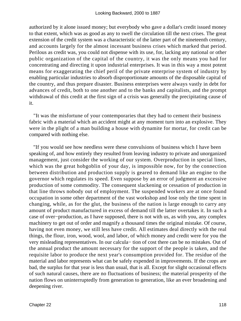authorized by it alone issued money; but everybody who gave a dollar's credit issued money to that extent, which was as good as any to swell the circulation till the next crises. The great extension of the credit system was a characteristic of the latter part of the nineteenth century, and accounts largely for the almost incessant business crises which marked that period. Perilous as credit was, you could not dispense with its use, for, lacking any national or other public organization of the capital of the country, it was the only means you had for concentrating and directing it upon industrial enterprises. It was in this way a most potent means for exaggerating the chief peril of the private enterprise system of industry by enabling particular industries to absorb disproportionate amounts of the disposable capital of the country, and thus prepare disaster. Business enterprises were always vastly in debt for advances of credit, both to one another and to the banks and capitalists, and the prompt withdrawal of this credit at the first sign of a crisis was generally the precipitating cause of it.

 "It was the misfortune of your contemporaries that they had to cement their business fabric with a material which an accident might at any moment turn into an explosive. They were in the plight of a man building a house with dynamite for mortar, for credit can be compared with nothing else.

 "If you would see how needless were these convulsions of business which I have been speaking of, and how entirely they resulted from leaving industry to private and unorganized management, just consider the working of our system. Overproduction in special lines, which was the great hobgoblin of your day, is impossible now, for by the connection between distribution and production supply is geared to demand like an engine to the governor which regulates its speed. Even suppose by an error of judgment an excessive production of some commodity. The consequent slackening or cessation of production in that line throws nobody out of employment. The suspended workers are at once found occupation in some other department of the vast workshop and lose only the time spent in changing, while, as for the glut, the business of the nation is large enough to carry any amount of product manufactured in excess of demand till the latter overtakes it. In such a case of over−production, as I have supposed, there is not with us, as with you, any complex machinery to get out of order and magnify a thousand times the original mistake. Of course, having not even money, we still less have credit. All estimates deal directly with the real things, the flour, iron, wood, wool, and labor, of which money and credit were for you the very misleading representatives. In our calcula− tion of cost there can be no mistakes. Out of the annual product the amount necessary for the support of the people is taken, and the requisite labor to produce the next year's consumption provided for. The residue of the material and labor represents what can be safely expended in improvements. If the crops are bad, the surplus for that year is less than usual, that is all. Except for slight occasional effects of such natural causes, there are no fluctuations of business; the material prosperity of the nation flows on uninterruptedly from generation to generation, like an ever broadening and deepening river.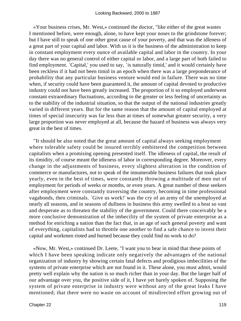«Your business crises, Mr. West,» continued the doctor, "like either of the great wastes I mentioned before, were enough, alone, to have kept your noses to the grindstone forever; but I have still to speak of one other great cause of your poverty, and that was the idleness of a great part of your capital and labor. With us it is the business of the administration to keep in constant employment every ounce of available capital and labor in the country. In your day there was no general control of either capital or labor, and a large part of both failed to find employment. `Capital,' you used to say, `is naturally timid,' and it would certainly have been reckless if it had not been timid in an epoch when there was a large preponderance of probability that any particular business venture would end in failure. There was no time when, if security could have been guaranteed it, the amount of capital devoted to productive industry could not have been greatly increased. The proportion of it so employed underwent constant extraordinary fluctuations, according to the greater or less feeling of uncertainty as to the stability of the industrial situation, so that the output of the national industries greatly varied in different years. But for the same reason that the amount of capital employed at times of special insecurity was far less than at times of somewhat greater security, a very large proportion was never employed at all, because the hazard of business was always very great in the best of times.

 "It should be also noted that the great amount of capital always seeking employment where tolerable safety could be insured terribly embittered the competition between capitalists when a promising opening presented itself. The idleness of capital, the result of its timidity, of course meant the idleness of labor in corresponding degree. Moreover, every change in the adjustments of business, every slightest alteration in the condition of commerce or manufactures, not to speak of the innumerable business failures that took place yearly, even in the best of times, were constantly throwing a multitude of men out of employment for periods of weeks or months, or even years. A great number of these seekers after employment were constantly traversing the country, becoming in time professional vagabonds, then criminals. `Give us work!' was the cry of an army of the unemployed at nearly all seasons, and in seasons of dullness in business this army swelled to a host so vast and desperate as to threaten the stability of the government. Could there conceivably be a more conclusive demonstration of the imbecility of the system of private enterprise as a method for enriching a nation than the fact that, in an age of such general poverty and want of everything, capitalists had to throttle one another to find a safe chance to invest their capital and workmen rioted and burned because they could find no work to do?

 «Now, Mr. West,» continued Dr. Leete, "I want you to bear in mind that these points of which I have been speaking indicate only negatively the advantages of the national organization of industry by showing certain fatal defects and prodigious imbecilities of the systems of private enterprise which are not found in it. These alone, you must admit, would pretty well explain why the nation is so much richer than in your day. But the larger half of our advantage over you, the positive side of it, I have yet barely spoken of. Supposing the system of private enterprise in industry were without any of the great leaks I have mentioned; that there were no waste on account of misdirected effort growing out of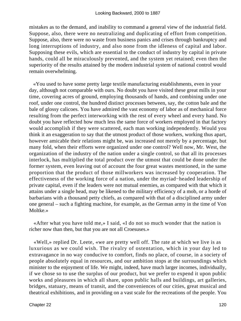mistakes as to the demand, and inability to command a general view of the industrial field. Suppose, also, there were no neutralizing and duplicating of effort from competition. Suppose, also, there were no waste from business panics and crises through bankruptcy and long interruptions of industry, and also none from the idleness of capital and labor. Supposing these evils, which are essential to the conduct of industry by capital in private hands, could all be miraculously prevented, and the system yet retained; even then the superiority of the results attained by the modern industrial system of national control would remain overwhelming.

 «You used to have some pretty large textile manufacturing establishments, even in your day, although not comparable with ours. No doubt you have visited these great mills in your time, covering acres of ground, employing thousands of hands, and combining under one roof, under one control, the hundred distinct processes between, say, the cotton bale and the bale of glossy calicoes. You have admired the vast economy of labor as of mechanical force resulting from the perfect interworking with the rest of every wheel and every hand. No doubt you have reflected how much less the same force of workers employed in that factory would accomplish if they were scattered, each man working independently. Would you think it an exaggeration to say that the utmost product of those workers, working thus apart, however amicable their relations might be, was increased not merely by a percentage, but many fold, when their efforts were organized under one control? Well now, Mr. West, the organization of the industry of the nation under a single control, so that all its processes interlock, has multiplied the total product over the utmost that could be done under the former system, even leaving out of account the four great wastes mentioned, in the same proportion that the product of those millworkers was increased by cooperation. The effectiveness of the working force of a nation, under the myriad−headed leadership of private capital, even if the leaders were not mutual enemies, as compared with that which it attains under a single head, may be likened to the military efficiency of a mob, or a horde of barbarians with a thousand petty chiefs, as compared with that of a disciplined army under one general – such a fighting machine, for example, as the German army in the time of Von Moltke.»

 «After what you have told me,» I said, «I do not so much wonder that the nation is richer now than then, but that you are not all Croesuses.»

 «Well,» replied Dr. Leete, «we are pretty well off. The rate at which we live is as luxurious as we could wish. The rivalry of ostentation, which in your day led to extravagance in no way conducive to comfort, finds no place, of course, in a society of people absolutely equal in resources, and our ambition stops at the surroundings which minister to the enjoyment of life. We might, indeed, have much larger incomes, individually, if we chose so to use the surplus of our product, but we prefer to expend it upon public works and pleasures in which all share, upon public halls and buildings, art galleries, bridges, statuary, means of transit, and the conveniences of our cities, great musical and theatrical exhibitions, and in providing on a vast scale for the recreations of the people. You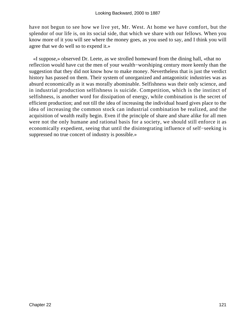have not begun to see how we live yet, Mr. West. At home we have comfort, but the splendor of our life is, on its social side, that which we share with our fellows. When you know more of it you will see where the money goes, as you used to say, and I think you will agree that we do well so to expend it.»

 «I suppose,» observed Dr. Leete, as we strolled homeward from the dining hall, «that no reflection would have cut the men of your wealth−worshiping century more keenly than the suggestion that they did not know how to make money. Nevertheless that is just the verdict history has passed on them. Their system of unorganized and antagonistic industries was as absurd economically as it was morally abominable. Selfishness was their only science, and in industrial production selfishness is suicide. Competition, which is the instinct of selfishness, is another word for dissipation of energy, while combination is the secret of efficient production; and not till the idea of increasing the individual hoard gives place to the idea of increasing the common stock can industrial combination be realized, and the acquisition of wealth really begin. Even if the principle of share and share alike for all men were not the only humane and rational basis for a society, we should still enforce it as economically expedient, seeing that until the disintegrating influence of self−seeking is suppressed no true concert of industry is possible.»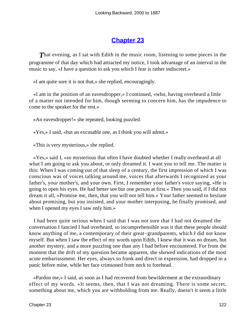## **[Chapter 23](#page-164-0)**

**That evening, as I sat with Edith in the music room, listening to some pieces in the** programme of that day which had attracted my notice, I took advantage of an interval in the music to say, «I have a question to ask you which I fear is rather indiscreet.»

«I am quite sure it is not that,» she replied, encouragingly.

 «I am in the position of an eavesdropper,» I continued, «who, having overheard a little of a matter not intended for him, though seeming to concern him, has the impudence to come to the speaker for the rest.»

«An eavesdropper!» she repeated, looking puzzled.

«Yes,» I said, «but an excusable one, as I think you will admit.»

«This is very mysterious,» she replied.

 «Yes,» said I, «so mysterious that often I have doubted whether I really overheard at all what I am going to ask you about, or only dreamed it. I want you to tell me. The matter is this: When I was coming out of that sleep of a century, the first impression of which I was conscious was of voices talking around me, voices that afterwards I recognized as your father's, your mother's, and your own. First, I remember your father's voice saying, »He is going to open his eyes. He had better see but one person at first.« Then you said, if I did not dream it all, »Promise me, then, that you will not tell him.« Your father seemed to hesitate about promising, but you insisted, and your mother interposing, he finally promised, and when I opened my eyes I saw only him.»

 I had been quite serious when I said that I was not sure that I had not dreamed the conversation I fancied I had overheard, so incomprehensible was it that these people should know anything of me, a contemporary of their great−grandparents, which I did not know myself. But when I saw the effect of my words upon Edith, I knew that it was no dream, but another mystery, and a more puzzling one than any I had before encountered. For from the moment that the drift of my question became apparent, she showed indications of the most acute embarrassment. Her eyes, always so frank and direct in expression, had dropped in a panic before mine, while her face crimsoned from neck to forehead.

 «Pardon me,» I said, as soon as I had recovered from bewilderment at the extraordinary effect of my words. «It seems, then, that I was not dreaming. There is some secret, something about me, which you are withholding from me. Really, doesn't it seem a little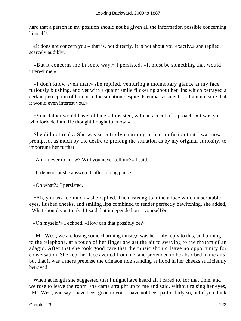hard that a person in my position should not be given all the information possible concerning himself?»

 «It does not concern you – that is, not directly. It is not about you exactly,» she replied, scarcely audibly.

 «But it concerns me in some way,» I persisted. «It must be something that would interest me.»

 «I don't know even that,» she replied, venturing a momentary glance at my face, furiously blushing, and yet with a quaint smile flickering about her lips which betrayed a certain perception of humor in the situation despite its embarrassment, – «I am not sure that it would even interest you.»

 «Your father would have told me,» I insisted, with an accent of reproach. «It was you who forbade him. He thought I ought to know.»

 She did not reply. She was so entirely charming in her confusion that I was now prompted, as much by the desire to prolong the situation as by my original curiosity, to importune her further.

«Am I never to know? Will you never tell me?» I said.

«It depends,» she answered, after a long pause.

«On what?» I persisted.

 «Ah, you ask too much,» she replied. Then, raising to mine a face which inscrutable eyes, flushed cheeks, and smiling lips combined to render perfectly bewitching, she added, «What should you think if I said that it depended on – yourself?»

«On myself?» I echoed. «How can that possibly be?»

 «Mr. West, we are losing some charming music,» was her only reply to this, and turning to the telephone, at a touch of her finger she set the air to swaying to the rhythm of an adagio. After that she took good care that the music should leave no opportunity for conversation. She kept her face averted from me, and pretended to be absorbed in the airs, but that it was a mere pretense the crimson tide standing at flood in her cheeks sufficiently betrayed.

When at length she suggested that I might have heard all I cared to, for that time, and we rose to leave the room, she came straight up to me and said, without raising her eyes, «Mr. West, you say I have been good to you. I have not been particularly so, but if you think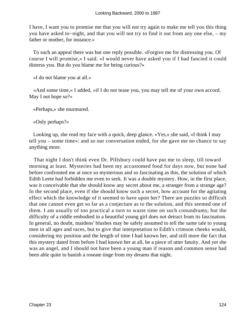I have, I want you to promise me that you will not try again to make me tell you this thing you have asked to−night, and that you will not try to find it out from any one else, – my father or mother, for instance.»

 To such an appeal there was but one reply possible. «Forgive me for distressing you. Of course I will promise,» I said. «I would never have asked you if I had fancied it could distress you. But do you blame me for being curious?»

«I do not blame you at all.»

 «And some time,» I added, «if I do not tease you, you may tell me of your own accord. May I not hope so?»

«Perhaps,» she murmured.

«Only perhaps?»

 Looking up, she read my face with a quick, deep glance. «Yes,» she said, «I think I may tell you – some time»: and so our conversation ended, for she gave me no chance to say anything more.

 That night I don't think even Dr. Pillsbury could have put me to sleep, till toward morning at least. Mysteries had been my accustomed food for days now, but none had before confronted me at once so mysterious and so fascinating as this, the solution of which Edith Leete had forbidden me even to seek. It was a double mystery. How, in the first place, was it conceivable that she should know any secret about me, a stranger from a strange age? In the second place, even if she should know such a secret, how account for the agitating effect which the knowledge of it seemed to have upon her? There are puzzles so difficult that one cannot even get so far as a conjecture as to the solution, and this seemed one of them. I am usually of too practical a turn to waste time on such conundrums; but the difficulty of a riddle embodied in a beautiful young girl does not detract from its fascination. In general, no doubt, maidens' blushes may be safely assumed to tell the same tale to young men in all ages and races, but to give that interpretation to Edith's crimson cheeks would, considering my position and the length of time I had known her, and still more the fact that this mystery dated from before I had known her at all, be a piece of utter fatuity. And yet she was an angel, and I should not have been a young man if reason and common sense had been able quite to banish a roseate tinge from my dreams that night.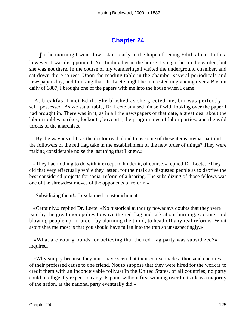## **[Chapter 24](#page-164-0)**

*I*n the morning I went down stairs early in the hope of seeing Edith alone. In this, however, I was disappointed. Not finding her in the house, I sought her in the garden, but she was not there. In the course of my wanderings I visited the underground chamber, and sat down there to rest. Upon the reading table in the chamber several periodicals and newspapers lay, and thinking that Dr. Leete might be interested in glancing over a Boston daily of 1887, I brought one of the papers with me into the house when I came.

 At breakfast I met Edith. She blushed as she greeted me, but was perfectly self−possessed. As we sat at table, Dr. Leete amused himself with looking over the paper I had brought in. There was in it, as in all the newspapers of that date, a great deal about the labor troubles, strikes, lockouts, boycotts, the programmes of labor parties, and the wild threats of the anarchists.

 «By the way,» said I, as the doctor read aloud to us some of these items, «what part did the followers of the red flag take in the establishment of the new order of things? They were making considerable noise the last thing that I knew.»

 «They had nothing to do with it except to hinder it, of course,» replied Dr. Leete. «They did that very effectually while they lasted, for their talk so disgusted people as to deprive the best considered projects for social reform of a hearing. The subsidizing of those fellows was one of the shrewdest moves of the opponents of reform.»

«Subsidizing them!» I exclaimed in astonishment.

 «Certainly,» replied Dr. Leete. «No historical authority nowadays doubts that they were paid by the great monopolies to wave the red flag and talk about burning, sacking, and blowing people up, in order, by alarming the timid, to head off any real reforms. What astonishes me most is that you should have fallen into the trap so unsuspectingly.»

 «What are your grounds for believing that the red flag party was subsidized?» I inquired.

 «Why simply because they must have seen that their course made a thousand enemies of their professed cause to one friend. Not to suppose that they were hired for the work is to credit them with an inconceivable folly.[4] In the United States, of all countries, no party could intelligently expect to carry its point without first winning over to its ideas a majority of the nation, as the national party eventually did.»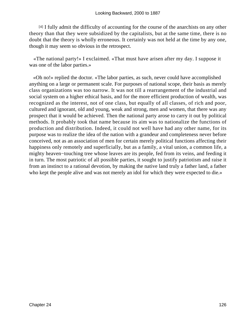[4] I fully admit the difficulty of accounting for the course of the anarchists on any other theory than that they were subsidized by the capitalists, but at the same time, there is no doubt that the theory is wholly erroneous. It certainly was not held at the time by any one, though it may seem so obvious in the retrospect.

 «The national party!» I exclaimed. «That must have arisen after my day. I suppose it was one of the labor parties.»

 «Oh no!» replied the doctor. «The labor parties, as such, never could have accomplished anything on a large or permanent scale. For purposes of national scope, their basis as merely class organizations was too narrow. It was not till a rearrangement of the industrial and social system on a higher ethical basis, and for the more efficient production of wealth, was recognized as the interest, not of one class, but equally of all classes, of rich and poor, cultured and ignorant, old and young, weak and strong, men and women, that there was any prospect that it would be achieved. Then the national party arose to carry it out by political methods. It probably took that name because its aim was to nationalize the functions of production and distribution. Indeed, it could not well have had any other name, for its purpose was to realize the idea of the nation with a grandeur and completeness never before conceived, not as an association of men for certain merely political functions affecting their happiness only remotely and superficially, but as a family, a vital union, a common life, a mighty heaven−touching tree whose leaves are its people, fed from its veins, and feeding it in turn. The most patriotic of all possible parties, it sought to justify patriotism and raise it from an instinct to a rational devotion, by making the native land truly a father land, a father who kept the people alive and was not merely an idol for which they were expected to die.»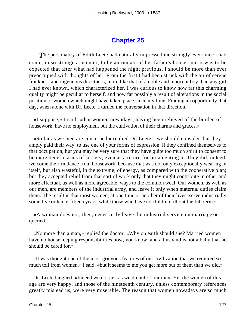### **[Chapter 25](#page-164-0)**

**The personality of Edith Leete had naturally impressed me strongly ever since I had** come, in so strange a manner, to be an inmate of her father's house, and it was to be expected that after what had happened the night previous, I should be more than ever preoccupied with thoughts of her. From the first I had been struck with the air of serene frankness and ingenuous directness, more like that of a noble and innocent boy than any girl I had ever known, which characterized her. I was curious to know how far this charming quality might be peculiar to herself, and how far possibly a result of alterations in the social position of women which might have taken place since my time. Finding an opportunity that day, when alone with Dr. Leete, I turned the conversation in that direction.

 «I suppose,» I said, «that women nowadays, having been relieved of the burden of housework, have no employment but the cultivation of their charms and graces.»

 «So far as we men are concerned,» replied Dr. Leete, «we should consider that they amply paid their way, to use one of your forms of expression, if they confined themselves to that occupation, but you may be very sure that they have quite too much spirit to consent to be mere beneficiaries of society, even as a return for ornamenting it. They did, indeed, welcome their riddance from housework, because that was not only exceptionally wearing in itself, but also wasteful, in the extreme, of energy, as compared with the cooperative plan; but they accepted relief from that sort of work only that they might contribute in other and more effectual, as well as more agreeable, ways to the common weal. Our women, as well as our men, are members of the industrial army, and leave it only when maternal duties claim them. The result is that most women, at one time or another of their lives, serve industrially some five or ten or fifteen years, while those who have no children fill out the full term.»

 «A woman does not, then, necessarily leave the industrial service on marriage?» I queried.

 «No more than a man,» replied the doctor. «Why on earth should she? Married women have no housekeeping responsibilities now, you know, and a husband is not a baby that he should be cared for.»

 «It was thought one of the most grievous features of our civilization that we required so much toil from women,» I said; «but it seems to me you get more out of them than we did.»

 Dr. Leete laughed. «Indeed we do, just as we do out of our men. Yet the women of this age are very happy, and those of the nineteenth century, unless contemporary references greatly mislead us, were very miserable. The reason that women nowadays are so much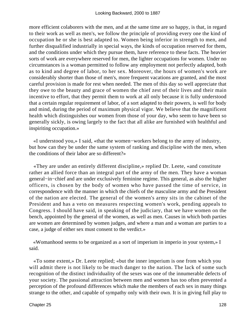more efficient colaborers with the men, and at the same time are so happy, is that, in regard to their work as well as men's, we follow the principle of providing every one the kind of occupation he or she is best adapted to. Women being inferior in strength to men, and further disqualified industrially in special ways, the kinds of occupation reserved for them, and the conditions under which they pursue them, have reference to these facts. The heavier sorts of work are everywhere reserved for men, the lighter occupations for women. Under no circumstances is a woman permitted to follow any employment not perfectly adapted, both as to kind and degree of labor, to her sex. Moreover, the hours of women's work are considerably shorter than those of men's, more frequent vacations are granted, and the most careful provision is made for rest when needed. The men of this day so well appreciate that they owe to the beauty and grace of women the chief zest of their lives and their main incentive to effort, that they permit them to work at all only because it is fully understood that a certain regular requirement of labor, of a sort adapted to their powers, is well for body and mind, during the period of maximum physical vigor. We believe that the magnificent health which distinguishes our women from those of your day, who seem to have been so generally sickly, is owing largely to the fact that all alike are furnished with healthful and inspiriting occupation.»

 «I understood you,» I said, «that the women−workers belong to the army of industry, but how can they be under the same system of ranking and discipline with the men, when the conditions of their labor are so different?»

 «They are under an entirely different discipline,» replied Dr. Leete, «and constitute rather an allied force than an integral part of the army of the men. They have a woman general−in−chief and are under exclusively feminine regime. This general, as also the higher officers, is chosen by the body of women who have passed the time of service, in correspondence with the manner in which the chiefs of the masculine army and the President of the nation are elected. The general of the women's army sits in the cabinet of the President and has a veto on measures respecting women's work, pending appeals to Congress. I should have said, in speaking of the judiciary, that we have women on the bench, appointed by the general of the women, as well as men. Causes in which both parties are women are determined by women judges, and where a man and a woman are parties to a case, a judge of either sex must consent to the verdict.»

 «Womanhood seems to be organized as a sort of imperium in imperio in your system,» I said.

 «To some extent,» Dr. Leete replied; «but the inner imperium is one from which you will admit there is not likely to be much danger to the nation. The lack of some such recognition of the distinct individuality of the sexes was one of the innumerable defects of your society. The passional attraction between men and women has too often prevented a perception of the profound differences which make the members of each sex in many things strange to the other, and capable of sympathy only with their own. It is in giving full play to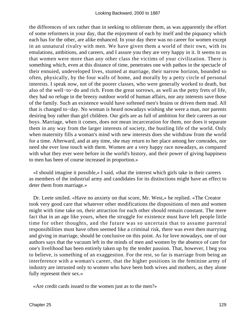the differences of sex rather than in seeking to obliterate them, as was apparently the effort of some reformers in your day, that the enjoyment of each by itself and the piquancy which each has for the other, are alike enhanced. In your day there was no career for women except in an unnatural rivalry with men. We have given them a world of their own, with its emulations, ambitions, and careers, and I assure you they are very happy in it. It seems to us that women were more than any other class the victims of your civilization. There is something which, even at this distance of time, penetrates one with pathos in the spectacle of their ennuied, undeveloped lives, stunted at marriage, their narrow horizon, bounded so often, physically, by the four walls of home, and morally by a petty circle of personal interests. I speak now, not of the poorer classes, who were generally worked to death, but also of the well−to−do and rich. From the great sorrows, as well as the petty frets of life, they had no refuge in the breezy outdoor world of human affairs, nor any interests save those of the family. Such an existence would have softened men's brains or driven them mad. All that is changed to−day. No woman is heard nowadays wishing she were a man, nor parents desiring boy rather than girl children. Our girls are as full of ambition for their careers as our boys. Marriage, when it comes, does not mean incarceration for them, nor does it separate them in any way from the larger interests of society, the bustling life of the world. Only when maternity fills a woman's mind with new interests does she withdraw from the world for a time. Afterward, and at any time, she may return to her place among her comrades, nor need she ever lose touch with them. Women are a very happy race nowadays, as compared with what they ever were before in the world's history, and their power of giving happiness to men has been of course increased in proportion.»

 «I should imagine it possible,» I said, «that the interest which girls take in their careers as members of the industrial army and candidates for its distinctions might have an effect to deter them from marriage.»

 Dr. Leete smiled. «Have no anxiety on that score, Mr. West,» he replied. «The Creator took very good care that whatever other modifications the dispositions of men and women might with time take on, their attraction for each other should remain constant. The mere fact that in an age like yours, when the struggle for existence must have left people little time for other thoughts, and the future was so uncertain that to assume parental responsibilities must have often seemed like a criminal risk, there was even then marrying and giving in marriage, should be conclusive on this point. As for love nowadays, one of our authors says that the vacuum left in the minds of men and women by the absence of care for one's livelihood has been entirely taken up by the tender passion. That, however, I beg you to believe, is something of an exaggestion. For the rest, so far is marriage from being an interference with a woman's career, that the higher positions in the feminine army of industry are intrusted only to women who have been both wives and mothers, as they alone fully represent their sex.»

«Are credit cards issued to the women just as to the men?»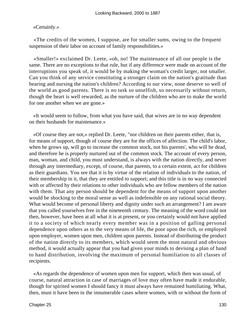#### «Certainly.»

 «The credits of the women, I suppose, are for smaller sums, owing to the frequent suspension of their labor on account of family responsibilities.»

 «Smaller!» exclaimed Dr. Leete, «oh, no! The maintenance of all our people is the same. There are no exceptions to that rule, but if any difference were made on account of the interruptions you speak of, it would be by making the woman's credit larger, not smaller. Can you think of any service constituting a stronger claim on the nation's gratitude than bearing and nursing the nation's children? According to our view, none deserve so well of the world as good parents. There is no task so unselfish, so necessarily without return, though the heart is well rewarded, as the nurture of the children who are to make the world for one another when we are gone.»

 «It would seem to follow, from what you have said, that wives are in no way dependent on their husbands for maintenance.»

 «Of course they are not,» replied Dr. Leete, "nor children on their parents either, that is, for means of support, though of course they are for the offices of affection. The child's labor, when he grows up, will go to increase the common stock, not his parents', who will be dead, and therefore he is properly nurtured out of the common stock. The account of every person, man, woman, and child, you must understand, is always with the nation directly, and never through any intermediary, except, of course, that parents, to a certain extent, act for children as their guardians. You see that it is by virtue of the relation of individuals to the nation, of their membership in it, that they are entitled to support; and this title is in no way connected with or affected by their relations to other individuals who are fellow members of the nation with them. That any person should be dependent for the means of support upon another would be shocking to the moral sense as well as indefensible on any rational social theory. What would become of personal liberty and dignity under such an arrangement? I am aware that you called yourselves free in the nineteenth century. The meaning of the word could not then, however, have been at all what it is at present, or you certainly would not have applied it to a society of which nearly every member was in a position of galling personal dependence upon others as to the very means of life, the poor upon the rich, or employed upon employer, women upon men, children upon parents. Instead of distributing the product of the nation directly to its members, which would seem the most natural and obvious method, it would actually appear that you had given your minds to devising a plan of hand to hand distribution, involving the maximum of personal humiliation to all classes of recipients.

 «As regards the dependence of women upon men for support, which then was usual, of course, natural attraction in case of marriages of love may often have made it endurable, though for spirited women I should fancy it must always have remained humiliating. What, then, must it have been in the innumerable cases where women, with or without the form of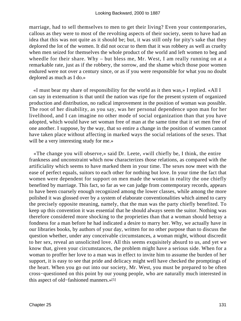marriage, had to sell themselves to men to get their living? Even your contemporaries, callous as they were to most of the revolting aspects of their society, seem to have had an idea that this was not quite as it should be; but, it was still only for pity's sake that they deplored the lot of the women. It did not occur to them that it was robbery as well as cruelty when men seized for themselves the whole product of the world and left women to beg and wheedle for their share. Why – but bless me, Mr. West, I am really running on at a remarkable rate, just as if the robbery, the sorrow, and the shame which those poor women endured were not over a century since, or as if you were responsible for what you no doubt deplored as much as I do.»

 «I must bear my share of responsibility for the world as it then was,» I replied. «All I can say in extenuation is that until the nation was ripe for the present system of organized production and distribution, no radical improvement in the position of woman was possible. The root of her disability, as you say, was her personal dependence upon man for her livelihood, and I can imagine no other mode of social organization than that you have adopted, which would have set woman free of man at the same time that it set men free of one another. I suppose, by the way, that so entire a change in the position of women cannot have taken place without affecting in marked ways the social relations of the sexes. That will be a very interesting study for me.»

 «The change you will observe,» said Dr. Leete, «will chiefly be, I think, the entire frankness and unconstraint which now characterizes those relations, as compared with the artificiality which seems to have marked them in your time. The sexes now meet with the ease of perfect equals, suitors to each other for nothing but love. In your time the fact that women were dependent for support on men made the woman in reality the one chiefly benefited by marriage. This fact, so far as we can judge from contemporary records, appears to have been coarsely enough recognized among the lower classes, while among the more polished it was glossed over by a system of elaborate conventionalities which aimed to carry the precisely opposite meaning, namely, that the man was the party chiefly benefited. To keep up this convention it was essential that he should always seem the suitor. Nothing was therefore considered more shocking to the proprieties than that a woman should betray a fondness for a man before he had indicated a desire to marry her. Why, we actually have in our libraries books, by authors of your day, written for no other purpose than to discuss the question whether, under any conceivable circumstances, a woman might, without discredit to her sex, reveal an unsolicited love. All this seems exquisitely absurd to us, and yet we know that, given your circumstances, the problem might have a serious side. When for a woman to proffer her love to a man was in effect to invite him to assume the burden of her support, it is easy to see that pride and delicacy might well have checked the promptings of the heart. When you go out into our society, Mr. West, you must be prepared to be often cross−questioned on this point by our young people, who are naturally much interested in this aspect of old−fashioned manners.»[5]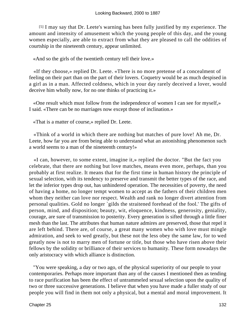[5] I may say that Dr. Leete's warning has been fully justified by my experience. The amount and intensity of amusement which the young people of this day, and the young women especially, are able to extract from what they are pleased to call the oddities of courtship in the nineteenth century, appear unlimited.

«And so the girls of the twentieth century tell their love.»

 «If they choose,» replied Dr. Leete. «There is no more pretense of a concealment of feeling on their part than on the part of their lovers. Coquetry would be as much despised in a girl as in a man. Affected coldness, which in your day rarely deceived a lover, would deceive him wholly now, for no one thinks of practicing it.»

 «One result which must follow from the independence of women I can see for myself,» I said. «There can be no marriages now except those of inclination.»

«That is a matter of course,» replied Dr. Leete.

 «Think of a world in which there are nothing but matches of pure love! Ah me, Dr. Leete, how far you are from being able to understand what an astonishing phenomenon such a world seems to a man of the nineteenth century!»

 «I can, however, to some extent, imagine it,» replied the doctor. "But the fact you celebrate, that there are nothing but love matches, means even more, perhaps, than you probably at first realize. It means that for the first time in human history the principle of sexual selection, with its tendency to preserve and transmit the better types of the race, and let the inferior types drop out, has unhindered operation. The necessities of poverty, the need of having a home, no longer tempt women to accept as the fathers of their children men whom they neither can love nor respect. Wealth and rank no longer divert attention from personal qualities. Gold no longer `gilds the straitened forehead of the fool.' The gifts of person, mind, and disposition; beauty, wit, eloquence, kindness, generosity, geniality, courage, are sure of transmission to posterity. Every generation is sifted through a little finer mesh than the last. The attributes that human nature admires are preserved, those that repel it are left behind. There are, of course, a great many women who with love must mingle admiration, and seek to wed greatly, but these not the less obey the same law, for to wed greatly now is not to marry men of fortune or title, but those who have risen above their fellows by the solidity or brilliance of their services to humanity. These form nowadays the only aristocracy with which alliance is distinction.

 "You were speaking, a day or two ago, of the physical superiority of our people to your contemporaries. Perhaps more important than any of the causes I mentioned then as tending to race purification has been the effect of untrammeled sexual selection upon the quality of two or three successive generations. I believe that when you have made a fuller study of our people you will find in them not only a physical, but a mental and moral improvement. It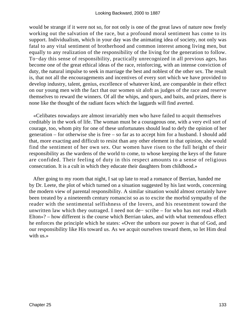would be strange if it were not so, for not only is one of the great laws of nature now freely working out the salvation of the race, but a profound moral sentiment has come to its support. Individualism, which in your day was the animating idea of society, not only was fatal to any vital sentiment of brotherhood and common interest among living men, but equally to any realization of the responsibility of the living for the generation to follow. To−day this sense of responsibility, practically unrecognized in all previous ages, has become one of the great ethical ideas of the race, reinforcing, with an intense conviction of duty, the natural impulse to seek in marriage the best and noblest of the other sex. The result is, that not all the encouragements and incentives of every sort which we have provided to develop industry, talent, genius, excellence of whatever kind, are comparable in their effect on our young men with the fact that our women sit aloft as judges of the race and reserve themselves to reward the winners. Of all the whips, and spurs, and baits, and prizes, there is none like the thought of the radiant faces which the laggards will find averted.

 «Celibates nowadays are almost invariably men who have failed to acquit themselves creditably in the work of life. The woman must be a courageous one, with a very evil sort of courage, too, whom pity for one of these unfortunates should lead to defy the opinion of her generation – for otherwise she is free – so far as to accept him for a husband. I should add that, more exacting and difficult to resist than any other element in that opinion, she would find the sentiment of her own sex. Our women have risen to the full height of their responsibility as the wardens of the world to come, to whose keeping the keys of the future are confided. Their feeling of duty in this respect amounts to a sense of religious consecration. It is a cult in which they educate their daughters from childhood.»

 After going to my room that night, I sat up late to read a romance of Berrian, handed me by Dr. Leete, the plot of which turned on a situation suggested by his last words, concerning the modern view of parental responsibility. A similar situation would almost certainly have been treated by a nineteenth century romancist so as to excite the morbid sympathy of the reader with the sentimental selfishness of the lovers, and his resentment toward the unwritten law which they outraged. I need not de− scribe – for who has not read «Ruth Elton»? – how different is the course which Berrian takes, and with what tremendous effect he enforces the principle which he states: «Over the unborn our power is that of God, and our responsibility like His toward us. As we acquit ourselves toward them, so let Him deal with us.»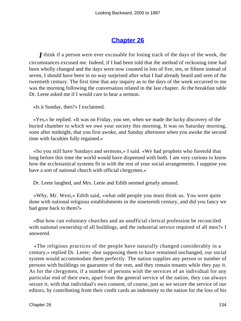## **[Chapter 26](#page-164-0)**

*I* think if a person were ever excusable for losing track of the days of the week, the circumstances excused me. Indeed, if I had been told that the method of reckoning time had been wholly changed and the days were now counted in lots of five, ten, or fifteen instead of seven, I should have been in no way surprised after what I had already heard and seen of the twentieth century. The first time that any inquiry as to the days of the week occurred to me was the morning following the conversation related in the last chapter. At the breakfast table Dr. Leete asked me if I would care to hear a sermon.

«Is it Sunday, then?» I exclaimed.

 «Yes,» he replied. «It was on Friday, you see, when we made the lucky discovery of the buried chamber to which we owe your society this morning. It was on Saturday morning, soon after midnight, that you first awoke, and Sunday afternoon when you awoke the second time with faculties fully regained.»

 «So you still have Sundays and sermons,» I said. «We had prophets who foretold that long before this time the world would have dispensed with both. I am very curious to know how the ecclesiastical systems fit in with the rest of your social arrangements. I suppose you have a sort of national church with official clergymen.»

Dr. Leete laughed, and Mrs. Leete and Edith seemed greatly amused.

 «Why, Mr. West,» Edith said, «what odd people you must think us. You were quite done with national religious establishments in the nineteenth century, and did you fancy we had gone back to them?»

 «But how can voluntary churches and an unofficial clerical profession be reconciled with national ownership of all buildings, and the industrial service required of all men?» I answered.

 «The religious practices of the people have naturally changed considerably in a century,» replied Dr. Leete; «but supposing them to have remained unchanged, our social system would accommodate them perfectly. The nation supplies any person or number of persons with buildings on guarantee of the rent, and they remain tenants while they pay it. As for the clergymen, if a number of persons wish the services of an individual for any particular end of their own, apart from the general service of the nation, they can always secure it, with that individual's own consent, of course, just as we secure the service of our editors, by contributing from their credit cards an indemnity to the nation for the loss of his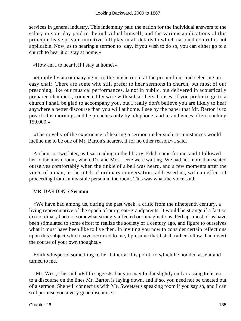services in general industry. This indemnity paid the nation for the individual answers to the salary in your day paid to the individual himself; and the various applications of this principle leave private initiative full play in all details to which national control is not applicable. Now, as to hearing a sermon to−day, if you wish to do so, you can either go to a church to hear it or stay at home.»

«How am I to hear it if I stay at home?»

 «Simply by accompanying us to the music room at the proper hour and selecting an easy chair. There are some who still prefer to hear sermons in church, but most of our preaching, like our musical performances, is not in public, but delivered in acoustically prepared chambers, connected by wire with subscribers' houses. If you prefer to go to a church I shall be glad to accompany you, but I really don't believe you are likely to hear anywhere a better discourse than you will at home. I see by the paper that Mr. Barton is to preach this morning, and he preaches only by telephone, and to audiences often reaching 150,000.»

 «The novelty of the experience of hearing a sermon under such circumstances would incline me to be one of Mr. Barton's hearers, if for no other reason,» I said.

 An hour or two later, as I sat reading in the library, Edith came for me, and I followed her to the music room, where Dr. and Mrs. Leete were waiting. We had not more than seated ourselves comfortably when the tinkle of a bell was heard, and a few moments after the voice of a man, at the pitch of ordinary conversation, addressed us, with an effect of proceeding from an invisible person in the room. This was what the voice said:

#### MR. BARTON'S **Sermon**

 «We have had among us, during the past week, a critic from the nineteenth century, a living representative of the epoch of our great−grandparents. It would be strange if a fact so extraordinary had not somewhat strongly affected our imaginations. Perhaps most of us have been stimulated to some effort to realize the society of a century ago, and figure to ourselves what it must have been like to live then. In inviting you now to consider certain reflections upon this subject which have occurred to me, I presume that I shall rather follow than divert the course of your own thoughts.»

 Edith whispered something to her father at this point, to which he nodded assent and turned to me.

 «Mr. West,» he said, «Edith suggests that you may find it slightly embarrassing to listen to a discourse on the lines Mr. Barton is laying down, and if so, you need not be cheated out of a sermon. She will connect us with Mr. Sweetser's speaking room if you say so, and I can still promise you a very good discourse.»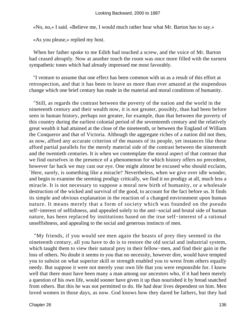«No, no,» I said. «Believe me, I would much rather hear what Mr. Barton has to say.»

«As you please,» replied my host.

 When her father spoke to me Edith had touched a screw, and the voice of Mr. Barton had ceased abruptly. Now at another touch the room was once more filled with the earnest sympathetic tones which had already impressed me most favorably.

 "I venture to assume that one effect has been common with us as a result of this effort at retrospection, and that it has been to leave us more than ever amazed at the stupendous change which one brief century has made in the material and moral conditions of humanity.

 "Still, as regards the contrast between the poverty of the nation and the world in the nineteenth century and their wealth now, it is not greater, possibly, than had been before seen in human history, perhaps not greater, for example, than that between the poverty of this country during the earliest colonial period of the seventeenth century and the relatively great wealth it had attained at the close of the nineteenth, or between the England of William the Conqueror and that of Victoria. Although the aggregate riches of a nation did not then, as now, afford any accurate criterion of the masses of its people, yet instances like these afford partial parallels for the merely material side of the contrast between the nineteenth and the twentieth centuries. It is when we contemplate the moral aspect of that contrast that we find ourselves in the presence of a phenomenon for which history offers no precedent, however far back we may cast our eye. One might almost be excused who should exclaim, `Here, surely, is something like a miracle!' Nevertheless, when we give over idle wonder, and begin to examine the seeming prodigy critically, we find it no prodigy at all, much less a miracle. It is not necessary to suppose a moral new birth of humanity, or a wholesale destruction of the wicked and survival of the good, to account for the fact before us. It finds its simple and obvious explanation in the reaction of a changed environment upon human nature. It means merely that a form of society which was founded on the pseudo self–interest of selfishness, and appealed solely to the anti–social and brutal side of human nature, has been replaced by institutions based on the true self−interest of a rational unselfishness, and appealing to the social and generous instincts of men.

 "My friends, if you would see men again the beasts of prey they seemed in the nineteenth century, all you have to do is to restore the old social and industrial system, which taught them to view their natural prey in their fellow−men, and find their gain in the loss of others. No doubt it seems to you that no necessity, however dire, would have tempted you to subsist on what superior skill or strength enabled you to wrest from others equally needy. But suppose it were not merely your own life that you were responsible for. I know well that there must have been many a man among our ancestors who, if it had been merely a question of his own life, would sooner have given it up than nourished it by bread snatched from others. But this he was not permitted to do. He had dear lives dependent on him. Men loved women in those days, as now. God knows how they dared be fathers, but they had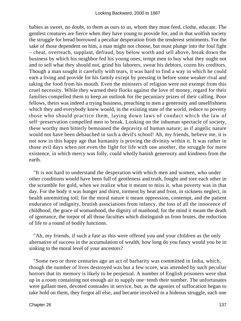babies as sweet, no doubt, to them as ours to us, whom they must feed, clothe, educate. The gentlest creatures are fierce when they have young to provide for, and in that wolfish society the struggle for bread borrowed a peculiar desperation from the tenderest sentiments. For the sake of those dependent on him, a man might not choose, but must plunge into the foul fight – cheat, overreach, supplant, defraud, buy below worth and sell above, break down the business by which his neighbor fed his young ones, tempt men to buy what they ought not and to sell what they should not, grind his laborers, sweat his debtors, cozen his creditors. Though a man sought it carefully with tears, it was hard to find a way in which he could earn a living and provide for his family except by pressing in before some weaker rival and taking the food from his mouth. Even the ministers of religion were not exempt from this cruel necessity. While they warned their flocks against the love of money, regard for their families compelled them to keep an outlook for the pecuniary prizes of their calling. Poor fellows, theirs was indeed a trying business, preaching to men a generosity and unselfishness which they and everybody knew would, in the existing state of the world, reduce to poverty those who should practice them, laying down laws of conduct which the law of self−preservation compelled men to break. Looking on the inhuman spectacle of society, these worthy men bitterly bemoaned the depravity of human nature; as if angelic nature would not have been debauched in such a devil's school! Ah, my friends, believe me, it is not now in this happy age that humanity is proving the divinity within it. It was rather in those evil days when not even the fight for life with one another, the struggle for mere existence, in which mercy was folly, could wholly banish generosity and kindness from the earth.

 "It is not hard to understand the desperation with which men and women, who under other conditions would have been full of gentleness and truth, fought and tore each other in the scramble for gold, when we realize what it meant to miss it, what poverty was in that day. For the body it was hunger and thirst, torment by heat and frost, in sickness neglect, in health unremitting toil; for the moral nature it meant oppression, contempt, and the patient endurance of indignity, brutish associations from infancy, the loss of all the innocence of childhood, the grace of womanhood, the dignity of manhood; for the mind it meant the death of ignorance, the torpor of all those faculties which distinguish us from brutes, the reduction of life to a round of bodily functions.

 "Ah, my friends, if such a fate as this were offered you and your children as the only alternative of success in the accumulation of wealth, how long do you fancy would you be in sinking to the moral level of your ancestors?

 "Some two or three centuries ago an act of barbarity was committed in India, which, though the number of lives destroyed was but a few score, was attended by such peculiar horrors that its memory is likely to be perpetual. A number of English prisoners were shut up in a room containing not enough air to supply one−tenth their number. The unfortunates were gallant men, devoted comrades in service, but, as the agonies of suffocation began to take hold on them, they forgot all else, and became involved in a hideous struggle, each one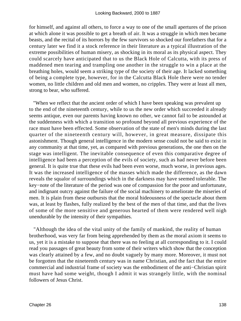for himself, and against all others, to force a way to one of the small apertures of the prison at which alone it was possible to get a breath of air. It was a struggle in which men became beasts, and the recital of its horrors by the few survivors so shocked our forefathers that for a century later we find it a stock reference in their literature as a typical illustration of the extreme possibilities of human misery, as shocking in its moral as its physical aspect. They could scarcely have anticipated that to us the Black Hole of Calcutta, with its press of maddened men tearing and trampling one another in the struggle to win a place at the breathing holes, would seem a striking type of the society of their age. It lacked something of being a complete type, however, for in the Calcutta Black Hole there were no tender women, no little children and old men and women, no cripples. They were at least all men, strong to bear, who suffered.

 "When we reflect that the ancient order of which I have been speaking was prevalent up to the end of the nineteenth century, while to us the new order which succeeded it already seems antique, even our parents having known no other, we cannot fail to be astounded at the suddenness with which a transition so profound beyond all previous experience of the race must have been effected. Some observation of the state of men's minds during the last quarter of the nineteenth century will, however, in great measure, dissipate this astonishment. Though general intelligence in the modern sense could not be said to exist in any community at that time, yet, as compared with previous generations, the one then on the stage was intelligent. The inevitable consequence of even this comparative degree of intelligence had been a perception of the evils of society, such as had never before been general. It is quite true that these evils had been even worse, much worse, in previous ages. It was the increased intelligence of the masses which made the difference, as the dawn reveals the squalor of surroundings which in the darkness may have seemed tolerable. The key−note of the literature of the period was one of compassion for the poor and unfortunate, and indignant outcry against the failure of the social machinery to ameliorate the miseries of men. It is plain from these outbursts that the moral hideousness of the spectacle about them was, at least by flashes, fully realized by the best of the men of that time, and that the lives of some of the more sensitive and generous hearted of them were rendered well nigh unendurable by the intensity of their sympathies.

 "Although the idea of the vital unity of the family of mankind, the reality of human brotherhood, was very far from being apprehended by them as the moral axiom it seems to us, yet it is a mistake to suppose that there was no feeling at all corresponding to it. I could read you passages of great beauty from some of their writers which show that the conception was clearly attained by a few, and no doubt vaguely by many more. Moreover, it must not be forgotten that the nineteenth century was in name Christian, and the fact that the entire commercial and industrial frame of society was the embodiment of the anti−Christian spirit must have had some weight, though I admit it was strangely little, with the nominal followers of Jesus Christ.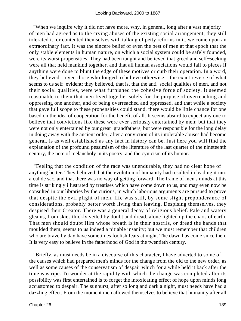"When we inquire why it did not have more, why, in general, long after a vast majority of men had agreed as to the crying abuses of the existing social arrangement, they still tolerated it, or contented themselves with talking of petty reforms in it, we come upon an extraordinary fact. It was the sincere belief of even the best of men at that epoch that the only stable elements in human nature, on which a social system could be safely founded, were its worst propensities. They had been taught and believed that greed and self−seeking were all that held mankind together, and that all human associations would fall to pieces if anything were done to blunt the edge of these motives or curb their operation. In a word, they believed – even those who longed to believe otherwise – the exact reverse of what seems to us self–evident; they believed, that is, that the anti–social qualities of men, and not their social qualities, were what furnished the cohesive force of society. It seemed reasonable to them that men lived together solely for the purpose of overreaching and oppressing one another, and of being overreached and oppressed, and that while a society that gave full scope to these propensities could stand, there would be little chance for one based on the idea of cooperation for the benefit of all. It seems absurd to expect any one to believe that convictions like these were ever seriously entertained by men; but that they were not only entertained by our great−grandfathers, but were responsible for the long delay in doing away with the ancient order, after a conviction of its intolerable abuses had become general, is as well established as any fact in history can be. Just here you will find the explanation of the profound pessimism of the literature of the last quarter of the nineteenth century, the note of melancholy in its poetry, and the cynicism of its humor.

 "Feeling that the condition of the race was unendurable, they had no clear hope of anything better. They believed that the evolution of humanity had resulted in leading it into a cul de sac, and that there was no way of getting forward. The frame of men's minds at this time is strikingly illustrated by treatises which have come down to us, and may even now be consulted in our libraries by the curious, in which laborious arguments are pursued to prove that despite the evil plight of men, life was still, by some slight preponderance of considerations, probably better worth living than leaving. Despising themselves, they despised their Creator. There was a general decay of religious belief. Pale and watery gleams, from skies thickly veiled by doubt and dread, alone lighted up the chaos of earth. That men should doubt Him whose breath is in their nostrils, or dread the hands that moulded them, seems to us indeed a pitiable insanity; but we must remember that children who are brave by day have sometimes foolish fears at night. The dawn has come since then. It is very easy to believe in the fatherhood of God in the twentieth century.

 "Briefly, as must needs be in a discourse of this character, I have adverted to some of the causes which had prepared men's minds for the change from the old to the new order, as well as some causes of the conservatism of despair which for a while held it back after the time was ripe. To wonder at the rapidity with which the change was completed after its possibility was first entertained is to forget the intoxicating effect of hope upon minds long accustomed to despair. The sunburst, after so long and dark a night, must needs have had a dazzling effect. From the moment men allowed themselves to believe that humanity after all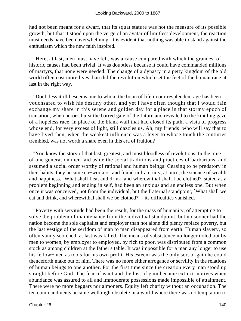had not been meant for a dwarf, that its squat stature was not the measure of its possible growth, but that it stood upon the verge of an avatar of limitless development, the reaction must needs have been overwhelming. It is evident that nothing was able to stand against the enthusiasm which the new faith inspired.

 "Here, at last, men must have felt, was a cause compared with which the grandest of historic causes had been trivial. It was doubtless because it could have commanded millions of martyrs, that none were needed. The change of a dynasty in a petty kingdom of the old world often cost more lives than did the revolution which set the feet of the human race at last in the right way.

 "Doubtless it ill beseems one to whom the boon of life in our resplendent age has been vouchsafed to wish his destiny other, and yet I have often thought that I would fain exchange my share in this serene and golden day for a place in that stormy epoch of transition, when heroes burst the barred gate of the future and revealed to the kindling gaze of a hopeless race, in place of the blank wall that had closed its path, a vista of progress whose end, for very excess of light, still dazzles us. Ah, my friends! who will say that to have lived then, when the weakest influence was a lever to whose touch the centuries trembled, was not worth a share even in this era of fruition?

 "You know the story of that last, greatest, and most bloodless of revolutions. In the time of one generation men laid aside the social traditions and practices of barbarians, and assumed a social order worthy of rational and human beings. Ceasing to be predatory in their habits, they became co−workers, and found in fraternity, at once, the science of wealth and happiness. `What shall I eat and drink, and wherewithal shall I be clothed?' stated as a problem beginning and ending in self, had been an anxious and an endless one. But when once it was conceived, not from the individual, but the fraternal standpoint, `What shall we eat and drink, and wherewithal shall we be clothed?' – its difficulties vanished.

 "Poverty with servitude had been the result, for the mass of humanity, of attempting to solve the problem of maintenance from the individual standpoint, but no sooner had the nation become the sole capitalist and employer than not alone did plenty replace poverty, but the last vestige of the serfdom of man to man disappeared from earth. Human slavery, so often vainly scotched, at last was killed. The means of subsistence no longer doled out by men to women, by employer to employed, by rich to poor, was distributed from a common stock as among children at the father's table. It was impossible for a man any longer to use his fellow−men as tools for his own profit. His esteem was the only sort of gain he could thenceforth make out of him. There was no more either arrogance or servility in the relations of human beings to one another. For the first time since the creation every man stood up straight before God. The fear of want and the lust of gain became extinct motives when abundance was assured to all and immoderate possessions made impossible of attainment. There were no more beggars nor almoners. Equity left charity without an occupation. The ten commandments became well nigh obsolete in a world where there was no temptation to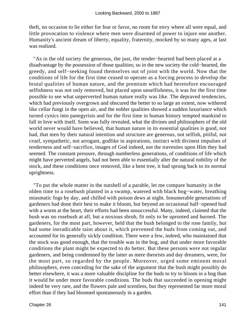theft, no occasion to lie either for fear or favor, no room for envy where all were equal, and little provocation to violence where men were disarmed of power to injure one another. Humanity's ancient dream of liberty, equality, fraternity, mocked by so many ages, at last was realized.

 "As in the old society the generous, the just, the tender−hearted had been placed at a disadvantage by the possession of those qualities; so in the new society the cold−hearted, the greedy, and self−seeking found themselves out of joint with the world. Now that the conditions of life for the first time ceased to operate as a forcing process to develop the brutal qualities of human nature, and the premium which had heretofore encouraged selfishness was not only removed, but placed upon unselfishness, it was for the first time possible to see what unperverted human nature really was like. The depraved tendencies, which had previously overgrown and obscured the better to so large an extent, now withered like cellar fungi in the open air, and the nobler qualities showed a sudden luxuriance which turned cynics into panegyrists and for the first time in human history tempted mankind to fall in love with itself. Soon was fully revealed, what the divines and philosophers of the old world never would have believed, that human nature in its essential qualities is good, not bad, that men by their natural intention and structure are generous, not selfish, pitiful, not cruel, sympathetic, not arrogant, godlike in aspirations, instinct with divinest impulses of tenderness and self−sacrifice, images of God indeed, not the travesties upon Him they had seemed. The constant pressure, through numberless generations, of conditions of life which might have perverted angels, had not been able to essentially alter the natural nobility of the stock, and these conditions once removed, like a bent tree, it had sprung back to its normal uprightness.

 "To put the whole matter in the nutshell of a parable, let me compare humanity in the olden time to a rosebush planted in a swamp, watered with black bog−water, breathing miasmatic fogs by day, and chilled with poison dews at night. Innumerable generations of gardeners had done their best to make it bloom, but beyond an occasional half−opened bud with a worm at the heart, their efforts had been unsuccessful. Many, indeed, claimed that the bush was no rosebush at all, but a noxious shrub, fit only to be uprooted and burned. The gardeners, for the most part, however, held that the bush belonged to the rose family, but had some ineradicable taint about it, which prevented the buds from coming out, and accounted for its generally sickly condition. There were a few, indeed, who maintained that the stock was good enough, that the trouble was in the bog, and that under more favorable conditions the plant might be expected to do better. But these persons were not regular gardeners, and being condemned by the latter as mere theorists and day dreamers, were, for the most part, so regarded by the people. Moreover, urged some eminent moral philosophers, even conceding for the sake of the argument that the bush might possibly do better elsewhere, it was a more valuable discipline for the buds to try to bloom in a bog than it would be under more favorable conditions. The buds that succeeded in opening might indeed be very rare, and the flowers pale and scentless, but they represented far more moral effort than if they had bloomed spontaneously in a garden.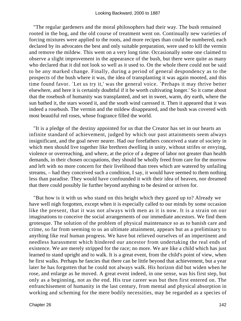"The regular gardeners and the moral philosophers had their way. The bush remained rooted in the bog, and the old course of treatment went on. Continually new varieties of forcing mixtures were applied to the roots, and more recipes than could be numbered, each declared by its advocates the best and only suitable preparation, were used to kill the vermin and remove the mildew. This went on a very long time. Occasionally some one claimed to observe a slight improvement in the appearance of the bush, but there were quite as many who declared that it did not look so well as it used to. On the whole there could not be said to be any marked change. Finally, during a period of general despondency as to the prospects of the bush where it was, the idea of transplanting it was again mooted, and this time found favor. `Let us try it,' was the general voice. `Perhaps it may thrive better elsewhere, and here it is certainly doubtful if it be worth cultivating longer.' So it came about that the rosebush of humanity was transplanted, and set in sweet, warm, dry earth, where the sun bathed it, the stars wooed it, and the south wind caressed it. Then it appeared that it was indeed a rosebush. The vermin and the mildew disappeared, and the bush was covered with most beautiful red roses, whose fragrance filled the world.

 "It is a pledge of the destiny appointed for us that the Creator has set in our hearts an infinite standard of achievement, judged by which our past attainments seem always insignificant, and the goal never nearer. Had our forefathers conceived a state of society in which men should live together like brethren dwelling in unity, without strifes or envying, violence or overreaching, and where, at the price of a degree of labor not greater than health demands, in their chosen occupations, they should be wholly freed from care for the morrow and left with no more concern for their livelihood than trees which are watered by unfailing streams, – had they conceived such a condition, I say, it would have seemed to them nothing less than paradise. They would have confounded it with their idea of heaven, nor dreamed that there could possibly lie further beyond anything to be desired or striven for.

 "But how is it with us who stand on this height which they gazed up to? Already we have well nigh forgotten, except when it is especially called to our minds by some occasion like the present, that it was not always with men as it is now. It is a strain on our imaginations to conceive the social arrangements of our immediate ancestors. We find them grotesque. The solution of the problem of physical maintenance so as to banish care and crime, so far from seeming to us an ultimate attainment, appears but as a preliminary to anything like real human progress. We have but relieved ourselves of an impertinent and needless harassment which hindered our ancestor from undertaking the real ends of existence. We are merely stripped for the race; no more. We are like a child which has just learned to stand upright and to walk. It is a great event, from the child's point of view, when he first walks. Perhaps he fancies that there can be little beyond that achievement, but a year later he has forgotten that he could not always walk. His horizon did but widen when he rose, and enlarge as he moved. A great event indeed, in one sense, was his first step, but only as a beginning, not as the end. His true career was but then first entered on. The enfranchisement of humanity in the last century, from mental and physical absorption in working and scheming for the mere bodily necessities, may be regarded as a species of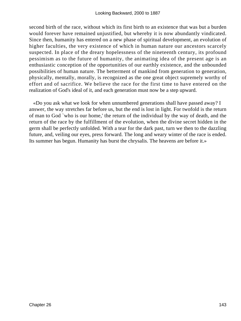second birth of the race, without which its first birth to an existence that was but a burden would forever have remained unjustified, but whereby it is now abundantly vindicated. Since then, humanity has entered on a new phase of spiritual development, an evolution of higher faculties, the very existence of which in human nature our ancestors scarcely suspected. In place of the dreary hopelessness of the nineteenth century, its profound pessimism as to the future of humanity, the animating idea of the present age is an enthusiastic conception of the opportunities of our earthly existence, and the unbounded possibilities of human nature. The betterment of mankind from generation to generation, physically, mentally, morally, is recognized as the one great object supremely worthy of effort and of sacrifice. We believe the race for the first time to have entered on the realization of God's ideal of it, and each generation must now be a step upward.

 «Do you ask what we look for when unnumbered generations shall have passed away? I answer, the way stretches far before us, but the end is lost in light. For twofold is the return of man to God `who is our home,' the return of the individual by the way of death, and the return of the race by the fulfillment of the evolution, when the divine secret hidden in the germ shall be perfectly unfolded. With a tear for the dark past, turn we then to the dazzling future, and, veiling our eyes, press forward. The long and weary winter of the race is ended. Its summer has begun. Humanity has burst the chrysalis. The heavens are before it.»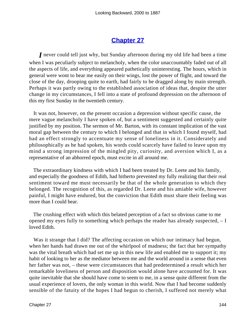## **[Chapter 27](#page-164-0)**

<span id="page-144-0"></span>*I* never could tell just why, but Sunday afternoon during my old life had been a time when I was peculiarly subject to melancholy, when the color unaccountably faded out of all the aspects of life, and everything appeared pathetically uninteresting. The hours, which in general were wont to bear me easily on their wings, lost the power of flight, and toward the close of the day, drooping quite to earth, had fairly to be dragged along by main strength. Perhaps it was partly owing to the established association of ideas that, despite the utter change in my circumstances, I fell into a state of profound depression on the afternoon of this my first Sunday in the twentieth century.

 It was not, however, on the present occasion a depression without specific cause, the mere vague melancholy I have spoken of, but a sentiment suggested and certainly quite justified by my position. The sermon of Mr. Barton, with its constant implication of the vast moral gap between the century to which I belonged and that in which I found myself, had had an effect strongly to accentuate my sense of loneliness in it. Considerately and philosophically as he had spoken, his words could scarcely have failed to leave upon my mind a strong impression of the mingled pity, curiosity, and aversion which I, as a representative of an abhorred epoch, must excite in all around me.

 The extraordinary kindness with which I had been treated by Dr. Leete and his family, and especially the goodness of Edith, had hitherto prevented my fully realizing that their real sentiment toward me must necessarily be that of the whole generation to which they belonged. The recognition of this, as regarded Dr. Leete and his amiable wife, however painful, I might have endured, but the conviction that Edith must share their feeling was more than I could bear.

 The crushing effect with which this belated perception of a fact so obvious came to me opened my eyes fully to something which perhaps the reader has already suspected, – I loved Edith.

Was it strange that I did? The affecting occasion on which our intimacy had begun, when her hands had drawn me out of the whirlpool of madness; the fact that her sympathy was the vital breath which had set me up in this new life and enabled me to support it; my habit of looking to her as the mediator between me and the world around in a sense that even her father was not, – these were circumstances that had predetermined a result which her remarkable loveliness of person and disposition would alone have accounted for. It was quite inevitable that she should have come to seem to me, in a sense quite different from the usual experience of lovers, the only woman in this world. Now that I had become suddenly sensible of the fatuity of the hopes I had begun to cherish, I suffered not merely what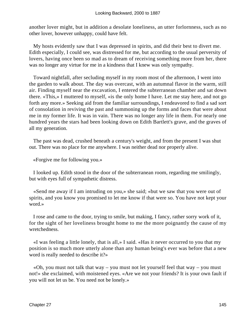another lover might, but in addition a desolate loneliness, an utter forlornness, such as no other lover, however unhappy, could have felt.

 My hosts evidently saw that I was depressed in spirits, and did their best to divert me. Edith especially, I could see, was distressed for me, but according to the usual perversity of lovers, having once been so mad as to dream of receiving something more from her, there was no longer any virtue for me in a kindness that I knew was only sympathy.

 Toward nightfall, after secluding myself in my room most of the afternoon, I went into the garden to walk about. The day was overcast, with an autumnal flavor in the warm, still air. Finding myself near the excavation, I entered the subterranean chamber and sat down there. «This,» I muttered to myself, «is the only home I have. Let me stay here, and not go forth any more.» Seeking aid from the familiar surroundings, I endeavored to find a sad sort of consolation in reviving the past and summoning up the forms and faces that were about me in my former life. It was in vain. There was no longer any life in them. For nearly one hundred years the stars had been looking down on Edith Bartlett's grave, and the graves of all my generation.

 The past was dead, crushed beneath a century's weight, and from the present I was shut out. There was no place for me anywhere. I was neither dead nor properly alive.

«Forgive me for following you.»

 I looked up. Edith stood in the door of the subterranean room, regarding me smilingly, but with eyes full of sympathetic distress.

 «Send me away if I am intruding on you,» she said; «but we saw that you were out of spirits, and you know you promised to let me know if that were so. You have not kept your word.»

 I rose and came to the door, trying to smile, but making, I fancy, rather sorry work of it, for the sight of her loveliness brought home to me the more poignantly the cause of my wretchedness.

 «I was feeling a little lonely, that is all,» I said. «Has it never occurred to you that my position is so much more utterly alone than any human being's ever was before that a new word is really needed to describe it?»

 «Oh, you must not talk that way – you must not let yourself feel that way – you must not!» she exclaimed, with moistened eyes. «Are we not your friends? It is your own fault if you will not let us be. You need not be lonely.»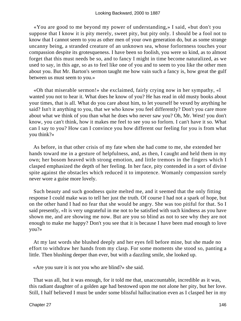«You are good to me beyond my power of understanding,» I said, «but don't you suppose that I know it is pity merely, sweet pity, but pity only. I should be a fool not to know that I cannot seem to you as other men of your own generation do, but as some strange uncanny being, a stranded creature of an unknown sea, whose forlornness touches your compassion despite its grotesqueness. I have been so foolish, you were so kind, as to almost forget that this must needs be so, and to fancy I might in time become naturalized, as we used to say, in this age, so as to feel like one of you and to seem to you like the other men about you. But Mr. Barton's sermon taught me how vain such a fancy is, how great the gulf between us must seem to you.»

 «Oh that miserable sermon!» she exclaimed, fairly crying now in her sympathy, «I wanted you not to hear it. What does he know of you? He has read in old musty books about your times, that is all. What do you care about him, to let yourself be vexed by anything he said? Isn't it anything to you, that we who know you feel differently? Don't you care more about what we think of you than what he does who never saw you? Oh, Mr. West! you don't know, you can't think, how it makes me feel to see you so forlorn. I can't have it so. What can I say to you? How can I convince you how different our feeling for you is from what you think?»

 As before, in that other crisis of my fate when she had come to me, she extended her hands toward me in a gesture of helpfulness, and, as then, I caught and held them in my own; her bosom heaved with strong emotion, and little tremors in the fingers which I clasped emphasized the depth of her feeling. In her face, pity contended in a sort of divine spite against the obstacles which reduced it to impotence. Womanly compassion surely never wore a guise more lovely.

 Such beauty and such goodness quite melted me, and it seemed that the only fitting response I could make was to tell her just the truth. Of course I had not a spark of hope, but on the other hand I had no fear that she would be angry. She was too pitiful for that. So I said presently, «It is very ungrateful in me not to be satisfied with such kindness as you have shown me, and are showing me now. But are you so blind as not to see why they are not enough to make me happy? Don't you see that it is because I have been mad enough to love you?»

 At my last words she blushed deeply and her eyes fell before mine, but she made no effort to withdraw her hands from my clasp. For some moments she stood so, panting a little. Then blushing deeper than ever, but with a dazzling smile, she looked up.

«Are you sure it is not you who are blind?» she said.

 That was all, but it was enough, for it told me that, unaccountable, incredible as it was, this radiant daughter of a golden age had bestowed upon me not alone her pity, but her love. Still, I half believed I must be under some blissful hallucination even as I clasped her in my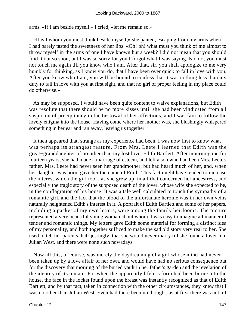arms. «If I am beside myself,» I cried, «let me remain so.»

 «It is I whom you must think beside myself,» she panted, escaping from my arms when I had barely tasted the sweetness of her lips. «Oh! oh! what must you think of me almost to throw myself in the arms of one I have known but a week? I did not mean that you should find it out so soon, but I was so sorry for you I forgot what I was saying. No, no; you must not touch me again till you know who I am. After that, sir, you shall apologize to me very humbly for thinking, as I know you do, that I have been over quick to fall in love with you. After you know who I am, you will be bound to confess that it was nothing less than my duty to fall in love with you at first sight, and that no girl of proper feeling in my place could do otherwise.»

 As may be supposed, I would have been quite content to waive explanations, but Edith was resolute that there should be no more kisses until she had been vindicated from all suspicion of precipitancy in the bestowal of her affections, and I was fain to follow the lovely enigma into the house. Having come where her mother was, she blushingly whispered something in her ear and ran away, leaving us together.

 It then appeared that, strange as my experience had been, I was now first to know what was perhaps its strangest feature. From Mrs. Leete I learned that Edith was the great−granddaughter of no other than my lost love, Edith Bartlett. After mourning me for fourteen years, she had made a marriage of esteem, and left a son who had been Mrs. Leete's father. Mrs. Leete had never seen her grandmother, but had heard much of her, and, when her daughter was born, gave her the name of Edith. This fact might have tended to increase the interest which the girl took, as she grew up, in all that concerned her ancestress, and especially the tragic story of the supposed death of the lover, whose wife she expected to be, in the conflagration of his house. It was a tale well calculated to touch the sympathy of a romantic girl, and the fact that the blood of the unfortunate heroine was in her own veins naturally heightened Edith's interest in it. A portrait of Edith Bartlett and some of her papers, including a packet of my own letters, were among the family heirlooms. The picture represented a very beautiful young woman about whom it was easy to imagine all manner of tender and romantic things. My letters gave Edith some material for forming a distinct idea of my personality, and both together sufficed to make the sad old story very real to her. She used to tell her parents, half jestingly, that she would never marry till she found a lover like Julian West, and there were none such nowadays.

 Now all this, of course, was merely the daydreaming of a girl whose mind had never been taken up by a love affair of her own, and would have had no serious consequence but for the discovery that morning of the buried vault in her father's garden and the revelation of the identity of its inmate. For when the apparently lifeless form had been borne into the house, the face in the locket found upon the breast was instantly recognized as that of Edith Bartlett, and by that fact, taken in connection with the other circumstances, they knew that I was no other than Julian West. Even had there been no thought, as at first there was not, of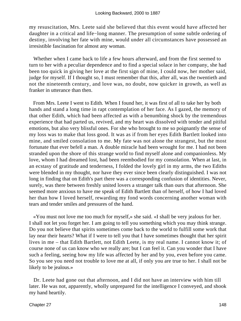my resuscitation, Mrs. Leete said she believed that this event would have affected her daughter in a critical and life−long manner. The presumption of some subtle ordering of destiny, involving her fate with mine, would under all circumstances have possessed an irresistible fascination for almost any woman.

 Whether when I came back to life a few hours afterward, and from the first seemed to turn to her with a peculiar dependence and to find a special solace in her company, she had been too quick in giving her love at the first sign of mine, I could now, her mother said, judge for myself. If I thought so, I must remember that this, after all, was the twentieth and not the nineteenth century, and love was, no doubt, now quicker in growth, as well as franker in utterance than then.

 From Mrs. Leete I went to Edith. When I found her, it was first of all to take her by both hands and stand a long time in rapt contemplation of her face. As I gazed, the memory of that other Edith, which had been affected as with a benumbing shock by the tremendous experience that had parted us, revived, and my heart was dissolved with tender and pitiful emotions, but also very blissful ones. For she who brought to me so poignantly the sense of my loss was to make that loss good. It was as if from her eyes Edith Bartlett looked into mine, and smiled consolation to me. My fate was not alone the strangest, but the most fortunate that ever befell a man. A double miracle had been wrought for me. I had not been stranded upon the shore of this strange world to find myself alone and companionless. My love, whom I had dreamed lost, had been reembodied for my consolation. When at last, in an ecstasy of gratitude and tenderness, I folded the lovely girl in my arms, the two Ediths were blended in my thought, nor have they ever since been clearly distinguished. I was not long in finding that on Edith's part there was a corresponding confusion of identities. Never, surely, was there between freshly united lovers a stranger talk than ours that afternoon. She seemed more anxious to have me speak of Edith Bartlett than of herself, of how I had loved her than how I loved herself, rewarding my fond words concerning another woman with tears and tender smiles and pressures of the hand.

 «You must not love me too much for myself,» she said. «I shall be very jealous for her. I shall not let you forget her. I am going to tell you something which you may think strange. Do you not believe that spirits sometimes come back to the world to fulfill some work that lay near their hearts? What if I were to tell you that I have sometimes thought that her spirit lives in me – that Edith Bartlett, not Edith Leete, is my real name. I cannot know it; of course none of us can know who we really are; but I can feel it. Can you wonder that I have such a feeling, seeing how my life was affected by her and by you, even before you came. So you see you need not trouble to love me at all, if only you are true to her. I shall not be likely to be jealous.»

 Dr. Leete had gone out that afternoon, and I did not have an interview with him till later. He was not, apparently, wholly unprepared for the intelligence I conveyed, and shook my hand heartily.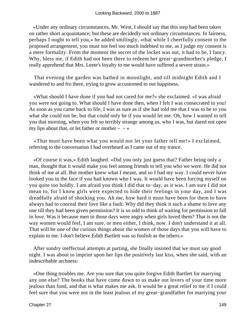«Under any ordinary circumstances, Mr. West, I should say that this step had been taken on rather short acquaintance; but these are decidedly not ordinary circumstances. In fairness, perhaps I ought to tell you,» he added smilingly, «that while I cheerfully consent to the proposed arrangement, you must not feel too much indebted to me, as I judge my consent is a mere formality. From the moment the secret of the locket was out, it had to be, I fancy. Why, bless me, if Edith had not been there to redeem her great−grandmother's pledge, I really apprehend that Mrs. Leete's loyalty to me would have suffered a severe strain.»

 That evening the garden was bathed in moonlight, and till midnight Edith and I wandered to and fro there, trying to grow accustomed to our happiness.

 «What should I have done if you had not cared for me?» she exclaimed. «I was afraid you were not going to. What should I have done then, when I felt I was consecrated to you! As soon as you came back to life, I was as sure as if she had told me that I was to be to you what she could not be, but that could only be if you would let me. Oh, how I wanted to tell you that morning, when you felt so terribly strange among us, who I was, but dared not open my lips about that, or let father or mother  $- - \infty$ 

 «That must have been what you would not let your father tell me!» I exclaimed, referring to the conversation I had overheard as I came out of my trance.

 «Of course it was,» Edith laughed. «Did you only just guess that? Father being only a man, thought that it would make you feel among friends to tell you who we were. He did not think of me at all. But mother knew what I meant, and so I had my way. I could never have looked you in the face if you had known who I was. It would have been forcing myself on you quite too boldly. I am afraid you think I did that to−day, as it was. I am sure I did not mean to, for I know girls were expected to hide their feelings in your day, and I was dreadfully afraid of shocking you. Ah me, how hard it must have been for them to have always had to conceal their love like a fault. Why did they think it such a shame to love any one till they had been given permission? It is so odd to think of waiting for permission to fall in love. Was it because men in those days were angry when girls loved them? That is not the way women would feel, I am sure, or men either, I think, now. I don't understand it at all. That will be one of the curious things about the women of those days that you will have to explain to me. I don't believe Edith Bartlett was so foolish as the others.»

 After sundry ineffectual attempts at parting, she finally insisted that we must say good night. I was about to imprint upon her lips the positively last kiss, when she said, with an indescribable archness:

 «One thing troubles me. Are you sure that you quite forgive Edith Bartlett for marrying any one else? The books that have come down to us make out lovers of your time more jealous than fond, and that is what makes me ask. It would be a great relief to me if I could feel sure that you were not in the least jealous of my great−grandfather for marrying your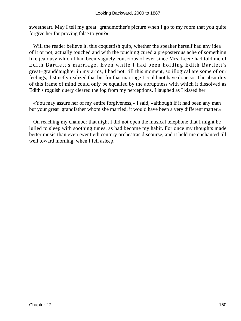sweetheart. May I tell my great−grandmother's picture when I go to my room that you quite forgive her for proving false to you?»

Will the reader believe it, this coquettish quip, whether the speaker herself had any idea of it or not, actually touched and with the touching cured a preposterous ache of something like jealousy which I had been vaguely conscious of ever since Mrs. Leete had told me of Edith Bartlett's marriage. Even while I had been holding Edith Bartlett's great−granddaughter in my arms, I had not, till this moment, so illogical are some of our feelings, distinctly realized that but for that marriage I could not have done so. The absurdity of this frame of mind could only be equalled by the abruptness with which it dissolved as Edith's roguish query cleared the fog from my perceptions. I laughed as I kissed her.

 «You may assure her of my entire forgiveness,» I said, «although if it had been any man but your great−grandfather whom she married, it would have been a very different matter.»

 On reaching my chamber that night I did not open the musical telephone that I might be lulled to sleep with soothing tunes, as had become my habit. For once my thoughts made better music than even twentieth century orchestras discourse, and it held me enchanted till well toward morning, when I fell asleep.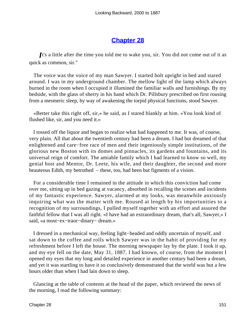## **[Chapter 28](#page-164-0)**

<span id="page-151-0"></span>*I*t's a little after the time you told me to wake you, sir. You did not come out of it as quick as common, sir."

 The voice was the voice of my man Sawyer. I started bolt upright in bed and stared around. I was in my underground chamber. The mellow light of the lamp which always burned in the room when I occupied it illumined the familiar walls and furnishings. By my bedside, with the glass of sherry in his hand which Dr. Pillsbury prescribed on first rousing from a mesmeric sleep, by way of awakening the torpid physical functions, stood Sawyer.

 «Better take this right off, sir,» he said, as I stared blankly at him. «You look kind of flushed like, sir, and you need it.»

 I tossed off the liquor and began to realize what had happened to me. It was, of course, very plain. All that about the twentieth century had been a dream. I had but dreamed of that enlightened and care−free race of men and their ingeniously simple institutions, of the glorious new Boston with its domes and pinnacles, its gardens and fountains, and its universal reign of comfort. The amiable family which I had learned to know so well, my genial host and Mentor, Dr. Leete, his wife, and their daughter, the second and more beauteous Edith, my betrothed – these, too, had been but figments of a vision.

 For a considerable time I remained in the attitude in which this conviction had come over me, sitting up in bed gazing at vacancy, absorbed in recalling the scenes and incidents of my fantastic experience. Sawyer, alarmed at my looks, was meanwhile anxiously inquiring what was the matter with me. Roused at length by his importunities to a recognition of my surroundings, I pulled myself together with an effort and assured the faithful fellow that I was all right. «I have had an extraordinary dream, that's all, Sawyer,» I said, «a most−ex−traor−dinary− dream.»

 I dressed in a mechanical way, feeling light−headed and oddly uncertain of myself, and sat down to the coffee and rolls which Sawyer was in the habit of providing for my refreshment before I left the house. The morning newspaper lay by the plate. I took it up, and my eye fell on the date, May 31, 1887. I had known, of course, from the moment I opened my eyes that my long and detailed experience in another century had been a dream, and yet it was startling to have it so conclusively demonstrated that the world was but a few hours older than when I had lain down to sleep.

 Glancing at the table of contents at the head of the paper, which reviewed the news of the morning, I read the following summary: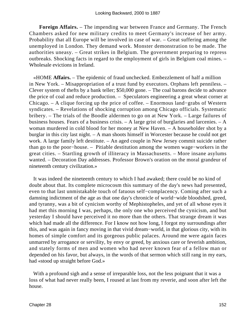**Foreign Affairs.** – The impending war between France and Germany. The French Chambers asked for new military credits to meet Germany's increase of her army. Probability that all Europe will be involved in case of war. – Great suffering among the unemployed in London. They demand work. Monster demonstration to be made. The authorities uneasy. – Great strikes in Belgium. The government preparing to repress outbreaks. Shocking facts in regard to the employment of girls in Belgium coal mines. – Wholesale evictions in Ireland.

 «HOME **Affairs.** – The epidemic of fraud unchecked. Embezzlement of half a million in New York. – Misappropriation of a trust fund by executors. Orphans left penniless. – Clever system of thefts by a bank teller; \$50,000 gone. – The coal barons decide to advance the price of coal and reduce production. – Speculators engineering a great wheat corner at Chicago. – A clique forcing up the price of coffee. – Enormous land−grabs of Western syndicates. – Revelations of shocking corruption among Chicago officials. Systematic bribery. – The trials of the Boodle aldermen to go on at New York. – Large failures of business houses. Fears of a business crisis. – A large grist of burglaries and larcenies. – A woman murdered in cold blood for her money at New Haven. – A householder shot by a burglar in this city last night. – A man shoots himself in Worcester because he could not get work. A large family left destitute. – An aged couple in New Jersey commit suicide rather than go to the poor−house. – Pitiable destitution among the women wage−workers in the great cities. – Startling growth of illiteracy in Massachusetts. – More insane asylums wanted. – Decoration Day addresses. Professor Brown's oration on the moral grandeur of nineteenth century civilization.»

 It was indeed the nineteenth century to which I had awaked; there could be no kind of doubt about that. Its complete microcosm this summary of the day's news had presented, even to that last unmistakable touch of fatuous self−complacency. Coming after such a damning indictment of the age as that one day's chronicle of world−wide bloodshed, greed, and tyranny, was a bit of cynicism worthy of Mephistopheles, and yet of all whose eyes it had met this morning I was, perhaps, the only one who perceived the cynicism, and but yesterday I should have perceived it no more than the others. That strange dream it was which had made all the difference. For I know not how long, I forgot my surroundings after this, and was again in fancy moving in that vivid dream−world, in that glorious city, with its homes of simple comfort and its gorgeous public palaces. Around me were again faces unmarred by arrogance or servility, by envy or greed, by anxious care or feverish ambition, and stately forms of men and women who had never known fear of a fellow man or depended on his favor, but always, in the words of that sermon which still rang in my ears, had «stood up straight before God.»

With a profound sigh and a sense of irreparable loss, not the less poignant that it was a loss of what had never really been, I roused at last from my reverie, and soon after left the house.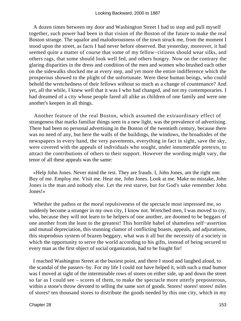A dozen times between my door and Washington Street I had to stop and pull myself together, such power had been in that vision of the Boston of the future to make the real Boston strange. The squalor and malodorousness of the town struck me, from the moment I stood upon the street, as facts I had never before observed. But yesterday, moreover, it had seemed quite a matter of course that some of my fellow−citizens should wear silks, and others rags, that some should look well fed, and others hungry. Now on the contrary the glaring disparities in the dress and condition of the men and women who brushed each other on the sidewalks shocked me at every step, and yet more the entire indifference which the prosperous showed to the plight of the unfortunate. Were these human beings, who could behold the wretchedness of their fellows without so much as a change of countenance? And yet, all the while, I knew well that it was I who had changed, and not my contemporaries. I had dreamed of a city whose people fared all alike as children of one family and were one another's keepers in all things.

 Another feature of the real Boston, which assumed the extraordinary effect of strangeness that marks familiar things seen in a new light, was the prevalence of advertising. There had been no personal advertising in the Boston of the twentieth century, because there was no need of any, but here the walls of the buildings, the windows, the broadsides of the newspapers in every hand, the very pavements, everything in fact in sight, save the sky, were covered with the appeals of individuals who sought, under innumerable pretexts, to attract the contributions of others to their support. However the wording might vary, the tenor of all these appeals was the same:

 «Help John Jones. Never mind the rest. They are frauds. I, John Jones, am the right one. Buy of me. Employ me. Visit me. Hear me, John Jones. Look at me. Make no mistake, John Jones is the man and nobody else. Let the rest starve, but for God's sake remember John Jones!»

 Whether the pathos or the moral repulsiveness of the spectacle most impressed me, so suddenly become a stranger in my own city, I know not. Wretched men, I was moved to cry, who, because they will not learn to be helpers of one another, are doomed to be beggars of one another from the least to the greatest! This horrible babel of shameless self−assertion and mutual depreciation, this stunning clamor of conflicting boasts, appeals, and adjurations, this stupendous system of brazen beggary, what was it all but the necessity of a society in which the opportunity to serve the world according to his gifts, instead of being secured to every man as the first object of social organization, had to be fought for!

 I reached Washington Street at the busiest point, and there I stood and laughed aloud, to the scandal of the passers−by. For my life I could not have helped it, with such a mad humor was I moved at sight of the interminable rows of stores on either side, up and down the street so far as I could see – scores of them, to make the spectacle more utterly preposterous, within a stone's throw devoted to selling the same sort of goods. Stores! stores! stores! miles of stores! ten thousand stores to distribute the goods needed by this one city, which in my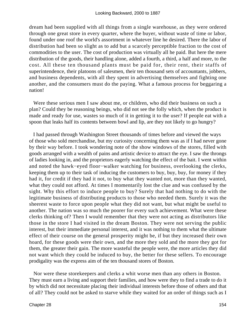dream had been supplied with all things from a single warehouse, as they were ordered through one great store in every quarter, where the buyer, without waste of time or labor, found under one roof the world's assortment in whatever line he desired. There the labor of distribution had been so slight as to add but a scarcely perceptible fraction to the cost of commodities to the user. The cost of production was virtually all he paid. But here the mere distribution of the goods, their handling alone, added a fourth, a third, a half and more, to the cost. All these ten thousand plants must be paid for, their rent, their staffs of superintendence, their platoons of salesmen, their ten thousand sets of accountants, jobbers, and business dependents, with all they spent in advertising themselves and fighting one another, and the consumers must do the paying. What a famous process for beggaring a nation!

 Were these serious men I saw about me, or children, who did their business on such a plan? Could they be reasoning beings, who did not see the folly which, when the product is made and ready for use, wastes so much of it in getting it to the user? If people eat with a spoon that leaks half its contents between bowl and lip, are they not likely to go hungry?

 I had passed through Washington Street thousands of times before and viewed the ways of those who sold merchandise, but my curiosity concerning them was as if I had never gone by their way before. I took wondering note of the show windows of the stores, filled with goods arranged with a wealth of pains and artistic device to attract the eye. I saw the throngs of ladies looking in, and the proprietors eagerly watching the effect of the bait. I went within and noted the hawk−eyed floor−walker watching for business, overlooking the clerks, keeping them up to their task of inducing the customers to buy, buy, buy, for money if they had it, for credit if they had it not, to buy what they wanted not, more than they wanted, what they could not afford. At times I momentarily lost the clue and was confused by the sight. Why this effort to induce people to buy? Surely that had nothing to do with the legitimate business of distributing products to those who needed them. Surely it was the sheerest waste to force upon people what they did not want, but what might be useful to another. The nation was so much the poorer for every such achievement. What were these clerks thinking of? Then I would remember that they were not acting as distributors like those in the store I had visited in the dream Boston. They were not serving the public interest, but their immediate personal interest, and it was nothing to them what the ultimate effect of their course on the general prosperity might be, if but they increased their own hoard, for these goods were their own, and the more they sold and the more they got for them, the greater their gain. The more wasteful the people were, the more articles they did not want which they could be induced to buy, the better for these sellers. To encourage prodigality was the express aim of the ten thousand stores of Boston.

 Nor were these storekeepers and clerks a whit worse men than any others in Boston. They must earn a living and support their families, and how were they to find a trade to do it by which did not necessitate placing their individual interests before those of others and that of all? They could not be asked to starve while they waited for an order of things such as I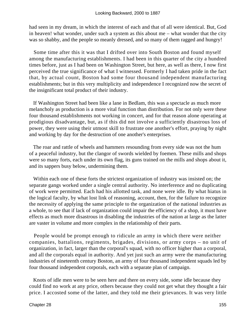had seen in my dream, in which the interest of each and that of all were identical. But, God in heaven! what wonder, under such a system as this about me – what wonder that the city was so shabby, and the people so meanly dressed, and so many of them ragged and hungry!

 Some time after this it was that I drifted over into South Boston and found myself among the manufacturing establishments. I had been in this quarter of the city a hundred times before, just as I had been on Washington Street, but here, as well as there, I now first perceived the true significance of what I witnessed. Formerly I had taken pride in the fact that, by actual count, Boston had some four thousand independent manufacturing establishments; but in this very multiplicity and independence I recognized now the secret of the insignificant total product of their industry.

 If Washington Street had been like a lane in Bedlam, this was a spectacle as much more melancholy as production is a more vital function than distribution. For not only were these four thousand establishments not working in concert, and for that reason alone operating at prodigious disadvantage, but, as if this did not involve a sufficiently disastrous loss of power, they were using their utmost skill to frustrate one another's effort, praying by night and working by day for the destruction of one another's enterprises.

 The roar and rattle of wheels and hammers resounding from every side was not the hum of a peaceful industry, but the clangor of swords wielded by foemen. These mills and shops were so many forts, each under its own flag, its guns trained on the mills and shops about it, and its sappers busy below, undermining them.

 Within each one of these forts the strictest organization of industry was insisted on; the separate gangs worked under a single central authority. No interference and no duplicating of work were permitted. Each had his allotted task, and none were idle. By what hiatus in the logical faculty, by what lost link of reasoning, account, then, for the failure to recognize the necessity of applying the same principle to the organization of the national industries as a whole, to see that if lack of organization could impair the efficiency of a shop, it must have effects as much more disastrous in disabling the industries of the nation at large as the latter are vaster in volume and more complex in the relationship of their parts.

 People would be prompt enough to ridicule an army in which there were neither companies, battalions, regiments, brigades, divisions, or army corps – no unit of organization, in fact, larger than the corporal's squad, with no officer higher than a corporal, and all the corporals equal in authority. And yet just such an army were the manufacturing industries of nineteenth century Boston, an army of four thousand independent squads led by four thousand independent corporals, each with a separate plan of campaign.

 Knots of idle men were to be seen here and there on every side, some idle because they could find no work at any price, others because they could not get what they thought a fair price. I accosted some of the latter, and they told me their grievances. It was very little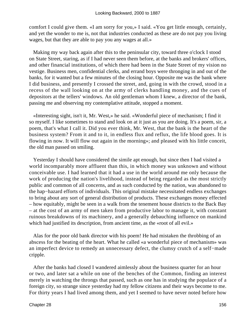comfort I could give them. «I am sorry for you,» I said. «You get little enough, certainly, and yet the wonder to me is, not that industries conducted as these are do not pay you living wages, but that they are able to pay you any wages at all.»

 Making my way back again after this to the peninsular city, toward three o'clock I stood on State Street, staring, as if I had never seen them before, at the banks and brokers' offices, and other financial institutions, of which there had been in the State Street of my vision no vestige. Business men, confidential clerks, and errand boys were thronging in and out of the banks, for it wanted but a few minutes of the closing hour. Opposite me was the bank where I did business, and presently I crossed the street, and, going in with the crowd, stood in a recess of the wall looking on at the army of clerks handling money, and the cues of depositors at the tellers' windows. An old gentleman whom I knew, a director of the bank, passing me and observing my contemplative attitude, stopped a moment.

 «Interesting sight, isn't it, Mr. West,» he said. «Wonderful piece of mechanism; I find it so myself. I like sometimes to stand and look on at it just as you are doing. It's a poem, sir, a poem, that's what I call it. Did you ever think, Mr. West, that the bank is the heart of the business system? From it and to it, in endless flux and reflux, the life blood goes. It is flowing in now. It will flow out again in the morning»; and pleased with his little conceit, the old man passed on smiling.

 Yesterday I should have considered the simile apt enough, but since then I had visited a world incomparably more affluent than this, in which money was unknown and without conceivable use. I had learned that it had a use in the world around me only because the work of producing the nation's livelihood, instead of being regarded as the most strictly public and common of all concerns, and as such conducted by the nation, was abandoned to the hap−hazard efforts of individuals. This original mistake necessitated endless exchanges to bring about any sort of general distribution of products. These exchanges money effected – how equitably, might be seen in a walk from the tenement house districts to the Back Bay – at the cost of an army of men taken from productive labor to manage it, with constant ruinous breakdowns of its machinery, and a generally debauching influence on mankind which had justified its description, from ancient time, as the «root of all evil.»

 Alas for the poor old bank director with his poem! He had mistaken the throbbing of an abscess for the beating of the heart. What he called «a wonderful piece of mechanism» was an imperfect device to remedy an unnecessary defect, the clumsy crutch of a self−made cripple.

 After the banks had closed I wandered aimlessly about the business quarter for an hour or two, and later sat a while on one of the benches of the Common, finding an interest merely in watching the throngs that passed, such as one has in studying the populace of a foreign city, so strange since yesterday had my fellow citizens and their ways become to me. For thirty years I had lived among them, and yet I seemed to have never noted before how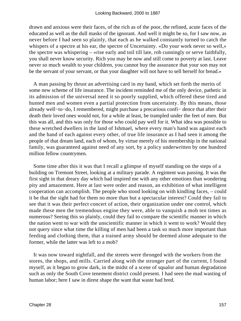drawn and anxious were their faces, of the rich as of the poor, the refined, acute faces of the educated as well as the dull masks of the ignorant. And well it might be so, for I saw now, as never before I had seen so plainly, that each as he walked constantly turned to catch the whispers of a spectre at his ear, the spectre of Uncertainty. «Do your work never so well,» the spectre was whispering – «rise early and toil till late, rob cunningly or serve faithfully, you shall never know security. Rich you may be now and still come to poverty at last. Leave never so much wealth to your children, you cannot buy the assurance that your son may not be the servant of your servant, or that your daughter will not have to sell herself for bread.»

 A man passing by thrust an advertising card in my hand, which set forth the merits of some new scheme of life insurance. The incident reminded me of the only device, pathetic in its admission of the universal need it so poorly supplied, which offered these tired and hunted men and women even a partial protection from uncertainty. By this means, those already well−to−do, I remembered, might purchase a precarious confi− dence that after their death their loved ones would not, for a while at least, be trampled under the feet of men. But this was all, and this was only for those who could pay well for it. What idea was possible to these wretched dwellers in the land of Ishmael, where every man's hand was against each and the hand of each against every other, of true life insurance as I had seen it among the people of that dream land, each of whom, by virtue merely of his membership in the national family, was guaranteed against need of any sort, by a policy underwritten by one hundred million fellow countrymen.

 Some time after this it was that I recall a glimpse of myself standing on the steps of a building on Tremont Street, looking at a military parade. A regiment was passing. It was the first sight in that dreary day which had inspired me with any other emotions than wondering pity and amazement. Here at last were order and reason, an exhibition of what intelligent cooperation can accomplish. The people who stood looking on with kindling faces, – could it be that the sight had for them no more than but a spectacular interest? Could they fail to see that it was their perfect concert of action, their organization under one control, which made these men the tremendous engine they were, able to vanquish a mob ten times as numerous? Seeing this so plainly, could they fail to compare the scientific manner in which the nation went to war with the unscientific manner in which it went to work? Would they not query since what time the killing of men had been a task so much more important than feeding and clothing them, that a trained army should be deemed alone adequate to the former, while the latter was left to a mob?

 It was now toward nightfall, and the streets were thronged with the workers from the stores, the shops, and mills. Carried along with the stronger part of the current, I found myself, as it began to grow dark, in the midst of a scene of squalor and human degradation such as only the South Cove tenement district could present. I had seen the mad wasting of human labor; here I saw in direst shape the want that waste had bred.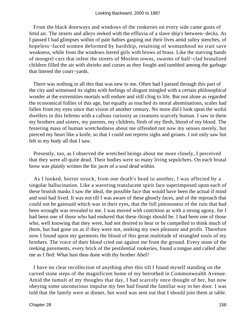From the black doorways and windows of the rookeries on every side came gusts of fetid air. The streets and alleys reeked with the effluvia of a slave ship's between−decks. As I passed I had glimpses within of pale babies gasping out their lives amid sultry stenches, of hopeless−faced women deformed by hardship, retaining of womanhood no trait save weakness, while from the windows leered girls with brows of brass. Like the starving bands of mongrel curs that infest the streets of Moslem towns, swarms of half−clad brutalized children filled the air with shrieks and curses as they fought and tumbled among the garbage that littered the court−yards.

 There was nothing in all this that was new to me. Often had I passed through this part of the city and witnessed its sights with feelings of disgust mingled with a certain philosophical wonder at the extremities mortals will endure and still cling to life. But not alone as regarded the economical follies of this age, but equally as touched its moral abominations, scales had fallen from my eyes since that vision of another century. No more did I look upon the woful dwellers in this Inferno with a callous curiosity as creatures scarcely human. I saw in them my brothers and sisters, my parents, my children, flesh of my flesh, blood of my blood. The festering mass of human wretchedness about me offended not now my senses merely, but pierced my heart like a knife, so that I could not repress sighs and groans. I not only saw but felt in my body all that I saw.

 Presently, too, as I observed the wretched beings about me more closely, I perceived that they were all quite dead. Their bodies were so many living sepulchres. On each brutal brow was plainly written the hic jacet of a soul dead within.

 As I looked, horror struck, from one death's head to another, I was affected by a singular hallucination. Like a wavering translucent spirit face superimposed upon each of these brutish masks I saw the ideal, the possible face that would have been the actual if mind and soul had lived. It was not till I was aware of these ghostly faces, and of the reproach that could not be gainsaid which was in their eyes, that the full piteousness of the ruin that had been wrought was revealed to me. I was moved with contrition as with a strong agony, for I had been one of those who had endured that these things should be. I had been one of those who, well knowing that they were, had not desired to hear or be compelled to think much of them, but had gone on as if they were not, seeking my own pleasure and profit. Therefore now I found upon my garments the blood of this great multitude of strangled souls of my brothers. The voice of their blood cried out against me from the ground. Every stone of the reeking pavements, every brick of the pestilential rookeries, found a tongue and called after me as I fled: What hast thou done with thy brother Abel?

 I have no clear recollection of anything after this till I found myself standing on the carved stone steps of the magnificent home of my betrothed in Commonwealth Avenue. Amid the tumult of my thoughts that day, I had scarcely once thought of her, but now obeying some unconscious impulse my feet had found the familiar way to her door. I was told that the family were at dinner, but word was sent out that I should join them at table.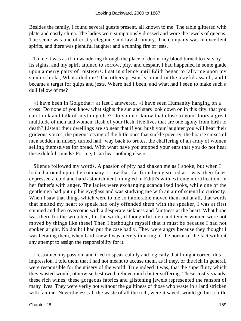Besides the family, I found several guests present, all known to me. The table glittered with plate and costly china. The ladies were sumptuously dressed and wore the jewels of queens. The scene was one of costly elegance and lavish luxury. The company was in excellent spirits, and there was plentiful laughter and a running fire of jests.

 To me it was as if, in wandering through the place of doom, my blood turned to tears by its sights, and my spirit attuned to sorrow, pity, and despair, I had happened in some glade upon a merry party of roisterers. I sat in silence until Edith began to rally me upon my sombre looks, What ailed me? The others presently joined in the playful assault, and I became a target for quips and jests. Where had I been, and what had I seen to make such a dull fellow of me?

 «I have been in Golgotha,» at last I answered. «I have seen Humanity hanging on a cross! Do none of you know what sights the sun and stars look down on in this city, that you can think and talk of anything else? Do you not know that close to your doors a great multitude of men and women, flesh of your flesh, live lives that are one agony from birth to death? Listen! their dwellings are so near that if you hush your laughter you will hear their grievous voices, the piteous crying of the little ones that suckle poverty, the hoarse curses of men sodden in misery turned half−way back to brutes, the chaffering of an army of women selling themselves for bread. With what have you stopped your ears that you do not hear these doleful sounds? For me, I can hear nothing else.»

 Silence followed my words. A passion of pity had shaken me as I spoke, but when I looked around upon the company, I saw that, far from being stirred as I was, their faces expressed a cold and hard astonishment, mingled in Edith's with extreme mortification, in her father's with anger. The ladies were exchanging scandalized looks, while one of the gentlemen had put up his eyeglass and was studying me with an air of scientific curiosity. When I saw that things which were to me so intolerable moved them not at all, that words that melted my heart to speak had only offended them with the speaker, I was at first stunned and then overcome with a desperate sickness and faintness at the heart. What hope was there for the wretched, for the world, if thoughtful men and tender women were not moved by things like these! Then I bethought myself that it must be because I had not spoken aright. No doubt I had put the case badly. They were angry because they thought I was berating them, when God knew I was merely thinking of the horror of the fact without any attempt to assign the responsibility for it.

 I restrained my passion, and tried to speak calmly and logically that I might correct this impression. I told them that I had not meant to accuse them, as if they, or the rich in general, were responsible for the misery of the world. True indeed it was, that the superfluity which they wasted would, otherwise bestowed, relieve much bitter suffering. These costly viands, these rich wines, these gorgeous fabrics and glistening jewels represented the ransom of many lives. They were verily not without the guiltiness of those who waste in a land stricken with famine. Nevertheless, all the waste of all the rich, were it saved, would go but a little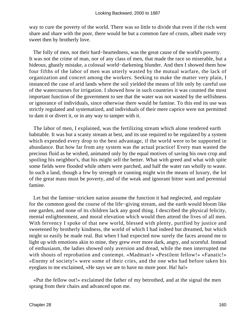way to cure the poverty of the world. There was so little to divide that even if the rich went share and share with the poor, there would be but a common fare of crusts, albeit made very sweet then by brotherly love.

 The folly of men, not their hard−heartedness, was the great cause of the world's poverty. It was not the crime of man, nor of any class of men, that made the race so miserable, but a hideous, ghastly mistake, a colossal world−darkening blunder. And then I showed them how four fifths of the labor of men was utterly wasted by the mutual warfare, the lack of organization and concert among the workers. Seeking to make the matter very plain, I instanced the case of arid lands where the soil yielded the means of life only by careful use of the watercourses for irrigation. I showed how in such countries it was counted the most important function of the government to see that the water was not wasted by the selfishness or ignorance of individuals, since otherwise there would be famine. To this end its use was strictly regulated and systematized, and individuals of their mere caprice were not permitted to dam it or divert it, or in any way to tamper with it.

 The labor of men, I explained, was the fertilizing stream which alone rendered earth habitable. It was but a scanty stream at best, and its use required to be regulated by a system which expended every drop to the best advantage, if the world were to be supported in abundance. But how far from any system was the actual practice! Every man wasted the precious fluid as he wished, animated only by the equal motives of saving his own crop and spoiling his neighbor's, that his might sell the better. What with greed and what with spite some fields were flooded while others were parched, and half the water ran wholly to waste. In such a land, though a few by strength or cunning might win the means of luxury, the lot of the great mass must be poverty, and of the weak and ignorant bitter want and perennial famine.

 Let but the famine−stricken nation assume the function it had neglected, and regulate for the common good the course of the life−giving stream, and the earth would bloom like one garden, and none of its children lack any good thing. I described the physical felicity, mental enlightenment, and moral elevation which would then attend the lives of all men. With fervency I spoke of that new world, blessed with plenty, purified by justice and sweetened by brotherly kindness, the world of which I had indeed but dreamed, but which might so easily be made real. But when I had expected now surely the faces around me to light up with emotions akin to mine, they grew ever more dark, angry, and scornful. Instead of enthusiasm, the ladies showed only aversion and dread, while the men interrupted me with shouts of reprobation and contempt. «Madman!» «Pestilent fellow!» «Fanatic!» «Enemy of society!» were some of their cries, and the one who had before taken his eyeglass to me exclaimed, «He says we are to have no more poor. Ha! ha!»

 «Put the fellow out!» exclaimed the father of my betrothed, and at the signal the men sprang from their chairs and advanced upon me.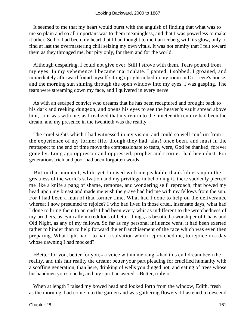It seemed to me that my heart would burst with the anguish of finding that what was to me so plain and so all important was to them meaningless, and that I was powerless to make it other. So hot had been my heart that I had thought to melt an iceberg with its glow, only to find at last the overmastering chill seizing my own vitals. It was not enmity that I felt toward them as they thronged me, but pity only, for them and for the world.

 Although despairing, I could not give over. Still I strove with them. Tears poured from my eyes. In my vehemence I became inarticulate. I panted, I sobbed, I groaned, and immediately afterward found myself sitting upright in bed in my room in Dr. Leete's house, and the morning sun shining through the open window into my eyes. I was gasping. The tears were streaming down my face, and I quivered in every nerve.

 As with an escaped convict who dreams that he has been recaptured and brought back to his dark and reeking dungeon, and opens his eyes to see the heaven's vault spread above him, so it was with me, as I realized that my return to the nineteenth century had been the dream, and my presence in the twentieth was the reality.

 The cruel sights which I had witnessed in my vision, and could so well confirm from the experience of my former life, though they had, alas! once been, and must in the retrospect to the end of time move the compassionate to tears, were, God be thanked, forever gone by. Long ago oppressor and oppressed, prophet and scorner, had been dust. For generations, rich and poor had been forgotten words.

 But in that moment, while yet I mused with unspeakable thankfulness upon the greatness of the world's salvation and my privilege in beholding it, there suddenly pierced me like a knife a pang of shame, remorse, and wondering self−reproach, that bowed my head upon my breast and made me wish the grave had hid me with my fellows from the sun. For I had been a man of that former time. What had I done to help on the deliverance whereat I now presumed to rejoice? I who had lived in those cruel, insensate days, what had I done to bring them to an end? I had been every whit as indifferent to the wretchedness of my brothers, as cynically incredulous of better things, as besotted a worshiper of Chaos and Old Night, as any of my fellows. So far as my personal influence went, it had been exerted rather to hinder than to help forward the enfranchisement of the race which was even then preparing. What right had I to hail a salvation which reproached me, to rejoice in a day whose dawning I had mocked?

 «Better for you, better for you,» a voice within me rang, «had this evil dream been the reality, and this fair reality the dream; better your part pleading for crucified humanity with a scoffing generation, than here, drinking of wells you digged not, and eating of trees whose husbandmen you stoned»; and my spirit answered, «Better, truly.»

 When at length I raised my bowed head and looked forth from the window, Edith, fresh as the morning, had come into the garden and was gathering flowers. I hastened to descend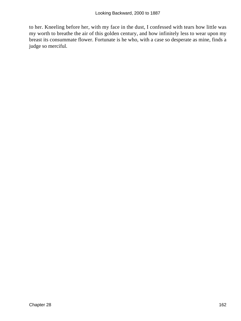to her. Kneeling before her, with my face in the dust, I confessed with tears how little was my worth to breathe the air of this golden century, and how infinitely less to wear upon my breast its consummate flower. Fortunate is he who, with a case so desperate as mine, finds a judge so merciful.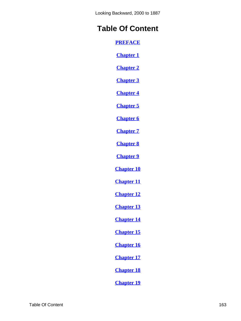# **Table Of Content**

**[PREFACE](#page-3-0)**

**[Chapter 1](#page-5-0)**

**[Chapter 2](#page-11-0)**

**[Chapter 3](#page-14-0)**

**[Chapter 4](#page-21-0)**

**[Chapter 5](#page-25-0)**

**[Chapter 6](#page-31-0)**

**[Chapter 7](#page-34-0)**

**[Chapter 8](#page-39-0)**

**[Chapter 9](#page-43-0)**

**[Chapter 10](#page-50-0)**

**[Chapter 11](#page-55-0)**

**[Chapter 12](#page-61-0)**

**[Chapter 13](#page-69-0)**

**[Chapter 14](#page-76-0)**

**[Chapter 15](#page-81-0)**

**[Chapter 16](#page-87-0)**

**[Chapter 17](#page-91-0)**

**[Chapter 18](#page-98-0)**

**[Chapter 19](#page-100-0)**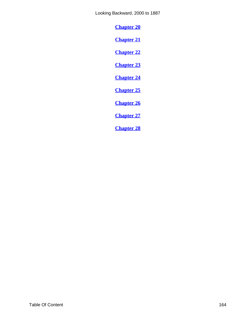<span id="page-164-0"></span>**[Chapter 20](#page-106-0)**

**[Chapter 21](#page-109-0)**

**[Chapter 22](#page-113-0)**

**[Chapter 23](#page-122-0)**

**[Chapter 24](#page-125-0)**

**[Chapter 25](#page-127-0)**

**[Chapter 26](#page-134-0)**

**[Chapter 27](#page-144-0)**

**[Chapter 28](#page-151-0)**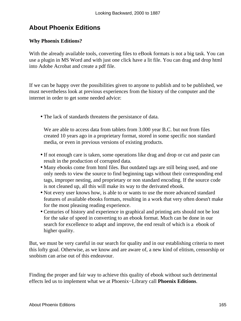## **About Phoenix Editions**

### **Why Phoenix Editions?**

With the already available tools, converting files to eBook formats is not a big task. You can use a plugin in MS Word and with just one click have a lit file. You can drag and drop html into Adobe Acrobat and create a pdf file.

If we can be happy over the possibilities given to anyone to publish and to be published, we must nevertheless look at previous experiences from the history of the computer and the internet in order to get some needed advice:

• The lack of standards threatens the persistance of data.

We are able to access data from tablets from 3.000 year B.C. but not from files created 10 years ago in a proprietary format, stored in some specific non standard media, or even in previous versions of existing products.

- If not enough care is taken, some operations like drag and drop or cut and paste can result in the production of corrupted data.
- Many ebooks come from html files. But outdated tags are still being used, and one only needs to view the source to find beginning tags without their corresponding end tags, improper nesting, and proprietary or non standard encoding. If the source code is not cleaned up, all this will make its way to the derivated ebook.
- Not every user knows how, is able to or wants to use the more advanced standard features of available ebooks formats, resulting in a work that very often doesn't make for the most pleasing reading experience.
- Centuries of history and experience in graphical and printing arts should not be lost for the sake of speed in converting to an ebook format. Much can be done in our search for excellence to adapt and improve, the end result of which is a ebook of higher quality.

But, we must be very careful in our search for quality and in our establishing criteria to meet this lofty goal. Otherwise, as we know and are aware of, a new kind of elitism, censorship or snobism can arise out of this endeavour.

Finding the proper and fair way to achieve this quality of ebook without such detrimental effects led us to implement what we at Phoenix−Library call **Phoenix Editions**.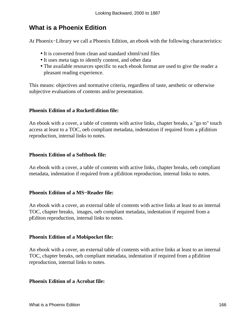## **What is a Phoenix Edition**

At Phoenix−Library we call a Phoenix Edition, an ebook with the following characteristics:

- It is converted from clean and standard xhtml/xml files
- It uses meta tags to identify content, and other data
- The available resources specific to each ebook format are used to give the reader a pleasant reading experience.

This means: objectives and normative criteria, regardless of taste, aesthetic or otherwise subjective evaluations of contents and/or presentation.

#### **Phoenix Edition of a RocketEdition file:**

An ebook with a cover, a table of contents with active links, chapter breaks, a "go to" touch access at least to a TOC, oeb compliant metadata, indentation if required from a pEdition reproduction, internal links to notes.

#### **Phoenix Edition of a Softbook file:**

An ebook with a cover, a table of contents with active links, chapter breaks, oeb compliant metadata, indentation if required from a pEdition reproduction, internal links to notes.

#### **Phoenix Edition of a MS−Reader file:**

An ebook with a cover, an external table of contents with active links at least to an internal TOC, chapter breaks, images, oeb compliant metadata, indentation if required from a pEditon reproduction, internal links to notes.

#### **Phoenix Edition of a Mobipocket file:**

An ebook with a cover, an external table of contents with active links at least to an internal TOC, chapter breaks, oeb compliant metadata, indentation if required from a pEdition reproduction, internal links to notes.

#### **Phoenix Edition of a Acrobat file:**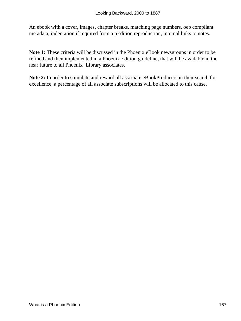An ebook with a cover, images, chapter breaks, matching page numbers, oeb compliant metadata, indentation if required from a pEdition reproduction, internal links to notes.

**Note 1:** These criteria will be discussed in the Phoenix eBook newsgroups in order to be refined and then implemented in a Phoenix Edition guideline, that will be available in the near future to all Phoenix−Library associates.

**Note 2:** In order to stimulate and reward all associate eBookProducers in their search for excellence, a percentage of all associate subscriptions will be allocated to this cause.